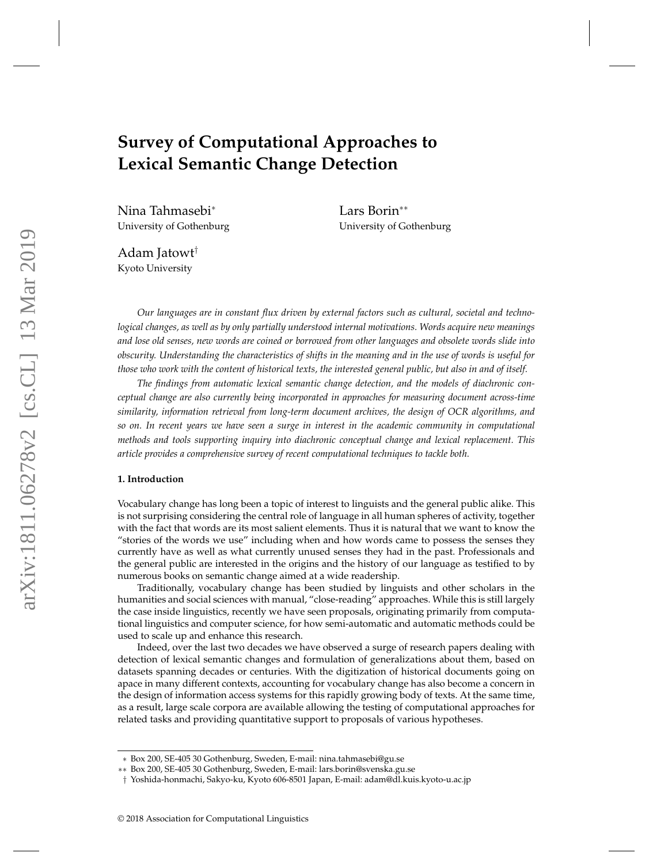# **Survey of Computational Approaches to Lexical Semantic Change Detection**

Nina Tahmasebi<sup>∗</sup> University of Gothenburg Lars Borin∗∗ University of Gothenburg

Adam Jatowt† Kyoto University

*Our languages are in constant flux driven by external factors such as cultural, societal and technological changes, as well as by only partially understood internal motivations. Words acquire new meanings and lose old senses, new words are coined or borrowed from other languages and obsolete words slide into obscurity. Understanding the characteristics of shifts in the meaning and in the use of words is useful for those who work with the content of historical texts, the interested general public, but also in and of itself.*

*The findings from automatic lexical semantic change detection, and the models of diachronic conceptual change are also currently being incorporated in approaches for measuring document across-time similarity, information retrieval from long-term document archives, the design of OCR algorithms, and so on. In recent years we have seen a surge in interest in the academic community in computational methods and tools supporting inquiry into diachronic conceptual change and lexical replacement. This article provides a comprehensive survey of recent computational techniques to tackle both.*

### **1. Introduction**

Vocabulary change has long been a topic of interest to linguists and the general public alike. This is not surprising considering the central role of language in all human spheres of activity, together with the fact that words are its most salient elements. Thus it is natural that we want to know the "stories of the words we use" including when and how words came to possess the senses they currently have as well as what currently unused senses they had in the past. Professionals and the general public are interested in the origins and the history of our language as testified to by numerous books on semantic change aimed at a wide readership.

Traditionally, vocabulary change has been studied by linguists and other scholars in the humanities and social sciences with manual, "close-reading" approaches. While this is still largely the case inside linguistics, recently we have seen proposals, originating primarily from computational linguistics and computer science, for how semi-automatic and automatic methods could be used to scale up and enhance this research.

Indeed, over the last two decades we have observed a surge of research papers dealing with detection of lexical semantic changes and formulation of generalizations about them, based on datasets spanning decades or centuries. With the digitization of historical documents going on apace in many different contexts, accounting for vocabulary change has also become a concern in the design of information access systems for this rapidly growing body of texts. At the same time, as a result, large scale corpora are available allowing the testing of computational approaches for related tasks and providing quantitative support to proposals of various hypotheses.

<sup>∗</sup> Box 200, SE-405 30 Gothenburg, Sweden, E-mail: nina.tahmasebi@gu.se

<sup>∗∗</sup> Box 200, SE-405 30 Gothenburg, Sweden, E-mail: lars.borin@svenska.gu.se

<sup>†</sup> Yoshida-honmachi, Sakyo-ku, Kyoto 606-8501 Japan, E-mail: adam@dl.kuis.kyoto-u.ac.jp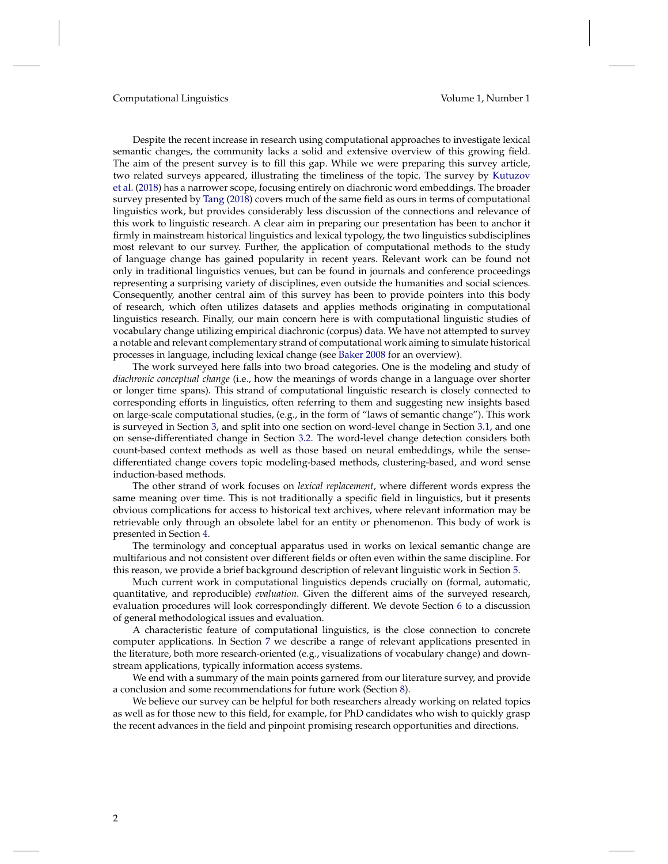Despite the recent increase in research using computational approaches to investigate lexical semantic changes, the community lacks a solid and extensive overview of this growing field. The aim of the present survey is to fill this gap. While we were preparing this survey article, two related surveys appeared, illustrating the timeliness of the topic. The survey by [Kutuzov](#page-51-0) [et al.](#page-51-0) [\(2018\)](#page-51-0) has a narrower scope, focusing entirely on diachronic word embeddings. The broader survey presented by [Tang](#page-53-0) [\(2018\)](#page-53-0) covers much of the same field as ours in terms of computational linguistics work, but provides considerably less discussion of the connections and relevance of this work to linguistic research. A clear aim in preparing our presentation has been to anchor it firmly in mainstream historical linguistics and lexical typology, the two linguistics subdisciplines most relevant to our survey. Further, the application of computational methods to the study of language change has gained popularity in recent years. Relevant work can be found not only in traditional linguistics venues, but can be found in journals and conference proceedings representing a surprising variety of disciplines, even outside the humanities and social sciences. Consequently, another central aim of this survey has been to provide pointers into this body of research, which often utilizes datasets and applies methods originating in computational linguistics research. Finally, our main concern here is with computational linguistic studies of vocabulary change utilizing empirical diachronic (corpus) data. We have not attempted to survey a notable and relevant complementary strand of computational work aiming to simulate historical processes in language, including lexical change (see [Baker](#page-48-0) [2008](#page-48-0) for an overview).

The work surveyed here falls into two broad categories. One is the modeling and study of *diachronic conceptual change* (i.e., how the meanings of words change in a language over shorter or longer time spans). This strand of computational linguistic research is closely connected to corresponding efforts in linguistics, often referring to them and suggesting new insights based on large-scale computational studies, (e.g., in the form of "laws of semantic change"). This work is surveyed in Section [3,](#page-4-0) and split into one section on word-level change in Section [3.1,](#page-4-1) and one on sense-differentiated change in Section [3.2.](#page-16-0) The word-level change detection considers both count-based context methods as well as those based on neural embeddings, while the sensedifferentiated change covers topic modeling-based methods, clustering-based, and word sense induction-based methods.

The other strand of work focuses on *lexical replacement*, where different words express the same meaning over time. This is not traditionally a specific field in linguistics, but it presents obvious complications for access to historical text archives, where relevant information may be retrievable only through an obsolete label for an entity or phenomenon. This body of work is presented in Section [4.](#page-24-0)

The terminology and conceptual apparatus used in works on lexical semantic change are multifarious and not consistent over different fields or often even within the same discipline. For this reason, we provide a brief background description of relevant linguistic work in Section [5.](#page-27-0)

Much current work in computational linguistics depends crucially on (formal, automatic, quantitative, and reproducible) *evaluation*. Given the different aims of the surveyed research, evaluation procedures will look correspondingly different. We devote Section [6](#page-30-0) to a discussion of general methodological issues and evaluation.

A characteristic feature of computational linguistics, is the close connection to concrete computer applications. In Section [7](#page-41-0) we describe a range of relevant applications presented in the literature, both more research-oriented (e.g., visualizations of vocabulary change) and downstream applications, typically information access systems.

We end with a summary of the main points garnered from our literature survey, and provide a conclusion and some recommendations for future work (Section [8\)](#page-46-0).

We believe our survey can be helpful for both researchers already working on related topics as well as for those new to this field, for example, for PhD candidates who wish to quickly grasp the recent advances in the field and pinpoint promising research opportunities and directions.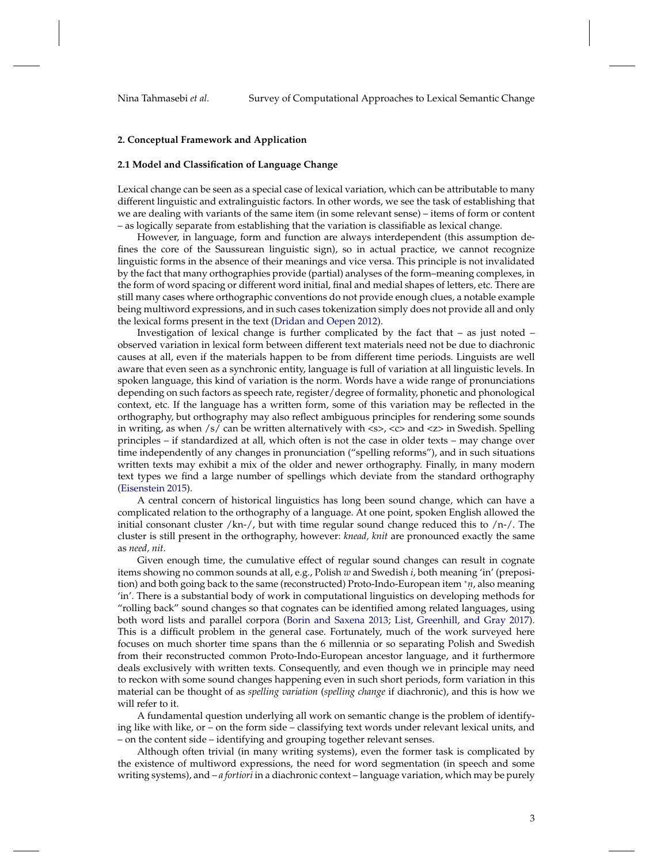### **2. Conceptual Framework and Application**

#### **2.1 Model and Classification of Language Change**

Lexical change can be seen as a special case of lexical variation, which can be attributable to many different linguistic and extralinguistic factors. In other words, we see the task of establishing that we are dealing with variants of the same item (in some relevant sense) – items of form or content – as logically separate from establishing that the variation is classifiable as lexical change.

However, in language, form and function are always interdependent (this assumption defines the core of the Saussurean linguistic sign), so in actual practice, we cannot recognize linguistic forms in the absence of their meanings and vice versa. This principle is not invalidated by the fact that many orthographies provide (partial) analyses of the form–meaning complexes, in the form of word spacing or different word initial, final and medial shapes of letters, etc. There are still many cases where orthographic conventions do not provide enough clues, a notable example being multiword expressions, and in such cases tokenization simply does not provide all and only the lexical forms present in the text [\(Dridan and Oepen](#page-49-0) [2012\)](#page-49-0).

Investigation of lexical change is further complicated by the fact that – as just noted – observed variation in lexical form between different text materials need not be due to diachronic causes at all, even if the materials happen to be from different time periods. Linguists are well aware that even seen as a synchronic entity, language is full of variation at all linguistic levels. In spoken language, this kind of variation is the norm. Words have a wide range of pronunciations depending on such factors as speech rate, register/degree of formality, phonetic and phonological context, etc. If the language has a written form, some of this variation may be reflected in the orthography, but orthography may also reflect ambiguous principles for rendering some sounds in writing, as when  $\frac{s}{s}$  can be written alternatively with  $\langle s \rangle$ ,  $\langle s \rangle$  and  $\langle z \rangle$  in Swedish. Spelling principles – if standardized at all, which often is not the case in older texts – may change over time independently of any changes in pronunciation ("spelling reforms"), and in such situations written texts may exhibit a mix of the older and newer orthography. Finally, in many modern text types we find a large number of spellings which deviate from the standard orthography [\(Eisenstein](#page-49-1) [2015\)](#page-49-1).

A central concern of historical linguistics has long been sound change, which can have a complicated relation to the orthography of a language. At one point, spoken English allowed the initial consonant cluster /kn-/, but with time regular sound change reduced this to  $/n$ -/. The cluster is still present in the orthography, however: *knead, knit* are pronounced exactly the same as *need, nit*.

Given enough time, the cumulative effect of regular sound changes can result in cognate items showing no common sounds at all, e.g., Polish *w* and Swedish *i*, both meaning 'in' (preposition) and both going back to the same (reconstructed) Proto-Indo-European item <sup>∗</sup>*n.* , also meaning 'in'. There is a substantial body of work in computational linguistics on developing methods for "rolling back" sound changes so that cognates can be identified among related languages, using both word lists and parallel corpora [\(Borin and Saxena](#page-49-2) [2013;](#page-49-2) [List, Greenhill, and Gray](#page-51-1) [2017\)](#page-51-1). This is a difficult problem in the general case. Fortunately, much of the work surveyed here focuses on much shorter time spans than the 6 millennia or so separating Polish and Swedish from their reconstructed common Proto-Indo-European ancestor language, and it furthermore deals exclusively with written texts. Consequently, and even though we in principle may need to reckon with some sound changes happening even in such short periods, form variation in this material can be thought of as *spelling variation* (*spelling change* if diachronic), and this is how we will refer to it.

A fundamental question underlying all work on semantic change is the problem of identifying like with like, or – on the form side – classifying text words under relevant lexical units, and – on the content side – identifying and grouping together relevant senses.

Although often trivial (in many writing systems), even the former task is complicated by the existence of multiword expressions, the need for word segmentation (in speech and some writing systems), and – *a fortiori* in a diachronic context – language variation, which may be purely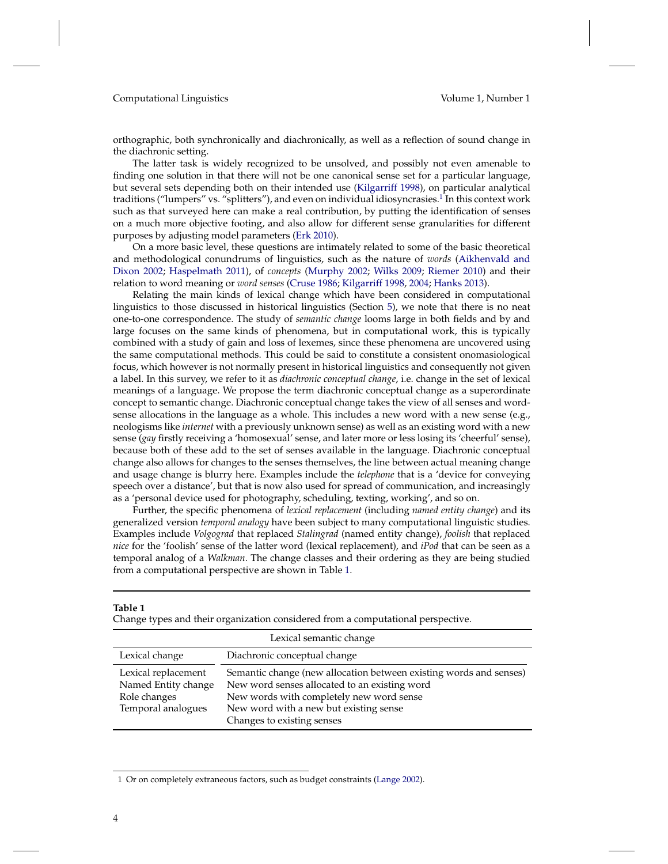orthographic, both synchronically and diachronically, as well as a reflection of sound change in the diachronic setting.

The latter task is widely recognized to be unsolved, and possibly not even amenable to finding one solution in that there will not be one canonical sense set for a particular language, but several sets depending both on their intended use [\(Kilgarriff](#page-51-2) [1998\)](#page-51-2), on particular analytical traditions ("lumpers" vs. "splitters"), and even on individual idiosyncrasies.<sup>[1](#page-3-0)</sup> In this context work such as that surveyed here can make a real contribution, by putting the identification of senses on a much more objective footing, and also allow for different sense granularities for different purposes by adjusting model parameters [\(Erk](#page-49-3) [2010\)](#page-49-3).

On a more basic level, these questions are intimately related to some of the basic theoretical and methodological conundrums of linguistics, such as the nature of *words* [\(Aikhenvald and](#page-48-1) [Dixon](#page-48-1) [2002;](#page-48-1) [Haspelmath](#page-50-0) [2011\)](#page-50-0), of *concepts* [\(Murphy](#page-52-0) [2002;](#page-52-0) [Wilks](#page-53-1) [2009;](#page-53-1) [Riemer](#page-52-1) [2010\)](#page-52-1) and their relation to word meaning or *word senses* [\(Cruse](#page-49-4) [1986;](#page-49-4) [Kilgarriff](#page-51-2) [1998,](#page-51-2) [2004;](#page-51-3) [Hanks](#page-50-1) [2013\)](#page-50-1).

Relating the main kinds of lexical change which have been considered in computational linguistics to those discussed in historical linguistics (Section [5\)](#page-27-0), we note that there is no neat one-to-one correspondence. The study of *semantic change* looms large in both fields and by and large focuses on the same kinds of phenomena, but in computational work, this is typically combined with a study of gain and loss of lexemes, since these phenomena are uncovered using the same computational methods. This could be said to constitute a consistent onomasiological focus, which however is not normally present in historical linguistics and consequently not given a label. In this survey, we refer to it as *diachronic conceptual change*, i.e. change in the set of lexical meanings of a language. We propose the term diachronic conceptual change as a superordinate concept to semantic change. Diachronic conceptual change takes the view of all senses and wordsense allocations in the language as a whole. This includes a new word with a new sense (e.g., neologisms like *internet* with a previously unknown sense) as well as an existing word with a new sense (*gay* firstly receiving a 'homosexual' sense, and later more or less losing its 'cheerful' sense), because both of these add to the set of senses available in the language. Diachronic conceptual change also allows for changes to the senses themselves, the line between actual meaning change and usage change is blurry here. Examples include the *telephone* that is a 'device for conveying speech over a distance', but that is now also used for spread of communication, and increasingly as a 'personal device used for photography, scheduling, texting, working', and so on.

Further, the specific phenomena of *lexical replacement* (including *named entity change*) and its generalized version *temporal analogy* have been subject to many computational linguistic studies. Examples include *Volgograd* that replaced *Stalingrad* (named entity change), *foolish* that replaced *nice* for the 'foolish' sense of the latter word (lexical replacement), and *iPod* that can be seen as a temporal analog of a *Walkman*. The change classes and their ordering as they are being studied from a computational perspective are shown in Table [1.](#page-3-1)

<span id="page-3-1"></span>

|                                            | Change types and their organization considered from a computational perspective.                                    |
|--------------------------------------------|---------------------------------------------------------------------------------------------------------------------|
|                                            | Lexical semantic change                                                                                             |
| Lexical change                             | Diachronic conceptual change                                                                                        |
| Lexical replacement<br>Named Entity change | Semantic change (new allocation between existing words and senses)<br>New word senses allocated to an existing word |
| Role changes<br>Temporal analogues         | New words with completely new word sense<br>New word with a new but existing sense                                  |
|                                            | Changes to existing senses                                                                                          |

**Table 1**

<span id="page-3-0"></span><sup>1</sup> Or on completely extraneous factors, such as budget constraints [\(Lange](#page-51-4) [2002\)](#page-51-4).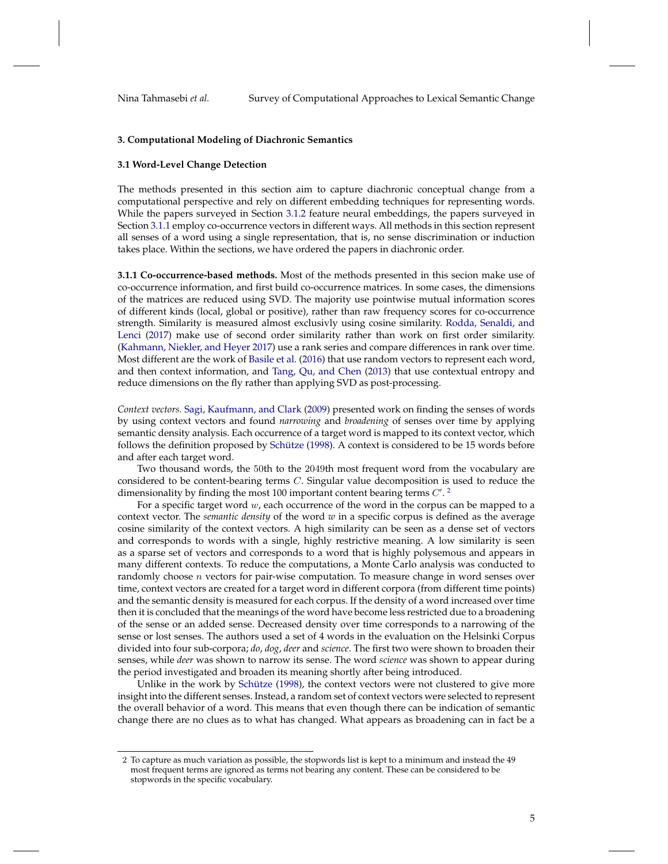Nina Tahmasebi *et al.* Survey of Computational Approaches to Lexical Semantic Change

#### <span id="page-4-0"></span>**3. Computational Modeling of Diachronic Semantics**

#### <span id="page-4-1"></span>**3.1 Word-Level Change Detection**

The methods presented in this section aim to capture diachronic conceptual change from a computational perspective and rely on different embedding techniques for representing words. While the papers surveyed in Section [3.1.2](#page-8-0) feature neural embeddings, the papers surveyed in Section [3.1.1](#page-4-2) employ co-occurrence vectors in different ways. All methods in this section represent all senses of a word using a single representation, that is, no sense discrimination or induction takes place. Within the sections, we have ordered the papers in diachronic order.

**3.1.1 Co-occurrence-based methods.** Most of the methods presented in this secion make use of co-occurrence information, and first build co-occurrence matrices. In some cases, the dimensions of the matrices are reduced using SVD. The majority use pointwise mutual information scores of different kinds (local, global or positive), rather than raw frequency scores for co-occurrence strength. Similarity is measured almost exclusivly using cosine similarity. [Rodda, Senaldi, and](#page-52-2) [Lenci](#page-52-2) [\(2017\)](#page-52-2) make use of second order similarity rather than work on first order similarity. [\(Kahmann, Niekler, and Heyer](#page-50-2) [2017\)](#page-50-2) use a rank series and compare differences in rank over time. Most different are the work of [Basile et al.](#page-48-2) [\(2016\)](#page-48-2) that use random vectors to represent each word, and then context information, and [Tang, Qu, and Chen](#page-53-2) [\(2013\)](#page-53-2) that use contextual entropy and reduce dimensions on the fly rather than applying SVD as post-processing.

<span id="page-4-2"></span>*Context vectors.* [Sagi, Kaufmann, and Clark](#page-52-3) [\(2009\)](#page-52-3) presented work on finding the senses of words by using context vectors and found *narrowing* and *broadening* of senses over time by applying semantic density analysis. Each occurrence of a target word is mapped to its context vector, which follows the definition proposed by [Schütze](#page-52-4) [\(1998\)](#page-52-4). A context is considered to be 15 words before and after each target word.

Two thousand words, the 50th to the 2049th most frequent word from the vocabulary are considered to be content-bearing terms C. Singular value decomposition is used to reduce the dimensionality by finding the most 100 important content bearing terms  $C'.^2$  $C'.^2$ 

For a specific target word  $w$ , each occurrence of the word in the corpus can be mapped to a context vector. The *semantic density* of the word *w* in a specific corpus is defined as the average cosine similarity of the context vectors. A high similarity can be seen as a dense set of vectors and corresponds to words with a single, highly restrictive meaning. A low similarity is seen as a sparse set of vectors and corresponds to a word that is highly polysemous and appears in many different contexts. To reduce the computations, a Monte Carlo analysis was conducted to randomly choose *n* vectors for pair-wise computation. To measure change in word senses over time, context vectors are created for a target word in different corpora (from different time points) and the semantic density is measured for each corpus. If the density of a word increased over time then it is concluded that the meanings of the word have become less restricted due to a broadening of the sense or an added sense. Decreased density over time corresponds to a narrowing of the sense or lost senses. The authors used a set of 4 words in the evaluation on the Helsinki Corpus divided into four sub-corpora; *do*, *dog*, *deer* and *science*. The first two were shown to broaden their senses, while *deer* was shown to narrow its sense. The word *science* was shown to appear during the period investigated and broaden its meaning shortly after being introduced.

Unlike in the work by [Schütze](#page-52-4) [\(1998\)](#page-52-4), the context vectors were not clustered to give more insight into the different senses. Instead, a random set of context vectors were selected to represent the overall behavior of a word. This means that even though there can be indication of semantic change there are no clues as to what has changed. What appears as broadening can in fact be a

<span id="page-4-3"></span><sup>2</sup> To capture as much variation as possible, the stopwords list is kept to a minimum and instead the 49 most frequent terms are ignored as terms not bearing any content. These can be considered to be stopwords in the specific vocabulary.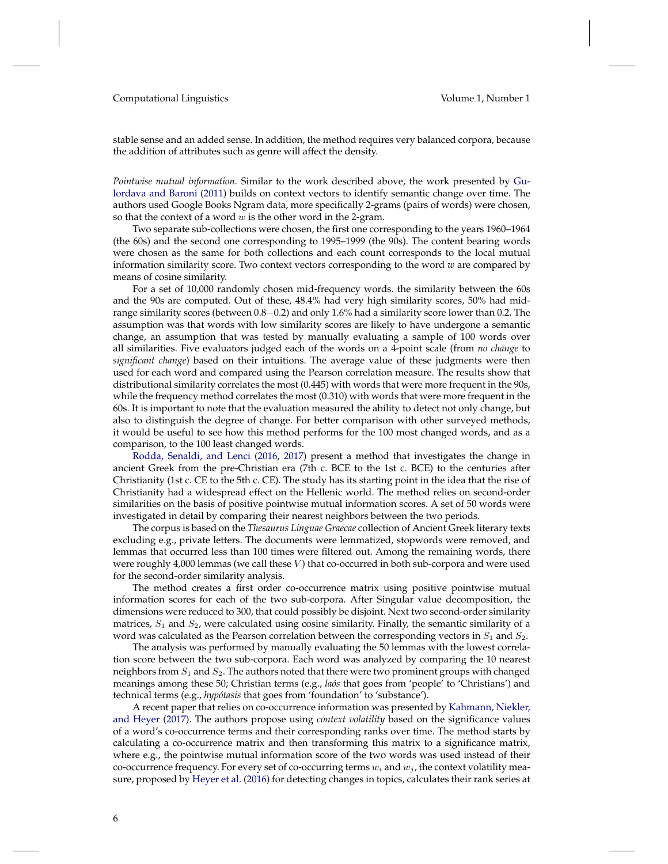stable sense and an added sense. In addition, the method requires very balanced corpora, because the addition of attributes such as genre will affect the density.

*Pointwise mutual information.* Similar to the work described above, the work presented by [Gu](#page-50-3)[lordava and Baroni](#page-50-3) [\(2011\)](#page-50-3) builds on context vectors to identify semantic change over time. The authors used Google Books Ngram data, more specifically 2-grams (pairs of words) were chosen, so that the context of a word  $w$  is the other word in the 2-gram.

Two separate sub-collections were chosen, the first one corresponding to the years 1960–1964 (the 60s) and the second one corresponding to 1995–1999 (the 90s). The content bearing words were chosen as the same for both collections and each count corresponds to the local mutual information similarity score. Two context vectors corresponding to the word *w* are compared by means of cosine similarity.

For a set of 10,000 randomly chosen mid-frequency words. the similarity between the 60s and the 90s are computed. Out of these, 48.4% had very high similarity scores, 50% had midrange similarity scores (between 0.8−0.2) and only 1.6% had a similarity score lower than 0.2. The assumption was that words with low similarity scores are likely to have undergone a semantic change, an assumption that was tested by manually evaluating a sample of 100 words over all similarities. Five evaluators judged each of the words on a 4-point scale (from *no change* to *significant change*) based on their intuitions. The average value of these judgments were then used for each word and compared using the Pearson correlation measure. The results show that distributional similarity correlates the most (0.445) with words that were more frequent in the 90s, while the frequency method correlates the most (0.310) with words that were more frequent in the 60s. It is important to note that the evaluation measured the ability to detect not only change, but also to distinguish the degree of change. For better comparison with other surveyed methods, it would be useful to see how this method performs for the 100 most changed words, and as a comparison, to the 100 least changed words.

[Rodda, Senaldi, and Lenci](#page-52-5) [\(2016,](#page-52-5) [2017\)](#page-52-2) present a method that investigates the change in ancient Greek from the pre-Christian era (7th c. BCE to the 1st c. BCE) to the centuries after Christianity (1st c. CE to the 5th c. CE). The study has its starting point in the idea that the rise of Christianity had a widespread effect on the Hellenic world. The method relies on second-order similarities on the basis of positive pointwise mutual information scores. A set of 50 words were investigated in detail by comparing their nearest neighbors between the two periods.

The corpus is based on the *Thesaurus Linguae Graecae* collection of Ancient Greek literary texts excluding e.g., private letters. The documents were lemmatized, stopwords were removed, and lemmas that occurred less than 100 times were filtered out. Among the remaining words, there were roughly  $4,000$  lemmas (we call these  $V$ ) that co-occurred in both sub-corpora and were used for the second-order similarity analysis.

The method creates a first order co-occurrence matrix using positive pointwise mutual information scores for each of the two sub-corpora. After Singular value decomposition, the dimensions were reduced to 300, that could possibly be disjoint. Next two second-order similarity matrices,  $S_1$  and  $S_2$ , were calculated using cosine similarity. Finally, the semantic similarity of a word was calculated as the Pearson correlation between the corresponding vectors in  $S_1$  and  $S_2$ .

The analysis was performed by manually evaluating the 50 lemmas with the lowest correlation score between the two sub-corpora. Each word was analyzed by comparing the 10 nearest neighbors from  $S_1$  and  $S_2$ . The authors noted that there were two prominent groups with changed meanings among these 50; Christian terms (e.g., *laós* that goes from 'people' to 'Christians') and technical terms (e.g., *hypótasis* that goes from 'foundation' to 'substance').

A recent paper that relies on co-occurrence information was presented by [Kahmann, Niekler,](#page-50-2) [and Heyer](#page-50-2) [\(2017\)](#page-50-2). The authors propose using *context volatility* based on the significance values of a word's co-occurrence terms and their corresponding ranks over time. The method starts by calculating a co-occurrence matrix and then transforming this matrix to a significance matrix, where e.g., the pointwise mutual information score of the two words was used instead of their co-occurrence frequency. For every set of co-occurring terms  $w_i$  and  $w_j$ , the context volatility measure, proposed by [Heyer et al.](#page-50-4) [\(2016\)](#page-50-4) for detecting changes in topics, calculates their rank series at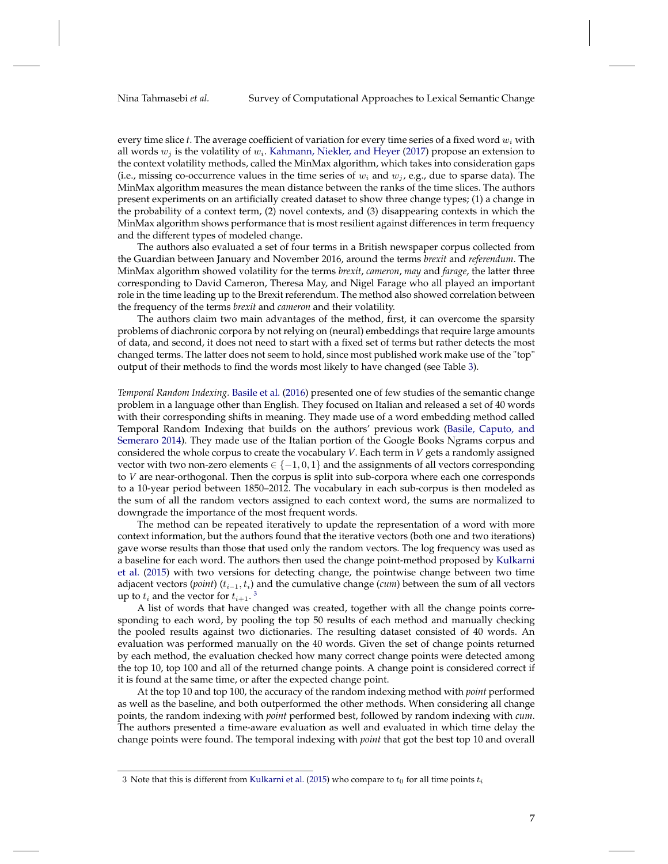every time slice  $t$ . The average coefficient of variation for every time series of a fixed word  $w_i$  with all words  $w_j$  is the volatility of  $w_i$ . [Kahmann, Niekler, and Heyer](#page-50-2) [\(2017\)](#page-50-2) propose an extension to the context volatility methods, called the MinMax algorithm, which takes into consideration gaps (i.e., missing co-occurrence values in the time series of  $w_i$  and  $w_i$ , e.g., due to sparse data). The MinMax algorithm measures the mean distance between the ranks of the time slices. The authors present experiments on an artificially created dataset to show three change types; (1) a change in the probability of a context term, (2) novel contexts, and (3) disappearing contexts in which the MinMax algorithm shows performance that is most resilient against differences in term frequency and the different types of modeled change.

The authors also evaluated a set of four terms in a British newspaper corpus collected from the Guardian between January and November 2016, around the terms *brexit* and *referendum*. The MinMax algorithm showed volatility for the terms *brexit*, *cameron*, *may* and *farage*, the latter three corresponding to David Cameron, Theresa May, and Nigel Farage who all played an important role in the time leading up to the Brexit referendum. The method also showed correlation between the frequency of the terms *brexit* and *cameron* and their volatility.

The authors claim two main advantages of the method, first, it can overcome the sparsity problems of diachronic corpora by not relying on (neural) embeddings that require large amounts of data, and second, it does not need to start with a fixed set of terms but rather detects the most changed terms. The latter does not seem to hold, since most published work make use of the "top" output of their methods to find the words most likely to have changed (see Table [3\)](#page-23-0).

*Temporal Random Indexing.* [Basile et al.](#page-48-2) [\(2016\)](#page-48-2) presented one of few studies of the semantic change problem in a language other than English. They focused on Italian and released a set of 40 words with their corresponding shifts in meaning. They made use of a word embedding method called Temporal Random Indexing that builds on the authors' previous work [\(Basile, Caputo, and](#page-48-3) [Semeraro](#page-48-3) [2014\)](#page-48-3). They made use of the Italian portion of the Google Books Ngrams corpus and considered the whole corpus to create the vocabulary *V*. Each term in *V* gets a randomly assigned vector with two non-zero elements  $\in \{-1,0,1\}$  and the assignments of all vectors corresponding to *V* are near-orthogonal. Then the corpus is split into sub-corpora where each one corresponds to a 10-year period between 1850–2012. The vocabulary in each sub-corpus is then modeled as the sum of all the random vectors assigned to each context word, the sums are normalized to downgrade the importance of the most frequent words.

The method can be repeated iteratively to update the representation of a word with more context information, but the authors found that the iterative vectors (both one and two iterations) gave worse results than those that used only the random vectors. The log frequency was used as a baseline for each word. The authors then used the change point-method proposed by [Kulkarni](#page-51-5) [et al.](#page-51-5) [\(2015\)](#page-51-5) with two versions for detecting change, the pointwise change between two time adjacent vectors (*point*) ( $t_{i-1}, t_i$ ) and the cumulative change (*cum*) between the sum of all vectors up to  $t_i$  and the vector for  $t_{i+1}$ .<sup>[3](#page-6-0)</sup>

A list of words that have changed was created, together with all the change points corresponding to each word, by pooling the top 50 results of each method and manually checking the pooled results against two dictionaries. The resulting dataset consisted of 40 words. An evaluation was performed manually on the 40 words. Given the set of change points returned by each method, the evaluation checked how many correct change points were detected among the top 10, top 100 and all of the returned change points. A change point is considered correct if it is found at the same time, or after the expected change point.

At the top 10 and top 100, the accuracy of the random indexing method with *point* performed as well as the baseline, and both outperformed the other methods. When considering all change points, the random indexing with *point* performed best, followed by random indexing with *cum*. The authors presented a time-aware evaluation as well and evaluated in which time delay the change points were found. The temporal indexing with *point* that got the best top 10 and overall

<span id="page-6-0"></span><sup>3</sup> Note that this is different from [Kulkarni et al.](#page-51-5) [\(2015\)](#page-51-5) who compare to  $t_0$  for all time points  $t_i$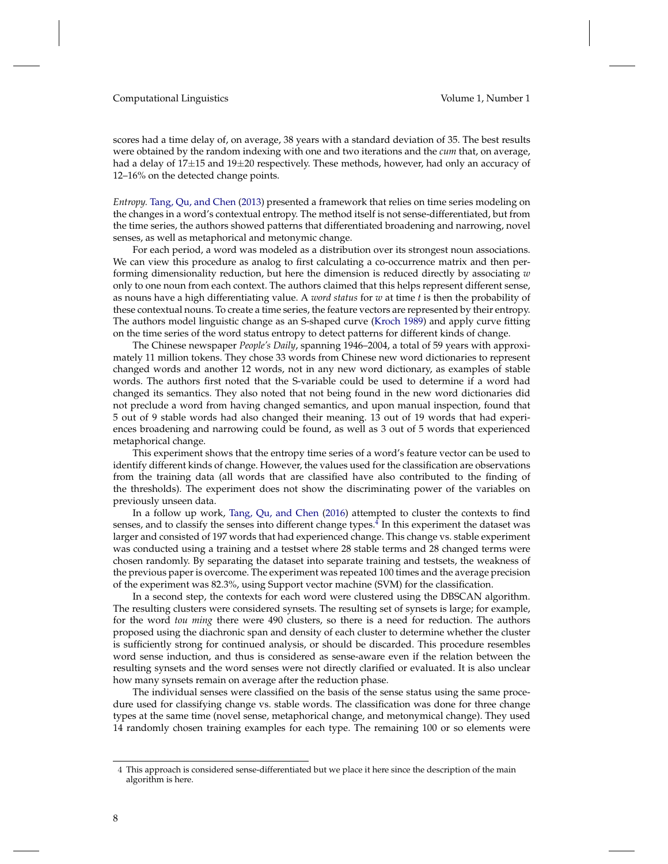scores had a time delay of, on average, 38 years with a standard deviation of 35. The best results were obtained by the random indexing with one and two iterations and the *cum* that, on average, had a delay of 17 $\pm$ 15 and 19 $\pm$ 20 respectively. These methods, however, had only an accuracy of 12–16% on the detected change points.

*Entropy.* [Tang, Qu, and Chen](#page-53-2) [\(2013\)](#page-53-2) presented a framework that relies on time series modeling on the changes in a word's contextual entropy. The method itself is not sense-differentiated, but from the time series, the authors showed patterns that differentiated broadening and narrowing, novel senses, as well as metaphorical and metonymic change.

For each period, a word was modeled as a distribution over its strongest noun associations. We can view this procedure as analog to first calculating a co-occurrence matrix and then performing dimensionality reduction, but here the dimension is reduced directly by associating *w* only to one noun from each context. The authors claimed that this helps represent different sense, as nouns have a high differentiating value. A *word status* for *w* at time *t* is then the probability of these contextual nouns. To create a time series, the feature vectors are represented by their entropy. The authors model linguistic change as an S-shaped curve [\(Kroch](#page-51-6) [1989\)](#page-51-6) and apply curve fitting on the time series of the word status entropy to detect patterns for different kinds of change.

The Chinese newspaper *People's Daily*, spanning 1946–2004, a total of 59 years with approximately 11 million tokens. They chose 33 words from Chinese new word dictionaries to represent changed words and another 12 words, not in any new word dictionary, as examples of stable words. The authors first noted that the S-variable could be used to determine if a word had changed its semantics. They also noted that not being found in the new word dictionaries did not preclude a word from having changed semantics, and upon manual inspection, found that 5 out of 9 stable words had also changed their meaning. 13 out of 19 words that had experiences broadening and narrowing could be found, as well as 3 out of 5 words that experienced metaphorical change.

This experiment shows that the entropy time series of a word's feature vector can be used to identify different kinds of change. However, the values used for the classification are observations from the training data (all words that are classified have also contributed to the finding of the thresholds). The experiment does not show the discriminating power of the variables on previously unseen data.

In a follow up work, [Tang, Qu, and Chen](#page-53-3) [\(2016\)](#page-53-3) attempted to cluster the contexts to find senses, and to classify the senses into different change types. $4$  In this experiment the dataset was larger and consisted of 197 words that had experienced change. This change vs. stable experiment was conducted using a training and a testset where 28 stable terms and 28 changed terms were chosen randomly. By separating the dataset into separate training and testsets, the weakness of the previous paper is overcome. The experiment was repeated 100 times and the average precision of the experiment was 82.3%, using Support vector machine (SVM) for the classification.

In a second step, the contexts for each word were clustered using the DBSCAN algorithm. The resulting clusters were considered synsets. The resulting set of synsets is large; for example, for the word *tou ming* there were 490 clusters, so there is a need for reduction. The authors proposed using the diachronic span and density of each cluster to determine whether the cluster is sufficiently strong for continued analysis, or should be discarded. This procedure resembles word sense induction, and thus is considered as sense-aware even if the relation between the resulting synsets and the word senses were not directly clarified or evaluated. It is also unclear how many synsets remain on average after the reduction phase.

The individual senses were classified on the basis of the sense status using the same procedure used for classifying change vs. stable words. The classification was done for three change types at the same time (novel sense, metaphorical change, and metonymical change). They used 14 randomly chosen training examples for each type. The remaining 100 or so elements were

<span id="page-7-0"></span><sup>4</sup> This approach is considered sense-differentiated but we place it here since the description of the main algorithm is here.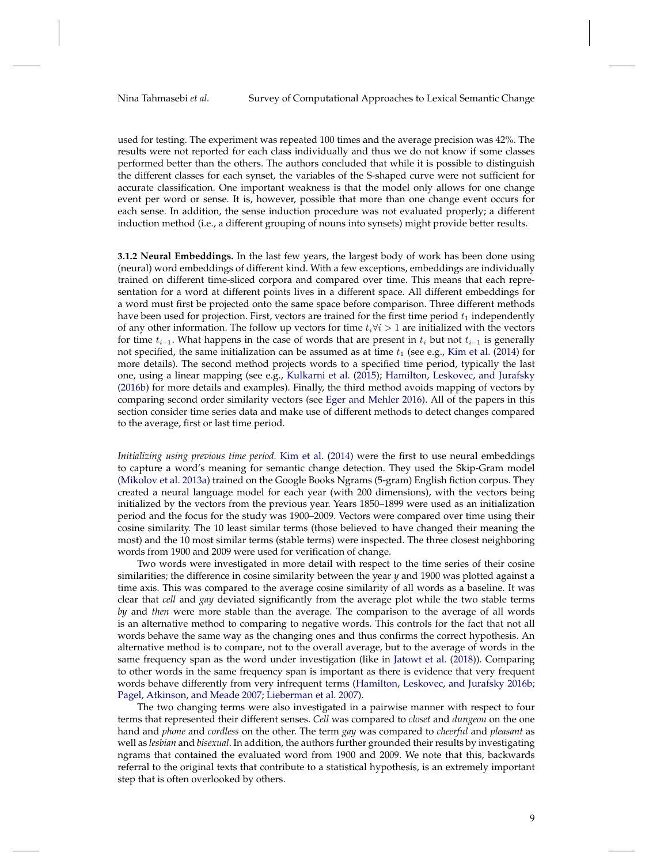used for testing. The experiment was repeated 100 times and the average precision was 42%. The results were not reported for each class individually and thus we do not know if some classes performed better than the others. The authors concluded that while it is possible to distinguish the different classes for each synset, the variables of the S-shaped curve were not sufficient for accurate classification. One important weakness is that the model only allows for one change event per word or sense. It is, however, possible that more than one change event occurs for each sense. In addition, the sense induction procedure was not evaluated properly; a different induction method (i.e., a different grouping of nouns into synsets) might provide better results.

<span id="page-8-0"></span>**3.1.2 Neural Embeddings.** In the last few years, the largest body of work has been done using (neural) word embeddings of different kind. With a few exceptions, embeddings are individually trained on different time-sliced corpora and compared over time. This means that each representation for a word at different points lives in a different space. All different embeddings for a word must first be projected onto the same space before comparison. Three different methods have been used for projection. First, vectors are trained for the first time period  $t_1$  independently of any other information. The follow up vectors for time  $t_i \forall i > 1$  are initialized with the vectors for time  $t_{i-1}$ . What happens in the case of words that are present in  $t_i$  but not  $t_{i-1}$  is generally not specified, the same initialization can be assumed as at time  $t_1$  (see e.g., [Kim et al.](#page-51-7) [\(2014\)](#page-51-7) for more details). The second method projects words to a specified time period, typically the last one, using a linear mapping (see e.g., [Kulkarni et al.](#page-51-5) [\(2015\)](#page-51-5); [Hamilton, Leskovec, and Jurafsky](#page-50-5) [\(2016b\)](#page-50-5) for more details and examples). Finally, the third method avoids mapping of vectors by comparing second order similarity vectors (see [Eger and Mehler](#page-49-5) [2016\)](#page-49-5). All of the papers in this section consider time series data and make use of different methods to detect changes compared to the average, first or last time period.

*Initializing using previous time period.* [Kim et al.](#page-51-7) [\(2014\)](#page-51-7) were the first to use neural embeddings to capture a word's meaning for semantic change detection. They used the Skip-Gram model [\(Mikolov et al.](#page-52-6) [2013a\)](#page-52-6) trained on the Google Books Ngrams (5-gram) English fiction corpus. They created a neural language model for each year (with 200 dimensions), with the vectors being initialized by the vectors from the previous year. Years 1850–1899 were used as an initialization period and the focus for the study was 1900–2009. Vectors were compared over time using their cosine similarity. The 10 least similar terms (those believed to have changed their meaning the most) and the 10 most similar terms (stable terms) were inspected. The three closest neighboring words from 1900 and 2009 were used for verification of change.

Two words were investigated in more detail with respect to the time series of their cosine similarities; the difference in cosine similarity between the year *y* and 1900 was plotted against a time axis. This was compared to the average cosine similarity of all words as a baseline. It was clear that *cell* and *gay* deviated significantly from the average plot while the two stable terms *by* and *then* were more stable than the average. The comparison to the average of all words is an alternative method to comparing to negative words. This controls for the fact that not all words behave the same way as the changing ones and thus confirms the correct hypothesis. An alternative method is to compare, not to the overall average, but to the average of words in the same frequency span as the word under investigation (like in [Jatowt et al.](#page-50-6) [\(2018\)](#page-50-6)). Comparing to other words in the same frequency span is important as there is evidence that very frequent words behave differently from very infrequent terms [\(Hamilton, Leskovec, and Jurafsky](#page-50-5) [2016b;](#page-50-5) [Pagel, Atkinson, and Meade](#page-52-7) [2007;](#page-52-7) [Lieberman et al.](#page-51-8) [2007\)](#page-51-8).

The two changing terms were also investigated in a pairwise manner with respect to four terms that represented their different senses. *Cell* was compared to *closet* and *dungeon* on the one hand and *phone* and *cordless* on the other. The term *gay* was compared to *cheerful* and *pleasant* as well as *lesbian* and *bisexual*. In addition, the authors further grounded their results by investigating ngrams that contained the evaluated word from 1900 and 2009. We note that this, backwards referral to the original texts that contribute to a statistical hypothesis, is an extremely important step that is often overlooked by others.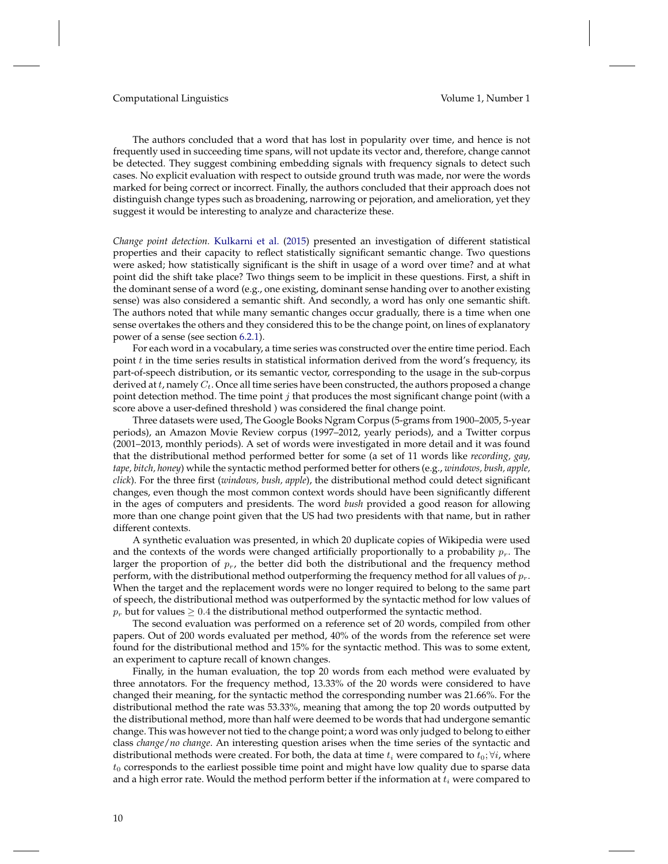The authors concluded that a word that has lost in popularity over time, and hence is not frequently used in succeeding time spans, will not update its vector and, therefore, change cannot be detected. They suggest combining embedding signals with frequency signals to detect such cases. No explicit evaluation with respect to outside ground truth was made, nor were the words marked for being correct or incorrect. Finally, the authors concluded that their approach does not distinguish change types such as broadening, narrowing or pejoration, and amelioration, yet they suggest it would be interesting to analyze and characterize these.

*Change point detection.* [Kulkarni et al.](#page-51-5) [\(2015\)](#page-51-5) presented an investigation of different statistical properties and their capacity to reflect statistically significant semantic change. Two questions were asked; how statistically significant is the shift in usage of a word over time? and at what point did the shift take place? Two things seem to be implicit in these questions. First, a shift in the dominant sense of a word (e.g., one existing, dominant sense handing over to another existing sense) was also considered a semantic shift. And secondly, a word has only one semantic shift. The authors noted that while many semantic changes occur gradually, there is a time when one sense overtakes the others and they considered this to be the change point, on lines of explanatory power of a sense (see section [6.2.1\)](#page-33-0).

For each word in a vocabulary, a time series was constructed over the entire time period. Each point  $t$  in the time series results in statistical information derived from the word's frequency, its part-of-speech distribution, or its semantic vector, corresponding to the usage in the sub-corpus derived at  $t$ , namely  $C_t$ . Once all time series have been constructed, the authors proposed a change point detection method. The time point  $j$  that produces the most significant change point (with a score above a user-defined threshold ) was considered the final change point.

Three datasets were used, The Google Books Ngram Corpus (5-grams from 1900–2005, 5-year periods), an Amazon Movie Review corpus (1997–2012, yearly periods), and a Twitter corpus (2001–2013, monthly periods). A set of words were investigated in more detail and it was found that the distributional method performed better for some (a set of 11 words like *recording, gay, tape, bitch, honey*) while the syntactic method performed better for others (e.g., *windows, bush, apple, click*). For the three first (*windows, bush, apple*), the distributional method could detect significant changes, even though the most common context words should have been significantly different in the ages of computers and presidents. The word *bush* provided a good reason for allowing more than one change point given that the US had two presidents with that name, but in rather different contexts.

A synthetic evaluation was presented, in which 20 duplicate copies of Wikipedia were used and the contexts of the words were changed artificially proportionally to a probability  $p_r$ . The larger the proportion of  $p_r$ , the better did both the distributional and the frequency method perform, with the distributional method outperforming the frequency method for all values of  $p_r$ . When the target and the replacement words were no longer required to belong to the same part of speech, the distributional method was outperformed by the syntactic method for low values of  $p_r$  but for values  $\geq 0.4$  the distributional method outperformed the syntactic method.

The second evaluation was performed on a reference set of 20 words, compiled from other papers. Out of 200 words evaluated per method, 40% of the words from the reference set were found for the distributional method and 15% for the syntactic method. This was to some extent, an experiment to capture recall of known changes.

Finally, in the human evaluation, the top 20 words from each method were evaluated by three annotators. For the frequency method, 13.33% of the 20 words were considered to have changed their meaning, for the syntactic method the corresponding number was 21.66%. For the distributional method the rate was 53.33%, meaning that among the top 20 words outputted by the distributional method, more than half were deemed to be words that had undergone semantic change. This was however not tied to the change point; a word was only judged to belong to either class *change*/*no change*. An interesting question arises when the time series of the syntactic and distributional methods were created. For both, the data at time  $t_i$  were compared to  $t_0$ ;  $\forall i$ , where  $t_0$  corresponds to the earliest possible time point and might have low quality due to sparse data and a high error rate. Would the method perform better if the information at  $t_i$  were compared to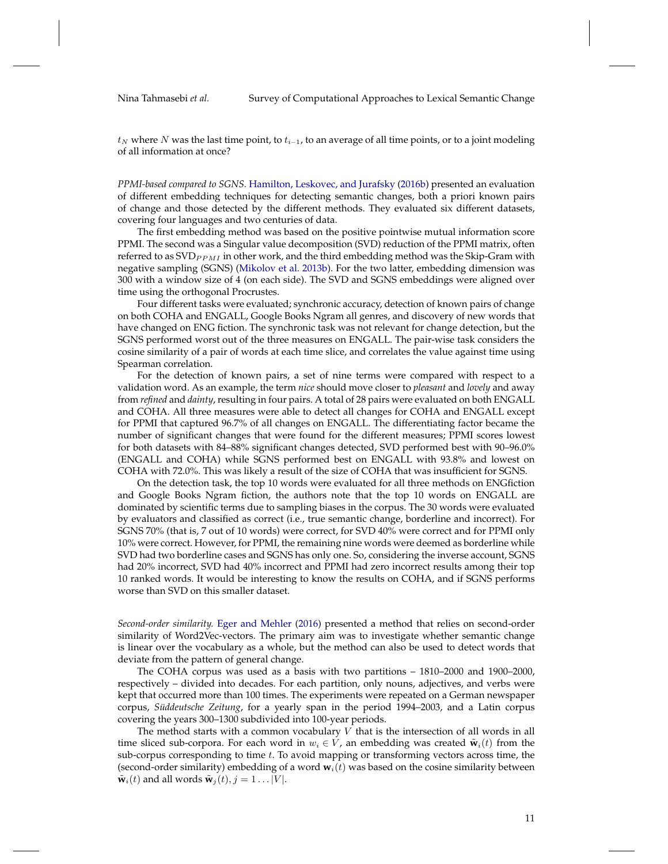$t_N$  where N was the last time point, to  $t_{i-1}$ , to an average of all time points, or to a joint modeling of all information at once?

*PPMI-based compared to SGNS.* [Hamilton, Leskovec, and Jurafsky](#page-50-5) [\(2016b\)](#page-50-5) presented an evaluation of different embedding techniques for detecting semantic changes, both a priori known pairs of change and those detected by the different methods. They evaluated six different datasets, covering four languages and two centuries of data.

The first embedding method was based on the positive pointwise mutual information score PPMI. The second was a Singular value decomposition (SVD) reduction of the PPMI matrix, often referred to as  $SVD_{PPMI}$  in other work, and the third embedding method was the Skip-Gram with negative sampling (SGNS) [\(Mikolov et al.](#page-52-8) [2013b\)](#page-52-8). For the two latter, embedding dimension was 300 with a window size of 4 (on each side). The SVD and SGNS embeddings were aligned over time using the orthogonal Procrustes.

Four different tasks were evaluated; synchronic accuracy, detection of known pairs of change on both COHA and ENGALL, Google Books Ngram all genres, and discovery of new words that have changed on ENG fiction. The synchronic task was not relevant for change detection, but the SGNS performed worst out of the three measures on ENGALL. The pair-wise task considers the cosine similarity of a pair of words at each time slice, and correlates the value against time using Spearman correlation.

For the detection of known pairs, a set of nine terms were compared with respect to a validation word. As an example, the term *nice* should move closer to *pleasant* and *lovely* and away from *refined* and *dainty*, resulting in four pairs. A total of 28 pairs were evaluated on both ENGALL and COHA. All three measures were able to detect all changes for COHA and ENGALL except for PPMI that captured 96.7% of all changes on ENGALL. The differentiating factor became the number of significant changes that were found for the different measures; PPMI scores lowest for both datasets with 84–88% significant changes detected, SVD performed best with 90–96.0% (ENGALL and COHA) while SGNS performed best on ENGALL with 93.8% and lowest on COHA with 72.0%. This was likely a result of the size of COHA that was insufficient for SGNS.

On the detection task, the top 10 words were evaluated for all three methods on ENGfiction and Google Books Ngram fiction, the authors note that the top 10 words on ENGALL are dominated by scientific terms due to sampling biases in the corpus. The 30 words were evaluated by evaluators and classified as correct (i.e., true semantic change, borderline and incorrect). For SGNS 70% (that is, 7 out of 10 words) were correct, for SVD 40% were correct and for PPMI only 10% were correct. However, for PPMI, the remaining nine words were deemed as borderline while SVD had two borderline cases and SGNS has only one. So, considering the inverse account, SGNS had 20% incorrect, SVD had 40% incorrect and PPMI had zero incorrect results among their top 10 ranked words. It would be interesting to know the results on COHA, and if SGNS performs worse than SVD on this smaller dataset.

*Second-order similarity.* [Eger and Mehler](#page-49-5) [\(2016\)](#page-49-5) presented a method that relies on second-order similarity of Word2Vec-vectors. The primary aim was to investigate whether semantic change is linear over the vocabulary as a whole, but the method can also be used to detect words that deviate from the pattern of general change.

The COHA corpus was used as a basis with two partitions – 1810–2000 and 1900–2000, respectively – divided into decades. For each partition, only nouns, adjectives, and verbs were kept that occurred more than 100 times. The experiments were repeated on a German newspaper corpus, *Süddeutsche Zeitung*, for a yearly span in the period 1994–2003, and a Latin corpus covering the years 300–1300 subdivided into 100-year periods.

The method starts with a common vocabulary  $V$  that is the intersection of all words in all time sliced sub-corpora. For each word in  $w_i \in V$ , an embedding was created  $\tilde{\mathbf{w}}_i(t)$  from the sub-corpus corresponding to time  $t$ . To avoid mapping or transforming vectors across time, the (second-order similarity) embedding of a word  $w<sub>i</sub>(t)$  was based on the cosine similarity between  $\tilde{\mathbf{w}}_i(t)$  and all words  $\tilde{\mathbf{w}}_j(t), j = 1 \dots |V|$ .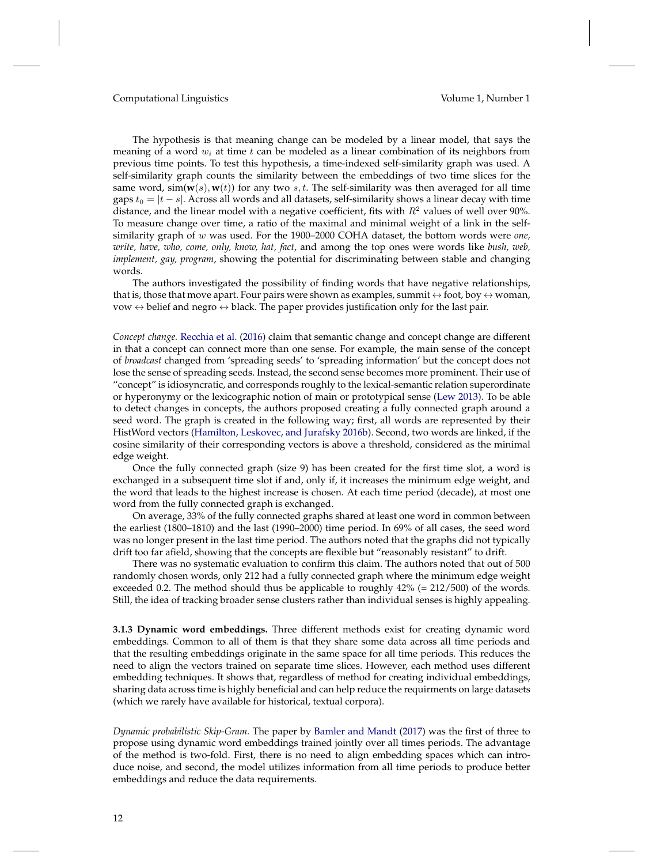The hypothesis is that meaning change can be modeled by a linear model, that says the meaning of a word  $w_i$  at time t can be modeled as a linear combination of its neighbors from previous time points. To test this hypothesis, a time-indexed self-similarity graph was used. A self-similarity graph counts the similarity between the embeddings of two time slices for the same word,  $\sin(w(s), w(t))$  for any two s, t. The self-similarity was then averaged for all time gaps  $t_0 = |t - s|$ . Across all words and all datasets, self-similarity shows a linear decay with time distance, and the linear model with a negative coefficient, fits with  $R^2$  values of well over 90%. To measure change over time, a ratio of the maximal and minimal weight of a link in the selfsimilarity graph of w was used. For the 1900–2000 COHA dataset, the bottom words were *one, write, have, who, come, only, know, hat, fact*, and among the top ones were words like *bush, web, implement, gay, program*, showing the potential for discriminating between stable and changing words.

The authors investigated the possibility of finding words that have negative relationships, that is, those that move apart. Four pairs were shown as examples, summit  $\leftrightarrow$  foot, boy  $\leftrightarrow$  woman, vow  $\leftrightarrow$  belief and negro  $\leftrightarrow$  black. The paper provides justification only for the last pair.

*Concept change.* [Recchia et al.](#page-52-9) [\(2016\)](#page-52-9) claim that semantic change and concept change are different in that a concept can connect more than one sense. For example, the main sense of the concept of *broadcast* changed from 'spreading seeds' to 'spreading information' but the concept does not lose the sense of spreading seeds. Instead, the second sense becomes more prominent. Their use of "concept" is idiosyncratic, and corresponds roughly to the lexical-semantic relation superordinate or hyperonymy or the lexicographic notion of main or prototypical sense [\(Lew](#page-51-9) [2013\)](#page-51-9). To be able to detect changes in concepts, the authors proposed creating a fully connected graph around a seed word. The graph is created in the following way; first, all words are represented by their HistWord vectors [\(Hamilton, Leskovec, and Jurafsky](#page-50-5) [2016b\)](#page-50-5). Second, two words are linked, if the cosine similarity of their corresponding vectors is above a threshold, considered as the minimal edge weight.

Once the fully connected graph (size 9) has been created for the first time slot, a word is exchanged in a subsequent time slot if and, only if, it increases the minimum edge weight, and the word that leads to the highest increase is chosen. At each time period (decade), at most one word from the fully connected graph is exchanged.

On average, 33% of the fully connected graphs shared at least one word in common between the earliest (1800–1810) and the last (1990–2000) time period. In 69% of all cases, the seed word was no longer present in the last time period. The authors noted that the graphs did not typically drift too far afield, showing that the concepts are flexible but "reasonably resistant" to drift.

There was no systematic evaluation to confirm this claim. The authors noted that out of 500 randomly chosen words, only 212 had a fully connected graph where the minimum edge weight exceeded 0.2. The method should thus be applicable to roughly 42% (= 212/500) of the words. Still, the idea of tracking broader sense clusters rather than individual senses is highly appealing.

**3.1.3 Dynamic word embeddings.** Three different methods exist for creating dynamic word embeddings. Common to all of them is that they share some data across all time periods and that the resulting embeddings originate in the same space for all time periods. This reduces the need to align the vectors trained on separate time slices. However, each method uses different embedding techniques. It shows that, regardless of method for creating individual embeddings, sharing data across time is highly beneficial and can help reduce the requirments on large datasets (which we rarely have available for historical, textual corpora).

*Dynamic probabilistic Skip-Gram.* The paper by [Bamler and Mandt](#page-48-4) [\(2017\)](#page-48-4) was the first of three to propose using dynamic word embeddings trained jointly over all times periods. The advantage of the method is two-fold. First, there is no need to align embedding spaces which can introduce noise, and second, the model utilizes information from all time periods to produce better embeddings and reduce the data requirements.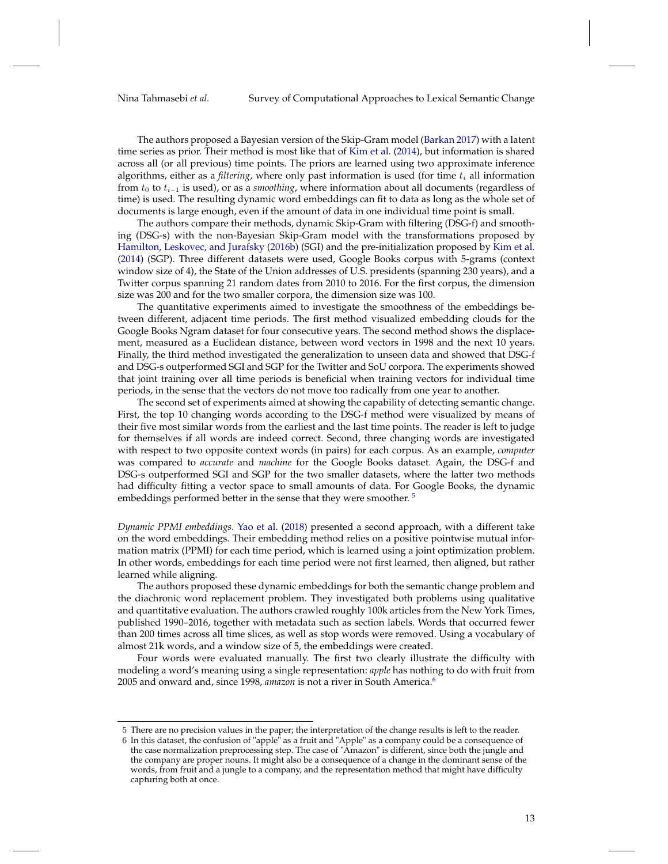The authors proposed a Bayesian version of the Skip-Gram model [\(Barkan](#page-48-5) [2017\)](#page-48-5) with a latent time series as prior. Their method is most like that of [Kim et al.](#page-51-7) [\(2014\)](#page-51-7), but information is shared across all (or all previous) time points. The priors are learned using two approximate inference algorithms, either as a *filtering*, where only past information is used (for time  $t_i$  all information from t<sup>0</sup> to ti−<sup>1</sup> is used), or as a *smoothing*, where information about all documents (regardless of time) is used. The resulting dynamic word embeddings can fit to data as long as the whole set of documents is large enough, even if the amount of data in one individual time point is small.

The authors compare their methods, dynamic Skip-Gram with filtering (DSG-f) and smoothing (DSG-s) with the non-Bayesian Skip-Gram model with the transformations proposed by [Hamilton, Leskovec, and Jurafsky](#page-50-5) [\(2016b\)](#page-50-5) (SGI) and the pre-initialization proposed by [Kim et al.](#page-51-7) [\(2014\)](#page-51-7) (SGP). Three different datasets were used, Google Books corpus with 5-grams (context window size of 4), the State of the Union addresses of U.S. presidents (spanning 230 years), and a Twitter corpus spanning 21 random dates from 2010 to 2016. For the first corpus, the dimension size was 200 and for the two smaller corpora, the dimension size was 100.

The quantitative experiments aimed to investigate the smoothness of the embeddings between different, adjacent time periods. The first method visualized embedding clouds for the Google Books Ngram dataset for four consecutive years. The second method shows the displacement, measured as a Euclidean distance, between word vectors in 1998 and the next 10 years. Finally, the third method investigated the generalization to unseen data and showed that DSG-f and DSG-s outperformed SGI and SGP for the Twitter and SoU corpora. The experiments showed that joint training over all time periods is beneficial when training vectors for individual time periods, in the sense that the vectors do not move too radically from one year to another.

The second set of experiments aimed at showing the capability of detecting semantic change. First, the top 10 changing words according to the DSG-f method were visualized by means of their five most similar words from the earliest and the last time points. The reader is left to judge for themselves if all words are indeed correct. Second, three changing words are investigated with respect to two opposite context words (in pairs) for each corpus. As an example, *computer* was compared to *accurate* and *machine* for the Google Books dataset. Again, the DSG-f and DSG-s outperformed SGI and SGP for the two smaller datasets, where the latter two methods had difficulty fitting a vector space to small amounts of data. For Google Books, the dynamic embeddings performed better in the sense that they were smoother.<sup>[5](#page-12-0)</sup>

*Dynamic PPMI embeddings.* [Yao et al.](#page-53-4) [\(2018\)](#page-53-4) presented a second approach, with a different take on the word embeddings. Their embedding method relies on a positive pointwise mutual information matrix (PPMI) for each time period, which is learned using a joint optimization problem. In other words, embeddings for each time period were not first learned, then aligned, but rather learned while aligning.

The authors proposed these dynamic embeddings for both the semantic change problem and the diachronic word replacement problem. They investigated both problems using qualitative and quantitative evaluation. The authors crawled roughly 100k articles from the New York Times, published 1990–2016, together with metadata such as section labels. Words that occurred fewer than 200 times across all time slices, as well as stop words were removed. Using a vocabulary of almost 21k words, and a window size of 5, the embeddings were created.

Four words were evaluated manually. The first two clearly illustrate the difficulty with modeling a word's meaning using a single representation: *apple* has nothing to do with fruit from 2005 and onward and, since 1998, *amazon* is not a river in South America.[6](#page-12-1)

<span id="page-12-0"></span><sup>5</sup> There are no precision values in the paper; the interpretation of the change results is left to the reader.

<span id="page-12-1"></span><sup>6</sup> In this dataset, the confusion of "apple" as a fruit and "Apple" as a company could be a consequence of the case normalization preprocessing step. The case of "Amazon" is different, since both the jungle and the company are proper nouns. It might also be a consequence of a change in the dominant sense of the words, from fruit and a jungle to a company, and the representation method that might have difficulty capturing both at once.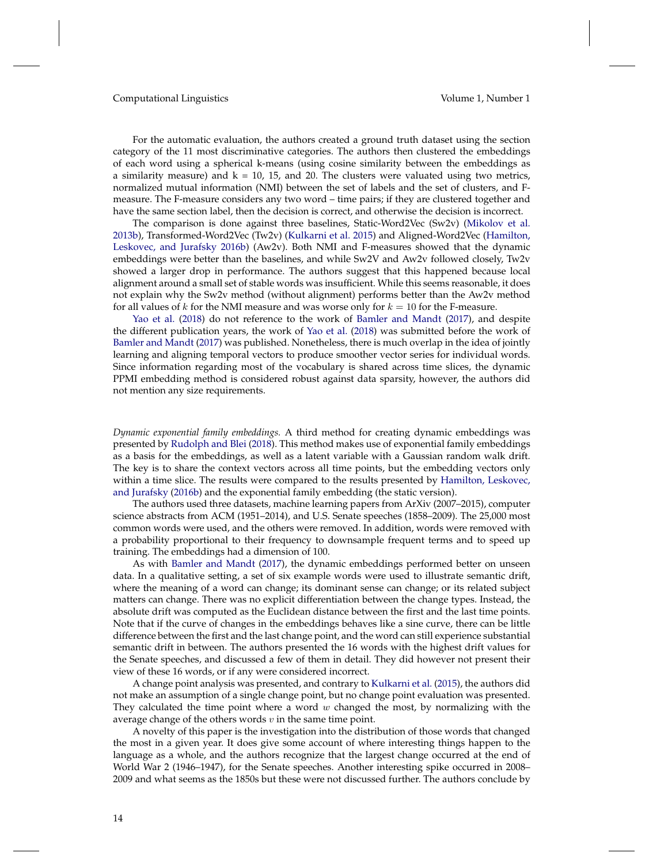For the automatic evaluation, the authors created a ground truth dataset using the section category of the 11 most discriminative categories. The authors then clustered the embeddings of each word using a spherical k-means (using cosine similarity between the embeddings as a similarity measure) and  $k = 10$ , 15, and 20. The clusters were valuated using two metrics, normalized mutual information (NMI) between the set of labels and the set of clusters, and Fmeasure. The F-measure considers any two word – time pairs; if they are clustered together and have the same section label, then the decision is correct, and otherwise the decision is incorrect.

The comparison is done against three baselines, Static-Word2Vec (Sw2v) [\(Mikolov et al.](#page-52-8) [2013b\)](#page-52-8), Transformed-Word2Vec (Tw2v) [\(Kulkarni et al.](#page-51-5) [2015\)](#page-51-5) and Aligned-Word2Vec [\(Hamilton,](#page-50-5) [Leskovec, and Jurafsky](#page-50-5) [2016b\)](#page-50-5) (Aw2v). Both NMI and F-measures showed that the dynamic embeddings were better than the baselines, and while Sw2V and Aw2v followed closely, Tw2v showed a larger drop in performance. The authors suggest that this happened because local alignment around a small set of stable words was insufficient. While this seems reasonable, it does not explain why the Sw2v method (without alignment) performs better than the Aw2v method for all values of k for the NMI measure and was worse only for  $k = 10$  for the F-measure.

[Yao et al.](#page-53-4) [\(2018\)](#page-53-4) do not reference to the work of [Bamler and Mandt](#page-48-4) [\(2017\)](#page-48-4), and despite the different publication years, the work of [Yao et al.](#page-53-4) [\(2018\)](#page-53-4) was submitted before the work of [Bamler and Mandt](#page-48-4) [\(2017\)](#page-48-4) was published. Nonetheless, there is much overlap in the idea of jointly learning and aligning temporal vectors to produce smoother vector series for individual words. Since information regarding most of the vocabulary is shared across time slices, the dynamic PPMI embedding method is considered robust against data sparsity, however, the authors did not mention any size requirements.

*Dynamic exponential family embeddings.* A third method for creating dynamic embeddings was presented by [Rudolph and Blei](#page-52-10) [\(2018\)](#page-52-10). This method makes use of exponential family embeddings as a basis for the embeddings, as well as a latent variable with a Gaussian random walk drift. The key is to share the context vectors across all time points, but the embedding vectors only within a time slice. The results were compared to the results presented by [Hamilton, Leskovec,](#page-50-5) [and Jurafsky](#page-50-5) [\(2016b\)](#page-50-5) and the exponential family embedding (the static version).

The authors used three datasets, machine learning papers from ArXiv (2007–2015), computer science abstracts from ACM (1951–2014), and U.S. Senate speeches (1858–2009). The 25,000 most common words were used, and the others were removed. In addition, words were removed with a probability proportional to their frequency to downsample frequent terms and to speed up training. The embeddings had a dimension of 100.

As with [Bamler and Mandt](#page-48-4) [\(2017\)](#page-48-4), the dynamic embeddings performed better on unseen data. In a qualitative setting, a set of six example words were used to illustrate semantic drift, where the meaning of a word can change; its dominant sense can change; or its related subject matters can change. There was no explicit differentiation between the change types. Instead, the absolute drift was computed as the Euclidean distance between the first and the last time points. Note that if the curve of changes in the embeddings behaves like a sine curve, there can be little difference between the first and the last change point, and the word can still experience substantial semantic drift in between. The authors presented the 16 words with the highest drift values for the Senate speeches, and discussed a few of them in detail. They did however not present their view of these 16 words, or if any were considered incorrect.

A change point analysis was presented, and contrary to [Kulkarni et al.](#page-51-5) [\(2015\)](#page-51-5), the authors did not make an assumption of a single change point, but no change point evaluation was presented. They calculated the time point where a word  $w$  changed the most, by normalizing with the average change of the others words  $v$  in the same time point.

A novelty of this paper is the investigation into the distribution of those words that changed the most in a given year. It does give some account of where interesting things happen to the language as a whole, and the authors recognize that the largest change occurred at the end of World War 2 (1946–1947), for the Senate speeches. Another interesting spike occurred in 2008– 2009 and what seems as the 1850s but these were not discussed further. The authors conclude by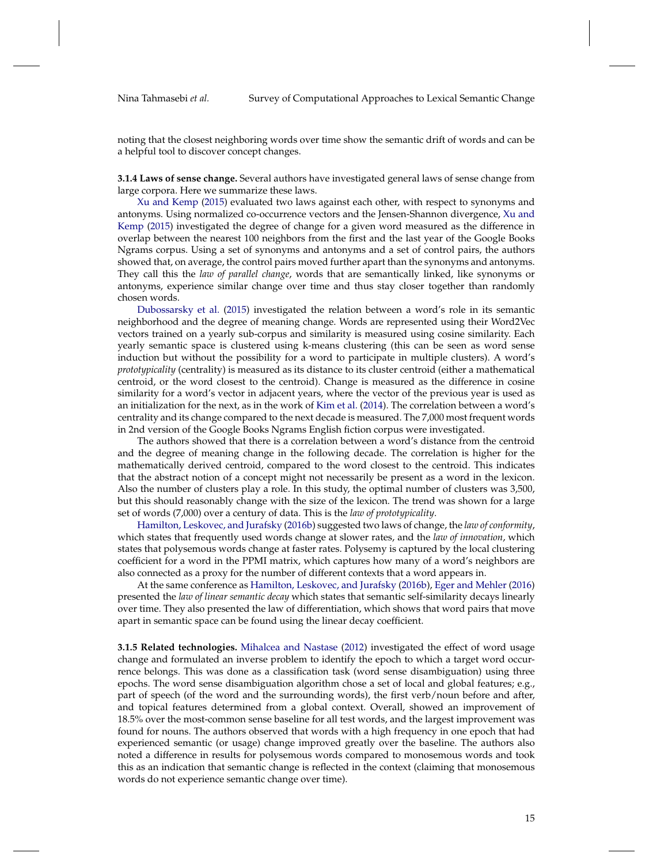noting that the closest neighboring words over time show the semantic drift of words and can be a helpful tool to discover concept changes.

**3.1.4 Laws of sense change.** Several authors have investigated general laws of sense change from large corpora. Here we summarize these laws.

[Xu and Kemp](#page-53-5) [\(2015\)](#page-53-5) evaluated two laws against each other, with respect to synonyms and antonyms. Using normalized co-occurrence vectors and the Jensen-Shannon divergence, [Xu and](#page-53-5) [Kemp](#page-53-5) [\(2015\)](#page-53-5) investigated the degree of change for a given word measured as the difference in overlap between the nearest 100 neighbors from the first and the last year of the Google Books Ngrams corpus. Using a set of synonyms and antonyms and a set of control pairs, the authors showed that, on average, the control pairs moved further apart than the synonyms and antonyms. They call this the *law of parallel change*, words that are semantically linked, like synonyms or antonyms, experience similar change over time and thus stay closer together than randomly chosen words.

[Dubossarsky et al.](#page-49-6) [\(2015\)](#page-49-6) investigated the relation between a word's role in its semantic neighborhood and the degree of meaning change. Words are represented using their Word2Vec vectors trained on a yearly sub-corpus and similarity is measured using cosine similarity. Each yearly semantic space is clustered using k-means clustering (this can be seen as word sense induction but without the possibility for a word to participate in multiple clusters). A word's *prototypicality* (centrality) is measured as its distance to its cluster centroid (either a mathematical centroid, or the word closest to the centroid). Change is measured as the difference in cosine similarity for a word's vector in adjacent years, where the vector of the previous year is used as an initialization for the next, as in the work of [Kim et al.](#page-51-7) [\(2014\)](#page-51-7). The correlation between a word's centrality and its change compared to the next decade is measured. The 7,000 most frequent words in 2nd version of the Google Books Ngrams English fiction corpus were investigated.

The authors showed that there is a correlation between a word's distance from the centroid and the degree of meaning change in the following decade. The correlation is higher for the mathematically derived centroid, compared to the word closest to the centroid. This indicates that the abstract notion of a concept might not necessarily be present as a word in the lexicon. Also the number of clusters play a role. In this study, the optimal number of clusters was 3,500, but this should reasonably change with the size of the lexicon. The trend was shown for a large set of words (7,000) over a century of data. This is the *law of prototypicality*.

[Hamilton, Leskovec, and Jurafsky](#page-50-5) [\(2016b\)](#page-50-5) suggested two laws of change, the *law of conformity*, which states that frequently used words change at slower rates, and the *law of innovation*, which states that polysemous words change at faster rates. Polysemy is captured by the local clustering coefficient for a word in the PPMI matrix, which captures how many of a word's neighbors are also connected as a proxy for the number of different contexts that a word appears in.

At the same conference as [Hamilton, Leskovec, and Jurafsky](#page-50-5) [\(2016b\)](#page-50-5), [Eger and Mehler](#page-49-5) [\(2016\)](#page-49-5) presented the *law of linear semantic decay* which states that semantic self-similarity decays linearly over time. They also presented the law of differentiation, which shows that word pairs that move apart in semantic space can be found using the linear decay coefficient.

**3.1.5 Related technologies.** [Mihalcea and Nastase](#page-52-11) [\(2012\)](#page-52-11) investigated the effect of word usage change and formulated an inverse problem to identify the epoch to which a target word occurrence belongs. This was done as a classification task (word sense disambiguation) using three epochs. The word sense disambiguation algorithm chose a set of local and global features; e.g., part of speech (of the word and the surrounding words), the first verb/noun before and after, and topical features determined from a global context. Overall, showed an improvement of 18.5% over the most-common sense baseline for all test words, and the largest improvement was found for nouns. The authors observed that words with a high frequency in one epoch that had experienced semantic (or usage) change improved greatly over the baseline. The authors also noted a difference in results for polysemous words compared to monosemous words and took this as an indication that semantic change is reflected in the context (claiming that monosemous words do not experience semantic change over time).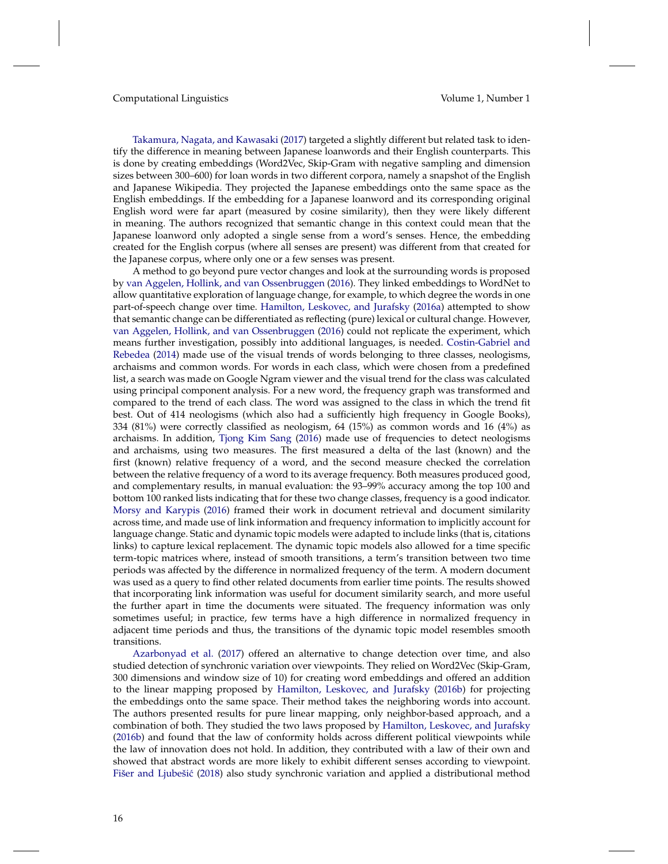[Takamura, Nagata, and Kawasaki](#page-53-6) [\(2017\)](#page-53-6) targeted a slightly different but related task to identify the difference in meaning between Japanese loanwords and their English counterparts. This is done by creating embeddings (Word2Vec, Skip-Gram with negative sampling and dimension sizes between 300–600) for loan words in two different corpora, namely a snapshot of the English and Japanese Wikipedia. They projected the Japanese embeddings onto the same space as the English embeddings. If the embedding for a Japanese loanword and its corresponding original English word were far apart (measured by cosine similarity), then they were likely different in meaning. The authors recognized that semantic change in this context could mean that the Japanese loanword only adopted a single sense from a word's senses. Hence, the embedding created for the English corpus (where all senses are present) was different from that created for the Japanese corpus, where only one or a few senses was present.

A method to go beyond pure vector changes and look at the surrounding words is proposed by [van Aggelen, Hollink, and van Ossenbruggen](#page-48-6) [\(2016\)](#page-48-6). They linked embeddings to WordNet to allow quantitative exploration of language change, for example, to which degree the words in one part-of-speech change over time. [Hamilton, Leskovec, and Jurafsky](#page-50-7) [\(2016a\)](#page-50-7) attempted to show that semantic change can be differentiated as reflecting (pure) lexical or cultural change. However, [van Aggelen, Hollink, and van Ossenbruggen](#page-48-6) [\(2016\)](#page-48-6) could not replicate the experiment, which means further investigation, possibly into additional languages, is needed. [Costin-Gabriel and](#page-49-7) [Rebedea](#page-49-7) [\(2014\)](#page-49-7) made use of the visual trends of words belonging to three classes, neologisms, archaisms and common words. For words in each class, which were chosen from a predefined list, a search was made on Google Ngram viewer and the visual trend for the class was calculated using principal component analysis. For a new word, the frequency graph was transformed and compared to the trend of each class. The word was assigned to the class in which the trend fit best. Out of 414 neologisms (which also had a sufficiently high frequency in Google Books), 334 (81%) were correctly classified as neologism, 64 (15%) as common words and 16 (4%) as archaisms. In addition, [Tjong Kim Sang](#page-53-7) [\(2016\)](#page-53-7) made use of frequencies to detect neologisms and archaisms, using two measures. The first measured a delta of the last (known) and the first (known) relative frequency of a word, and the second measure checked the correlation between the relative frequency of a word to its average frequency. Both measures produced good, and complementary results, in manual evaluation: the 93–99% accuracy among the top 100 and bottom 100 ranked lists indicating that for these two change classes, frequency is a good indicator. [Morsy and Karypis](#page-52-12) [\(2016\)](#page-52-12) framed their work in document retrieval and document similarity across time, and made use of link information and frequency information to implicitly account for language change. Static and dynamic topic models were adapted to include links (that is, citations links) to capture lexical replacement. The dynamic topic models also allowed for a time specific term-topic matrices where, instead of smooth transitions, a term's transition between two time periods was affected by the difference in normalized frequency of the term. A modern document was used as a query to find other related documents from earlier time points. The results showed that incorporating link information was useful for document similarity search, and more useful the further apart in time the documents were situated. The frequency information was only sometimes useful; in practice, few terms have a high difference in normalized frequency in adjacent time periods and thus, the transitions of the dynamic topic model resembles smooth transitions.

[Azarbonyad et al.](#page-48-7) [\(2017\)](#page-48-7) offered an alternative to change detection over time, and also studied detection of synchronic variation over viewpoints. They relied on Word2Vec (Skip-Gram, 300 dimensions and window size of 10) for creating word embeddings and offered an addition to the linear mapping proposed by [Hamilton, Leskovec, and Jurafsky](#page-50-5) [\(2016b\)](#page-50-5) for projecting the embeddings onto the same space. Their method takes the neighboring words into account. The authors presented results for pure linear mapping, only neighbor-based approach, and a combination of both. They studied the two laws proposed by [Hamilton, Leskovec, and Jurafsky](#page-50-5) [\(2016b\)](#page-50-5) and found that the law of conformity holds across different political viewpoints while the law of innovation does not hold. In addition, they contributed with a law of their own and showed that abstract words are more likely to exhibit different senses according to viewpoint. Fišer and Ljubešić [\(2018\)](#page-50-8) also study synchronic variation and applied a distributional method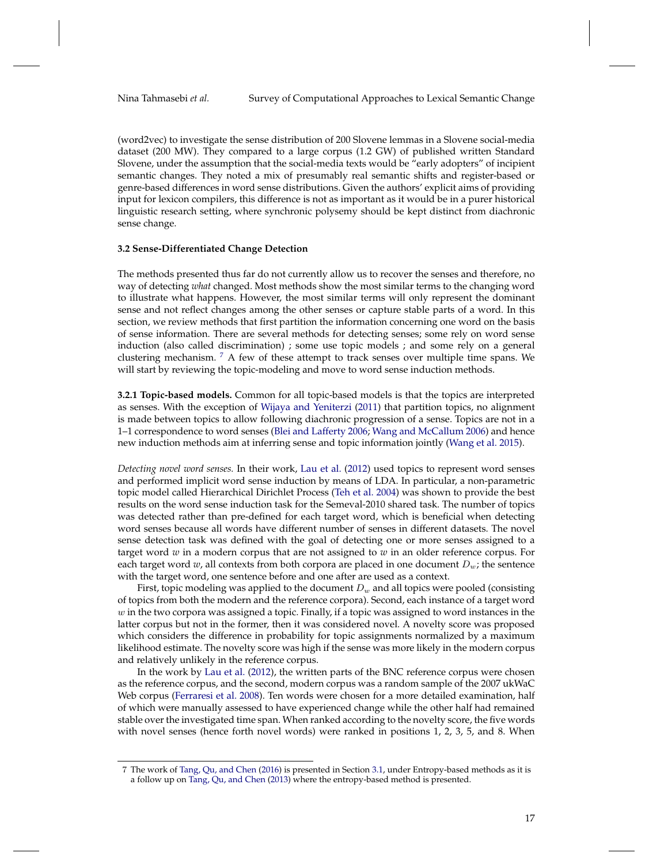(word2vec) to investigate the sense distribution of 200 Slovene lemmas in a Slovene social-media dataset (200 MW). They compared to a large corpus (1.2 GW) of published written Standard Slovene, under the assumption that the social-media texts would be "early adopters" of incipient semantic changes. They noted a mix of presumably real semantic shifts and register-based or genre-based differences in word sense distributions. Given the authors' explicit aims of providing input for lexicon compilers, this difference is not as important as it would be in a purer historical linguistic research setting, where synchronic polysemy should be kept distinct from diachronic sense change.

#### <span id="page-16-0"></span>**3.2 Sense-Differentiated Change Detection**

The methods presented thus far do not currently allow us to recover the senses and therefore, no way of detecting *what* changed. Most methods show the most similar terms to the changing word to illustrate what happens. However, the most similar terms will only represent the dominant sense and not reflect changes among the other senses or capture stable parts of a word. In this section, we review methods that first partition the information concerning one word on the basis of sense information. There are several methods for detecting senses; some rely on word sense induction (also called discrimination) ; some use topic models ; and some rely on a general clustering mechanism. [7](#page-16-1) A few of these attempt to track senses over multiple time spans. We will start by reviewing the topic-modeling and move to word sense induction methods.

**3.2.1 Topic-based models.** Common for all topic-based models is that the topics are interpreted as senses. With the exception of [Wijaya and Yeniterzi](#page-53-8) [\(2011\)](#page-53-8) that partition topics, no alignment is made between topics to allow following diachronic progression of a sense. Topics are not in a 1–1 correspondence to word senses [\(Blei and Lafferty](#page-49-8) [2006;](#page-49-8) [Wang and McCallum](#page-53-9) [2006\)](#page-53-9) and hence new induction methods aim at inferring sense and topic information jointly [\(Wang et al.](#page-53-10) [2015\)](#page-53-10).

*Detecting novel word senses.* In their work, [Lau et al.](#page-51-10) [\(2012\)](#page-51-10) used topics to represent word senses and performed implicit word sense induction by means of LDA. In particular, a non-parametric topic model called Hierarchical Dirichlet Process [\(Teh et al.](#page-53-11) [2004\)](#page-53-11) was shown to provide the best results on the word sense induction task for the Semeval-2010 shared task. The number of topics was detected rather than pre-defined for each target word, which is beneficial when detecting word senses because all words have different number of senses in different datasets. The novel sense detection task was defined with the goal of detecting one or more senses assigned to a target word *w* in a modern corpus that are not assigned to *w* in an older reference corpus. For each target word  $w$ , all contexts from both corpora are placed in one document  $D_w$ ; the sentence with the target word, one sentence before and one after are used as a context.

First, topic modeling was applied to the document  $D_w$  and all topics were pooled (consisting of topics from both the modern and the reference corpora). Second, each instance of a target word  $w$  in the two corpora was assigned a topic. Finally, if a topic was assigned to word instances in the latter corpus but not in the former, then it was considered novel. A novelty score was proposed which considers the difference in probability for topic assignments normalized by a maximum likelihood estimate. The novelty score was high if the sense was more likely in the modern corpus and relatively unlikely in the reference corpus.

In the work by [Lau et al.](#page-51-10) [\(2012\)](#page-51-10), the written parts of the BNC reference corpus were chosen as the reference corpus, and the second, modern corpus was a random sample of the 2007 ukWaC Web corpus [\(Ferraresi et al.](#page-50-9) [2008\)](#page-50-9). Ten words were chosen for a more detailed examination, half of which were manually assessed to have experienced change while the other half had remained stable over the investigated time span. When ranked according to the novelty score, the five words with novel senses (hence forth novel words) were ranked in positions 1, 2, 3, 5, and 8. When

<span id="page-16-1"></span><sup>7</sup> The work of [Tang, Qu, and Chen](#page-53-3) [\(2016\)](#page-53-3) is presented in Section [3.1,](#page-4-1) under Entropy-based methods as it is a follow up on [Tang, Qu, and Chen](#page-53-2) [\(2013\)](#page-53-2) where the entropy-based method is presented.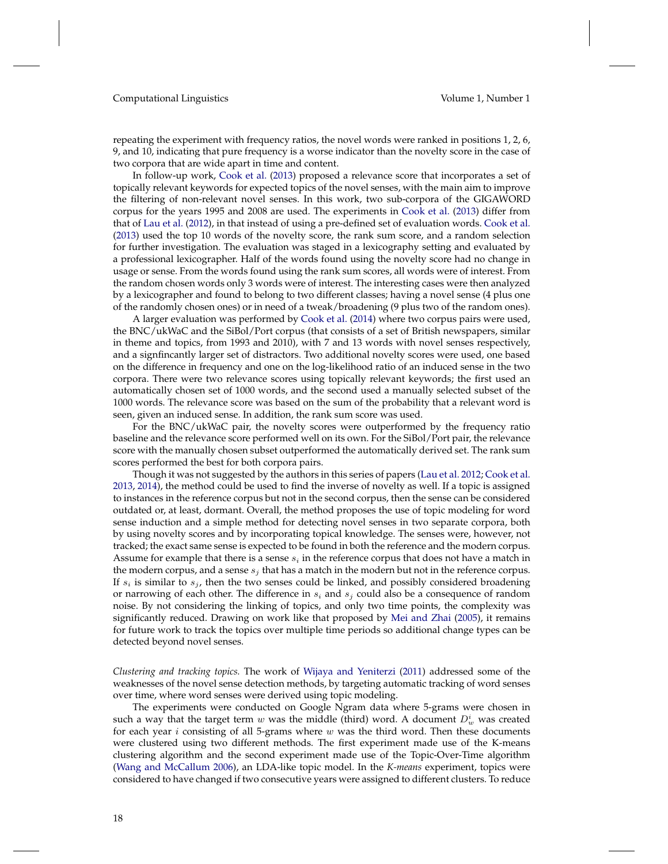repeating the experiment with frequency ratios, the novel words were ranked in positions 1, 2, 6, 9, and 10, indicating that pure frequency is a worse indicator than the novelty score in the case of two corpora that are wide apart in time and content.

In follow-up work, [Cook et al.](#page-49-9) [\(2013\)](#page-49-9) proposed a relevance score that incorporates a set of topically relevant keywords for expected topics of the novel senses, with the main aim to improve the filtering of non-relevant novel senses. In this work, two sub-corpora of the GIGAWORD corpus for the years 1995 and 2008 are used. The experiments in [Cook et al.](#page-49-9) [\(2013\)](#page-49-9) differ from that of [Lau et al.](#page-51-10) [\(2012\)](#page-51-10), in that instead of using a pre-defined set of evaluation words. [Cook et al.](#page-49-9) [\(2013\)](#page-49-9) used the top 10 words of the novelty score, the rank sum score, and a random selection for further investigation. The evaluation was staged in a lexicography setting and evaluated by a professional lexicographer. Half of the words found using the novelty score had no change in usage or sense. From the words found using the rank sum scores, all words were of interest. From the random chosen words only 3 words were of interest. The interesting cases were then analyzed by a lexicographer and found to belong to two different classes; having a novel sense (4 plus one of the randomly chosen ones) or in need of a tweak/broadening (9 plus two of the random ones).

A larger evaluation was performed by [Cook et al.](#page-49-10) [\(2014\)](#page-49-10) where two corpus pairs were used, the BNC/ukWaC and the SiBol/Port corpus (that consists of a set of British newspapers, similar in theme and topics, from 1993 and 2010), with 7 and 13 words with novel senses respectively, and a signfincantly larger set of distractors. Two additional novelty scores were used, one based on the difference in frequency and one on the log-likelihood ratio of an induced sense in the two corpora. There were two relevance scores using topically relevant keywords; the first used an automatically chosen set of 1000 words, and the second used a manually selected subset of the 1000 words. The relevance score was based on the sum of the probability that a relevant word is seen, given an induced sense. In addition, the rank sum score was used.

For the BNC/ukWaC pair, the novelty scores were outperformed by the frequency ratio baseline and the relevance score performed well on its own. For the SiBol/Port pair, the relevance score with the manually chosen subset outperformed the automatically derived set. The rank sum scores performed the best for both corpora pairs.

Though it was not suggested by the authors in this series of papers [\(Lau et al.](#page-51-10) [2012;](#page-51-10) [Cook et al.](#page-49-9) [2013,](#page-49-9) [2014\)](#page-49-10), the method could be used to find the inverse of novelty as well. If a topic is assigned to instances in the reference corpus but not in the second corpus, then the sense can be considered outdated or, at least, dormant. Overall, the method proposes the use of topic modeling for word sense induction and a simple method for detecting novel senses in two separate corpora, both by using novelty scores and by incorporating topical knowledge. The senses were, however, not tracked; the exact same sense is expected to be found in both the reference and the modern corpus. Assume for example that there is a sense  $s_i$  in the reference corpus that does not have a match in the modern corpus, and a sense  $s_j$  that has a match in the modern but not in the reference corpus. If  $s_i$  is similar to  $s_j$ , then the two senses could be linked, and possibly considered broadening or narrowing of each other. The difference in  $s_i$  and  $s_j$  could also be a consequence of random noise. By not considering the linking of topics, and only two time points, the complexity was significantly reduced. Drawing on work like that proposed by [Mei and Zhai](#page-51-11) [\(2005\)](#page-51-11), it remains for future work to track the topics over multiple time periods so additional change types can be detected beyond novel senses.

*Clustering and tracking topics.* The work of [Wijaya and Yeniterzi](#page-53-8) [\(2011\)](#page-53-8) addressed some of the weaknesses of the novel sense detection methods, by targeting automatic tracking of word senses over time, where word senses were derived using topic modeling.

The experiments were conducted on Google Ngram data where 5-grams were chosen in such a way that the target term  $w$  was the middle (third) word. A document  $D_w^i$  was created for each year  $i$  consisting of all 5-grams where  $w$  was the third word. Then these documents were clustered using two different methods. The first experiment made use of the K-means clustering algorithm and the second experiment made use of the Topic-Over-Time algorithm [\(Wang and McCallum](#page-53-9) [2006\)](#page-53-9), an LDA-like topic model. In the *K-means* experiment, topics were considered to have changed if two consecutive years were assigned to different clusters. To reduce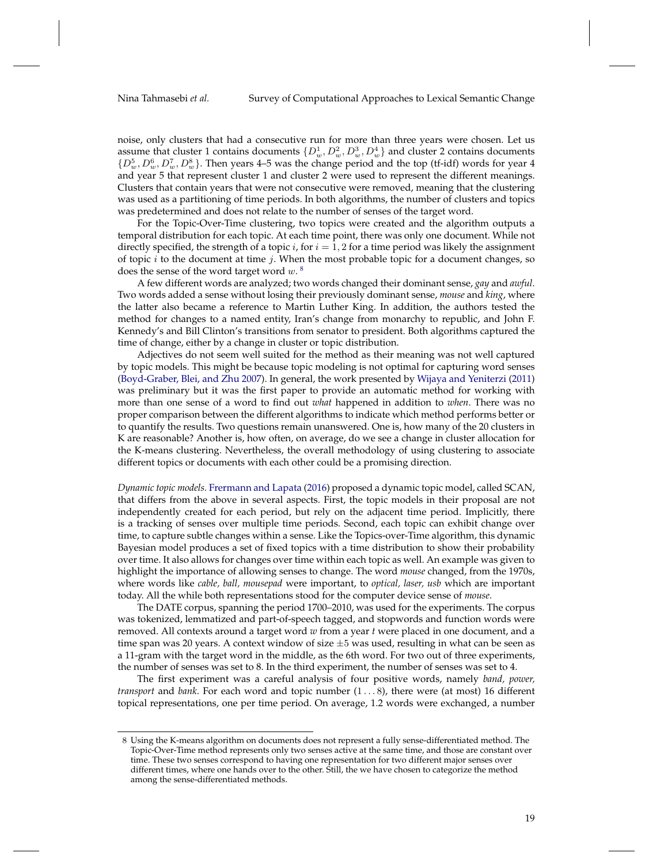noise, only clusters that had a consecutive run for more than three years were chosen. Let us assume that cluster 1 contains documents  $\{D^1_w, D^2_w, D^3_w, D^4_w\}$  and cluster 2 contains documents  $\{D_w^5, D_w^6, D_w^7, D_w^8\}$ . Then years 4–5 was the change period and the top (tf-idf) words for year 4 and year 5 that represent cluster 1 and cluster 2 were used to represent the different meanings. Clusters that contain years that were not consecutive were removed, meaning that the clustering was used as a partitioning of time periods. In both algorithms, the number of clusters and topics was predetermined and does not relate to the number of senses of the target word.

For the Topic-Over-Time clustering, two topics were created and the algorithm outputs a temporal distribution for each topic. At each time point, there was only one document. While not directly specified, the strength of a topic *i*, for  $i = 1, 2$  for a time period was likely the assignment of topic  $i$  to the document at time  $j$ . When the most probable topic for a document changes, so does the sense of the word target word  $w$ .<sup>[8](#page-18-0)</sup>

A few different words are analyzed; two words changed their dominant sense, *gay* and *awful*. Two words added a sense without losing their previously dominant sense, *mouse* and *king*, where the latter also became a reference to Martin Luther King. In addition, the authors tested the method for changes to a named entity, Iran's change from monarchy to republic, and John F. Kennedy's and Bill Clinton's transitions from senator to president. Both algorithms captured the time of change, either by a change in cluster or topic distribution.

Adjectives do not seem well suited for the method as their meaning was not well captured by topic models. This might be because topic modeling is not optimal for capturing word senses [\(Boyd-Graber, Blei, and Zhu](#page-49-11) [2007\)](#page-49-11). In general, the work presented by [Wijaya and Yeniterzi](#page-53-8) [\(2011\)](#page-53-8) was preliminary but it was the first paper to provide an automatic method for working with more than one sense of a word to find out *what* happened in addition to *when*. There was no proper comparison between the different algorithms to indicate which method performs better or to quantify the results. Two questions remain unanswered. One is, how many of the 20 clusters in K are reasonable? Another is, how often, on average, do we see a change in cluster allocation for the K-means clustering. Nevertheless, the overall methodology of using clustering to associate different topics or documents with each other could be a promising direction.

*Dynamic topic models.* [Frermann and Lapata](#page-50-10) [\(2016\)](#page-50-10) proposed a dynamic topic model, called SCAN, that differs from the above in several aspects. First, the topic models in their proposal are not independently created for each period, but rely on the adjacent time period. Implicitly, there is a tracking of senses over multiple time periods. Second, each topic can exhibit change over time, to capture subtle changes within a sense. Like the Topics-over-Time algorithm, this dynamic Bayesian model produces a set of fixed topics with a time distribution to show their probability over time. It also allows for changes over time within each topic as well. An example was given to highlight the importance of allowing senses to change. The word *mouse* changed, from the 1970s, where words like *cable, ball, mousepad* were important, to *optical, laser, usb* which are important today. All the while both representations stood for the computer device sense of *mouse*.

The DATE corpus, spanning the period 1700–2010, was used for the experiments. The corpus was tokenized, lemmatized and part-of-speech tagged, and stopwords and function words were removed. All contexts around a target word *w* from a year *t* were placed in one document, and a time span was 20 years. A context window of size  $\pm 5$  was used, resulting in what can be seen as a 11-gram with the target word in the middle, as the 6th word. For two out of three experiments, the number of senses was set to 8. In the third experiment, the number of senses was set to 4.

The first experiment was a careful analysis of four positive words, namely *band, power, transport* and *bank*. For each word and topic number (1 . . . 8), there were (at most) 16 different topical representations, one per time period. On average, 1.2 words were exchanged, a number

<span id="page-18-0"></span><sup>8</sup> Using the K-means algorithm on documents does not represent a fully sense-differentiated method. The Topic-Over-Time method represents only two senses active at the same time, and those are constant over time. These two senses correspond to having one representation for two different major senses over different times, where one hands over to the other. Still, the we have chosen to categorize the method among the sense-differentiated methods.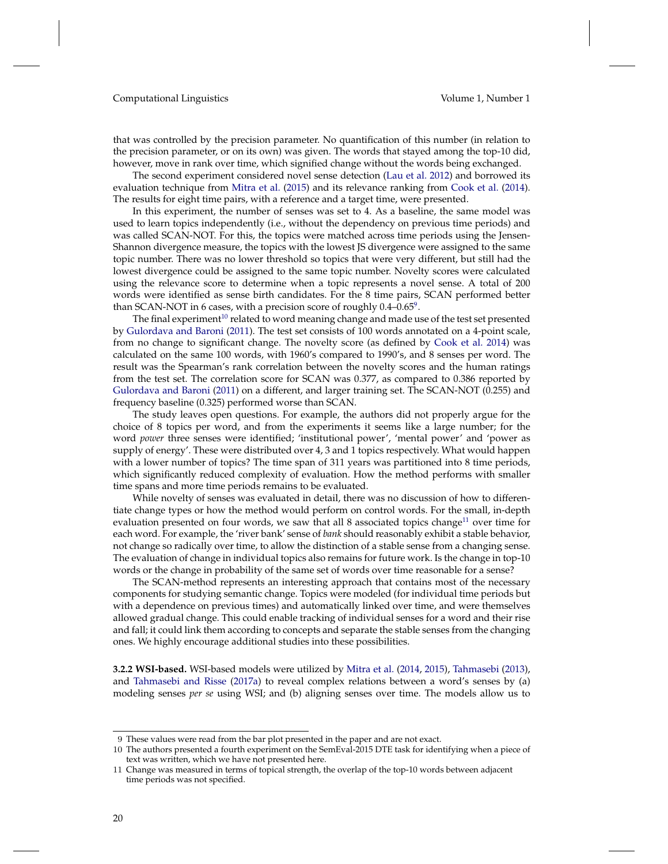that was controlled by the precision parameter. No quantification of this number (in relation to the precision parameter, or on its own) was given. The words that stayed among the top-10 did, however, move in rank over time, which signified change without the words being exchanged.

The second experiment considered novel sense detection [\(Lau et al.](#page-51-10) [2012\)](#page-51-10) and borrowed its evaluation technique from [Mitra et al.](#page-52-13) [\(2015\)](#page-52-13) and its relevance ranking from [Cook et al.](#page-49-10) [\(2014\)](#page-49-10). The results for eight time pairs, with a reference and a target time, were presented.

In this experiment, the number of senses was set to 4. As a baseline, the same model was used to learn topics independently (i.e., without the dependency on previous time periods) and was called SCAN-NOT. For this, the topics were matched across time periods using the Jensen-Shannon divergence measure, the topics with the lowest JS divergence were assigned to the same topic number. There was no lower threshold so topics that were very different, but still had the lowest divergence could be assigned to the same topic number. Novelty scores were calculated using the relevance score to determine when a topic represents a novel sense. A total of 200 words were identified as sense birth candidates. For the 8 time pairs, SCAN performed better than SCAN-NOT in 6 cases, with a precision score of roughly  $0.4$ – $0.65^9$  $0.65^9$ .

The final experiment<sup>[10](#page-19-1)</sup> related to word meaning change and made use of the test set presented by [Gulordava and Baroni](#page-50-3) [\(2011\)](#page-50-3). The test set consists of 100 words annotated on a 4-point scale, from no change to significant change. The novelty score (as defined by [Cook et al.](#page-49-10) [2014\)](#page-49-10) was calculated on the same 100 words, with 1960's compared to 1990's, and 8 senses per word. The result was the Spearman's rank correlation between the novelty scores and the human ratings from the test set. The correlation score for SCAN was 0.377, as compared to 0.386 reported by [Gulordava and Baroni](#page-50-3) [\(2011\)](#page-50-3) on a different, and larger training set. The SCAN-NOT (0.255) and frequency baseline (0.325) performed worse than SCAN.

The study leaves open questions. For example, the authors did not properly argue for the choice of 8 topics per word, and from the experiments it seems like a large number; for the word *power* three senses were identified; 'institutional power', 'mental power' and 'power as supply of energy'. These were distributed over 4, 3 and 1 topics respectively. What would happen with a lower number of topics? The time span of 311 years was partitioned into 8 time periods, which significantly reduced complexity of evaluation. How the method performs with smaller time spans and more time periods remains to be evaluated.

While novelty of senses was evaluated in detail, there was no discussion of how to differentiate change types or how the method would perform on control words. For the small, in-depth evaluation presented on four words, we saw that all 8 associated topics change<sup>[11](#page-19-2)</sup> over time for each word. For example, the 'river bank' sense of *bank* should reasonably exhibit a stable behavior, not change so radically over time, to allow the distinction of a stable sense from a changing sense. The evaluation of change in individual topics also remains for future work. Is the change in top-10 words or the change in probability of the same set of words over time reasonable for a sense?

The SCAN-method represents an interesting approach that contains most of the necessary components for studying semantic change. Topics were modeled (for individual time periods but with a dependence on previous times) and automatically linked over time, and were themselves allowed gradual change. This could enable tracking of individual senses for a word and their rise and fall; it could link them according to concepts and separate the stable senses from the changing ones. We highly encourage additional studies into these possibilities.

**3.2.2 WSI-based.** WSI-based models were utilized by [Mitra et al.](#page-52-14) [\(2014,](#page-52-14) [2015\)](#page-52-13), [Tahmasebi](#page-53-12) [\(2013\)](#page-53-12), and [Tahmasebi and Risse](#page-53-13) [\(2017a\)](#page-53-13) to reveal complex relations between a word's senses by (a) modeling senses *per se* using WSI; and (b) aligning senses over time. The models allow us to

<span id="page-19-0"></span><sup>9</sup> These values were read from the bar plot presented in the paper and are not exact.

<span id="page-19-1"></span><sup>10</sup> The authors presented a fourth experiment on the SemEval-2015 DTE task for identifying when a piece of text was written, which we have not presented here.

<span id="page-19-2"></span><sup>11</sup> Change was measured in terms of topical strength, the overlap of the top-10 words between adjacent time periods was not specified.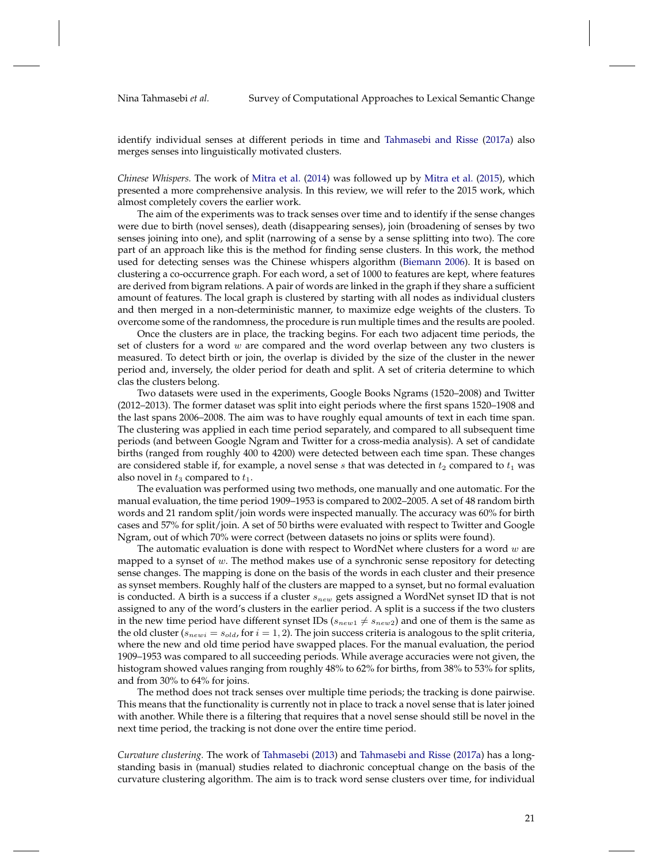Nina Tahmasebi *et al.* Survey of Computational Approaches to Lexical Semantic Change

identify individual senses at different periods in time and [Tahmasebi and Risse](#page-53-13) [\(2017a\)](#page-53-13) also merges senses into linguistically motivated clusters.

*Chinese Whispers.* The work of [Mitra et al.](#page-52-14) [\(2014\)](#page-52-14) was followed up by [Mitra et al.](#page-52-13) [\(2015\)](#page-52-13), which presented a more comprehensive analysis. In this review, we will refer to the 2015 work, which almost completely covers the earlier work.

The aim of the experiments was to track senses over time and to identify if the sense changes were due to birth (novel senses), death (disappearing senses), join (broadening of senses by two senses joining into one), and split (narrowing of a sense by a sense splitting into two). The core part of an approach like this is the method for finding sense clusters. In this work, the method used for detecting senses was the Chinese whispers algorithm [\(Biemann](#page-49-12) [2006\)](#page-49-12). It is based on clustering a co-occurrence graph. For each word, a set of 1000 to features are kept, where features are derived from bigram relations. A pair of words are linked in the graph if they share a sufficient amount of features. The local graph is clustered by starting with all nodes as individual clusters and then merged in a non-deterministic manner, to maximize edge weights of the clusters. To overcome some of the randomness, the procedure is run multiple times and the results are pooled.

Once the clusters are in place, the tracking begins. For each two adjacent time periods, the set of clusters for a word  $w$  are compared and the word overlap between any two clusters is measured. To detect birth or join, the overlap is divided by the size of the cluster in the newer period and, inversely, the older period for death and split. A set of criteria determine to which clas the clusters belong.

Two datasets were used in the experiments, Google Books Ngrams (1520–2008) and Twitter (2012–2013). The former dataset was split into eight periods where the first spans 1520–1908 and the last spans 2006–2008. The aim was to have roughly equal amounts of text in each time span. The clustering was applied in each time period separately, and compared to all subsequent time periods (and between Google Ngram and Twitter for a cross-media analysis). A set of candidate births (ranged from roughly 400 to 4200) were detected between each time span. These changes are considered stable if, for example, a novel sense s that was detected in  $t_2$  compared to  $t_1$  was also novel in  $t_3$  compared to  $t_1$ .

The evaluation was performed using two methods, one manually and one automatic. For the manual evaluation, the time period 1909–1953 is compared to 2002–2005. A set of 48 random birth words and 21 random split/join words were inspected manually. The accuracy was 60% for birth cases and 57% for split/join. A set of 50 births were evaluated with respect to Twitter and Google Ngram, out of which 70% were correct (between datasets no joins or splits were found).

The automatic evaluation is done with respect to WordNet where clusters for a word  $w$  are mapped to a synset of  $w$ . The method makes use of a synchronic sense repository for detecting sense changes. The mapping is done on the basis of the words in each cluster and their presence as synset members. Roughly half of the clusters are mapped to a synset, but no formal evaluation is conducted. A birth is a success if a cluster  $s_{new}$  gets assigned a WordNet synset ID that is not assigned to any of the word's clusters in the earlier period. A split is a success if the two clusters in the new time period have different synset IDs ( $s_{new1} \neq s_{new2}$ ) and one of them is the same as the old cluster ( $s_{newi} = s_{old}$ , for  $i = 1, 2$ ). The join success criteria is analogous to the split criteria, where the new and old time period have swapped places. For the manual evaluation, the period 1909–1953 was compared to all succeeding periods. While average accuracies were not given, the histogram showed values ranging from roughly 48% to 62% for births, from 38% to 53% for splits, and from 30% to 64% for joins.

The method does not track senses over multiple time periods; the tracking is done pairwise. This means that the functionality is currently not in place to track a novel sense that is later joined with another. While there is a filtering that requires that a novel sense should still be novel in the next time period, the tracking is not done over the entire time period.

*Curvature clustering.* The work of [Tahmasebi](#page-53-12) [\(2013\)](#page-53-12) and [Tahmasebi and Risse](#page-53-13) [\(2017a\)](#page-53-13) has a longstanding basis in (manual) studies related to diachronic conceptual change on the basis of the curvature clustering algorithm. The aim is to track word sense clusters over time, for individual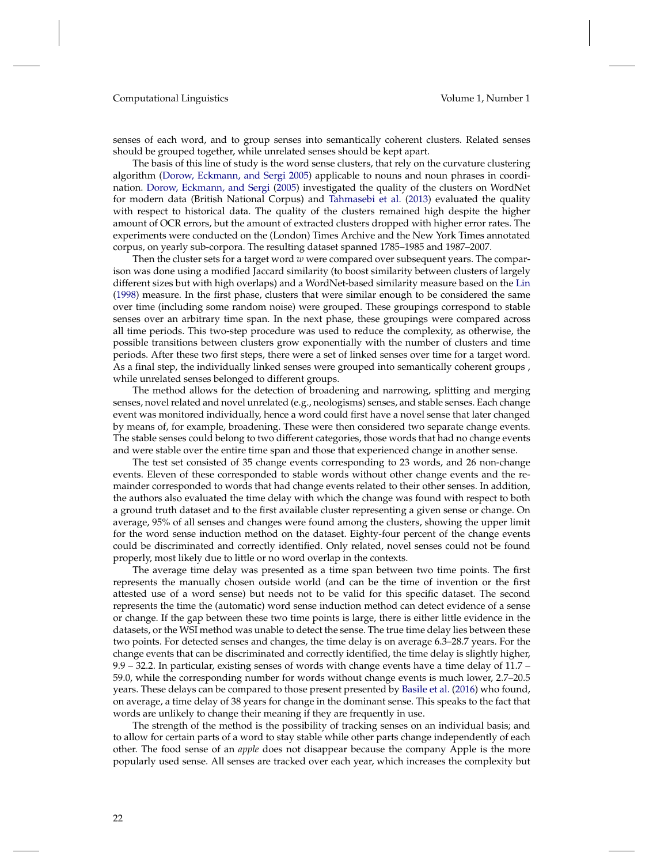senses of each word, and to group senses into semantically coherent clusters. Related senses should be grouped together, while unrelated senses should be kept apart.

The basis of this line of study is the word sense clusters, that rely on the curvature clustering algorithm [\(Dorow, Eckmann, and Sergi](#page-49-13) [2005\)](#page-49-13) applicable to nouns and noun phrases in coordination. [Dorow, Eckmann, and Sergi](#page-49-13) [\(2005\)](#page-49-13) investigated the quality of the clusters on WordNet for modern data (British National Corpus) and [Tahmasebi et al.](#page-53-14) [\(2013\)](#page-53-14) evaluated the quality with respect to historical data. The quality of the clusters remained high despite the higher amount of OCR errors, but the amount of extracted clusters dropped with higher error rates. The experiments were conducted on the (London) Times Archive and the New York Times annotated corpus, on yearly sub-corpora. The resulting dataset spanned 1785–1985 and 1987–2007.

Then the cluster sets for a target word *w* were compared over subsequent years. The comparison was done using a modified Jaccard similarity (to boost similarity between clusters of largely different sizes but with high overlaps) and a WordNet-based similarity measure based on the [Lin](#page-51-12) [\(1998\)](#page-51-12) measure. In the first phase, clusters that were similar enough to be considered the same over time (including some random noise) were grouped. These groupings correspond to stable senses over an arbitrary time span. In the next phase, these groupings were compared across all time periods. This two-step procedure was used to reduce the complexity, as otherwise, the possible transitions between clusters grow exponentially with the number of clusters and time periods. After these two first steps, there were a set of linked senses over time for a target word. As a final step, the individually linked senses were grouped into semantically coherent groups , while unrelated senses belonged to different groups.

The method allows for the detection of broadening and narrowing, splitting and merging senses, novel related and novel unrelated (e.g., neologisms) senses, and stable senses. Each change event was monitored individually, hence a word could first have a novel sense that later changed by means of, for example, broadening. These were then considered two separate change events. The stable senses could belong to two different categories, those words that had no change events and were stable over the entire time span and those that experienced change in another sense.

The test set consisted of 35 change events corresponding to 23 words, and 26 non-change events. Eleven of these corresponded to stable words without other change events and the remainder corresponded to words that had change events related to their other senses. In addition, the authors also evaluated the time delay with which the change was found with respect to both a ground truth dataset and to the first available cluster representing a given sense or change. On average, 95% of all senses and changes were found among the clusters, showing the upper limit for the word sense induction method on the dataset. Eighty-four percent of the change events could be discriminated and correctly identified. Only related, novel senses could not be found properly, most likely due to little or no word overlap in the contexts.

The average time delay was presented as a time span between two time points. The first represents the manually chosen outside world (and can be the time of invention or the first attested use of a word sense) but needs not to be valid for this specific dataset. The second represents the time the (automatic) word sense induction method can detect evidence of a sense or change. If the gap between these two time points is large, there is either little evidence in the datasets, or the WSI method was unable to detect the sense. The true time delay lies between these two points. For detected senses and changes, the time delay is on average 6.3–28.7 years. For the change events that can be discriminated and correctly identified, the time delay is slightly higher, 9.9 – 32.2. In particular, existing senses of words with change events have a time delay of 11.7 – 59.0, while the corresponding number for words without change events is much lower, 2.7–20.5 years. These delays can be compared to those present presented by [Basile et al.](#page-48-2) [\(2016\)](#page-48-2) who found, on average, a time delay of 38 years for change in the dominant sense. This speaks to the fact that words are unlikely to change their meaning if they are frequently in use.

The strength of the method is the possibility of tracking senses on an individual basis; and to allow for certain parts of a word to stay stable while other parts change independently of each other. The food sense of an *apple* does not disappear because the company Apple is the more popularly used sense. All senses are tracked over each year, which increases the complexity but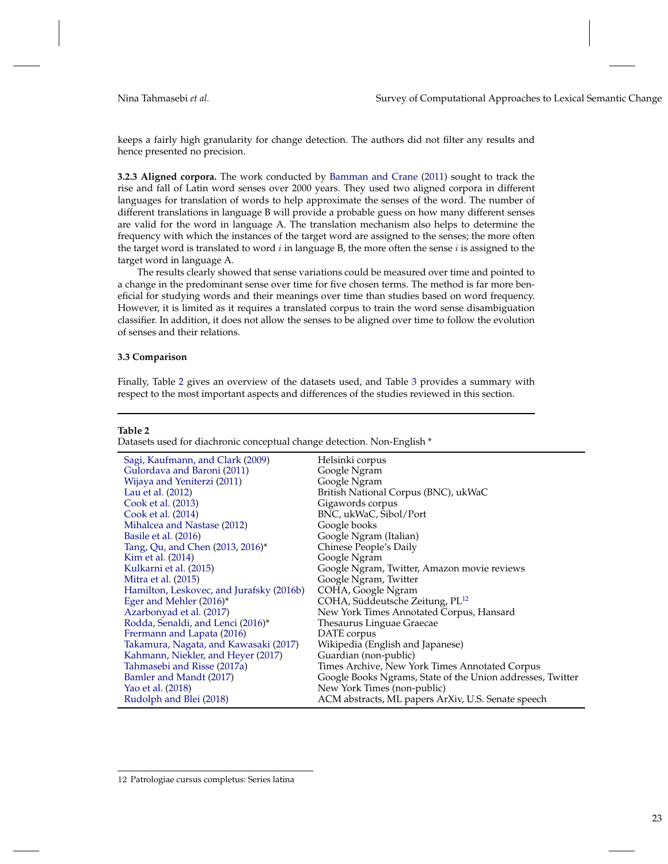keeps a fairly high granularity for change detection. The authors did not filter any results and hence presented no precision.

**3.2.3 Aligned corpora.** The work conducted by [Bamman and Crane](#page-48-8) [\(2011\)](#page-48-8) sought to track the rise and fall of Latin word senses over 2000 years. They used two aligned corpora in different languages for translation of words to help approximate the senses of the word. The number of different translations in language B will provide a probable guess on how many different senses are valid for the word in language A. The translation mechanism also helps to determine the frequency with which the instances of the target word are assigned to the senses; the more often the target word is translated to word  $i$  in language B, the more often the sense  $i$  is assigned to the target word in language A.

The results clearly showed that sense variations could be measured over time and pointed to a change in the predominant sense over time for five chosen terms. The method is far more beneficial for studying words and their meanings over time than studies based on word frequency. However, it is limited as it requires a translated corpus to train the word sense disambiguation classifier. In addition, it does not allow the senses to be aligned over time to follow the evolution of senses and their relations.

## **3.3 Comparison**

Finally, Table [2](#page-22-0) gives an overview of the datasets used, and Table [3](#page-23-0) provides a summary with respect to the most important aspects and differences of the studies reviewed in this section.

#### **Table 2**

<span id="page-22-0"></span>Datasets used for diachronic conceptual change detection. Non-English \*

| Sagi, Kaufmann, and Clark (2009)         | Helsinki corpus                                            |
|------------------------------------------|------------------------------------------------------------|
| Gulordava and Baroni (2011)              | Google Ngram                                               |
| Wijaya and Yeniterzi (2011)              | Google Ngram                                               |
| Lau et al. (2012)                        | British National Corpus (BNC), ukWaC                       |
| Cook et al. (2013)                       | Gigawords corpus                                           |
| Cook et al. (2014)                       | BNC, ukWaC, Sibol/Port                                     |
| Mihalcea and Nastase (2012)              | Google books                                               |
| Basile et al. (2016)                     | Google Ngram (Italian)                                     |
| Tang, Qu, and Chen (2013, 2016)*         | Chinese People's Daily                                     |
| Kim et al. (2014)                        | Google Ngram                                               |
| Kulkarni et al. (2015)                   | Google Ngram, Twitter, Amazon movie reviews                |
| Mitra et al. (2015)                      | Google Ngram, Twitter                                      |
| Hamilton, Leskovec, and Jurafsky (2016b) | COHA, Google Ngram                                         |
| Eger and Mehler (2016)*                  | COHA, Süddeutsche Zeitung, PL <sup>12</sup>                |
| Azarbonyad et al. (2017)                 | New York Times Annotated Corpus, Hansard                   |
| Rodda, Senaldi, and Lenci (2016)*        | Thesaurus Linguae Graecae                                  |
| Frermann and Lapata (2016)               | DATE corpus                                                |
| Takamura, Nagata, and Kawasaki (2017)    | Wikipedia (English and Japanese)                           |
| Kahmann, Niekler, and Heyer (2017)       | Guardian (non-public)                                      |
| Tahmasebi and Risse (2017a)              | Times Archive, New York Times Annotated Corpus             |
| Bamler and Mandt (2017)                  | Google Books Ngrams, State of the Union addresses, Twitter |
| Yao et al. (2018)                        | New York Times (non-public)                                |
| Rudolph and Blei (2018)                  | ACM abstracts, ML papers ArXiv, U.S. Senate speech         |

<span id="page-22-1"></span><sup>12</sup> Patrologiae cursus completus: Series latina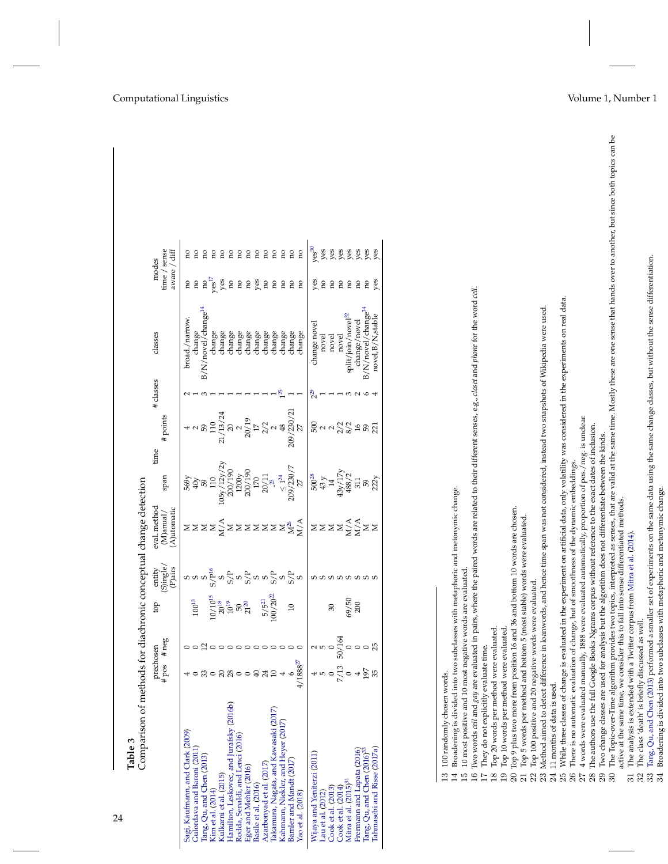<span id="page-23-21"></span><span id="page-23-20"></span><span id="page-23-19"></span><span id="page-23-18"></span><span id="page-23-16"></span><span id="page-23-15"></span><span id="page-23-14"></span><span id="page-23-13"></span><span id="page-23-11"></span><span id="page-23-10"></span><span id="page-23-9"></span><span id="page-23-7"></span><span id="page-23-6"></span><span id="page-23-5"></span><span id="page-23-3"></span><span id="page-23-2"></span><span id="page-23-1"></span>

| Comparison of methods for diachronic conceptual change detection<br>Table 3                                                                                                                                                |                            |                                                                                                                 |                                                                                |                                                                                                                                                                                                                                                                                                                                                                                                                                                                                         |                                          |                                                                                                                                   |                                                                                                                       |           |                                                                                                                                                         |                                       |                                                                                                                                                                                                |
|----------------------------------------------------------------------------------------------------------------------------------------------------------------------------------------------------------------------------|----------------------------|-----------------------------------------------------------------------------------------------------------------|--------------------------------------------------------------------------------|-----------------------------------------------------------------------------------------------------------------------------------------------------------------------------------------------------------------------------------------------------------------------------------------------------------------------------------------------------------------------------------------------------------------------------------------------------------------------------------------|------------------------------------------|-----------------------------------------------------------------------------------------------------------------------------------|-----------------------------------------------------------------------------------------------------------------------|-----------|---------------------------------------------------------------------------------------------------------------------------------------------------------|---------------------------------------|------------------------------------------------------------------------------------------------------------------------------------------------------------------------------------------------|
|                                                                                                                                                                                                                            | #pos                       | #neg<br>prechosen                                                                                               | ф                                                                              | entity<br>(S)ingle/<br>(P)airs                                                                                                                                                                                                                                                                                                                                                                                                                                                          | eval. method<br>(A)utomatic<br>(M)anual/ | time<br>span                                                                                                                      | # points                                                                                                              | # classes | classes                                                                                                                                                 | time / sense<br>aware / diff<br>modes |                                                                                                                                                                                                |
| Sagi, Kaufmann, and Clark (2009)<br>Gulordava and Baroni (2011)<br>Tang, Qu, and Chen (2013)                                                                                                                               |                            |                                                                                                                 | $100^{13}\,$                                                                   | $\begin{array}{c} \mathcal{Q} \sim \mathcal{Q} \sim \mathcal{Q} \sim \mathcal{Q} \sim \mathcal{Q} \sim \mathcal{Q} \sim \mathcal{Q} \sim \mathcal{Q} \sim \mathcal{Q} \sim \mathcal{Q} \sim \mathcal{Q} \sim \mathcal{Q} \sim \mathcal{Q} \sim \mathcal{Q} \sim \mathcal{Q} \sim \mathcal{Q} \sim \mathcal{Q} \sim \mathcal{Q} \sim \mathcal{Q} \sim \mathcal{Q} \sim \mathcal{Q} \sim \mathcal{Q} \sim \mathcal{Q} \sim \mathcal{Q} \sim \mathcal{Q} \sim \mathcal{Q} \sim \mathcal{Q$ | zzzzjzzzzzzz <sub>ž</sub>                | $\frac{109}{109}$<br>$\frac{40y}{59}$<br>$\frac{59}{59}$<br>$\frac{10}{125}$<br>$\frac{10}{200/190}$<br>$\frac{200/190}{200/190}$ | $4$<br>$32$<br>$110$<br>$21/13/24$<br>$20/15$<br>$20$<br>$17$<br>$21$<br>$21$<br>$20$<br>$209/230/21$<br>$209/230/21$ |           | B/N/novel/change <sup>14</sup><br>broad./narrow.<br>change                                                                                              | res <sup>17</sup><br>no<br>no<br>no   | ΩÓ<br>Ωû<br>ΩO                                                                                                                                                                                 |
| Hamilton, Leskovec, and Jurafsky (2016b)<br>Kulkami et al. (2015)<br>Kim et al. (2014)                                                                                                                                     |                            | 0                                                                                                               | $\begin{array}{c} 10/10^{15}\\ 20^{18}\\ 10^{19}\\ 50\\ 21^{20}\\ \end{array}$ |                                                                                                                                                                                                                                                                                                                                                                                                                                                                                         |                                          |                                                                                                                                   |                                                                                                                       |           | change<br>change<br>change                                                                                                                              | yes<br>no                             | no<br>no<br>no                                                                                                                                                                                 |
| Rodda, Senaldi, and Lenci (2016)<br>Eger and Mehler (2016)                                                                                                                                                                 | $\circ$                    | $\circ$                                                                                                         |                                                                                |                                                                                                                                                                                                                                                                                                                                                                                                                                                                                         |                                          | $\begin{array}{c} 1200 \rm{y} \\ 200 / 190 \\ 170 \end{array}$                                                                    |                                                                                                                       |           | change<br>change                                                                                                                                        | $_{\rm no}^{\rm co}$                  | Ωū<br>no                                                                                                                                                                                       |
| Azarbonyad et al. (2017)<br>Basile et al. (2016)                                                                                                                                                                           | $\overline{40}$<br>$^{24}$ |                                                                                                                 | $\frac{5}{5^{21}}$<br>100/20 <sup>22</sup>                                     | ပေး<br>လည်း လည်း လ                                                                                                                                                                                                                                                                                                                                                                                                                                                                      |                                          | $\frac{20/11}{23}$                                                                                                                |                                                                                                                       |           | change<br>change                                                                                                                                        | yes<br>$_{\rm no}$                    | no<br>no                                                                                                                                                                                       |
| Iakamura, Nagata, and Kawasaki (2017)<br>Kahmann, Niekler, and Heyer (2017)                                                                                                                                                | $\overline{10}$            | $\circ$                                                                                                         |                                                                                |                                                                                                                                                                                                                                                                                                                                                                                                                                                                                         |                                          |                                                                                                                                   |                                                                                                                       |           | change<br>change                                                                                                                                        | $_{\rm n}$<br>$_{\rm no}$             | no<br>no                                                                                                                                                                                       |
| Bamler and Mandt (2017)<br>Yao et al. (2018)                                                                                                                                                                               | $4/1888^{27}$<br>$\circ$   | $\circ \circ \circ$                                                                                             | $\overline{10}$                                                                |                                                                                                                                                                                                                                                                                                                                                                                                                                                                                         |                                          | $\frac{\leq 1^{24}}{209/230/7}$                                                                                                   |                                                                                                                       |           | change<br>change                                                                                                                                        | ρu<br>no                              | no<br>no                                                                                                                                                                                       |
| Nijaya and Yeniterzi (2011)                                                                                                                                                                                                |                            |                                                                                                                 |                                                                                |                                                                                                                                                                                                                                                                                                                                                                                                                                                                                         |                                          |                                                                                                                                   |                                                                                                                       | $2^9$     | change novel                                                                                                                                            |                                       | ves <sup>30</sup>                                                                                                                                                                              |
| Lau et al. $(2012)$                                                                                                                                                                                                        |                            | $\begin{array}{ccc}\n & 5 & 2 \\  & 5 & 5 \\  & 0 & 0 \\  & 0 & 0 \\  & 7/13 & 50/164 \\  & 0 & 0\n\end{array}$ | $\infty$                                                                       | aaaaaaaa                                                                                                                                                                                                                                                                                                                                                                                                                                                                                | zzzzjșzz                                 | $\begin{array}{c} 500^{28} \\ 43 \, y \\ 14 \\ 43 y / 17 y \\ 488 / 2 \\ \end{array}$                                             | $\frac{1}{50} \times 50 = 50$                                                                                         |           | novel                                                                                                                                                   | yes<br>no                             | yes<br>yes                                                                                                                                                                                     |
| Cook et al. (2013)<br>Cook et al. (2014)                                                                                                                                                                                   |                            |                                                                                                                 |                                                                                |                                                                                                                                                                                                                                                                                                                                                                                                                                                                                         |                                          |                                                                                                                                   |                                                                                                                       |           | novel<br>novel                                                                                                                                          | $_{\rm n}$<br>$_{\rm n}$              |                                                                                                                                                                                                |
| Mitra et al. (2015) <sup>31</sup>                                                                                                                                                                                          |                            |                                                                                                                 | $69/50$<br>$200$                                                               |                                                                                                                                                                                                                                                                                                                                                                                                                                                                                         |                                          |                                                                                                                                   |                                                                                                                       |           | split/join/novel <sup>32</sup>                                                                                                                          | no                                    | es<br>yes                                                                                                                                                                                      |
| Frermann and Lapata (2016)<br>Tang, Qu, and Chen (2016) <sup>33</sup>                                                                                                                                                      |                            |                                                                                                                 |                                                                                |                                                                                                                                                                                                                                                                                                                                                                                                                                                                                         |                                          | 311                                                                                                                               |                                                                                                                       |           | B/N/novel/change <sup>34</sup><br>change/novel                                                                                                          | $_{\rm no}$<br>no                     | es<br>yes                                                                                                                                                                                      |
| Tahmasebi and Risse (2017a)                                                                                                                                                                                                |                            |                                                                                                                 |                                                                                |                                                                                                                                                                                                                                                                                                                                                                                                                                                                                         |                                          | $\frac{59}{22}$                                                                                                                   |                                                                                                                       |           | novel, B/N, stable                                                                                                                                      | ves                                   | yes                                                                                                                                                                                            |
| 100 randomly chosen words.                                                                                                                                                                                                 |                            |                                                                                                                 |                                                                                |                                                                                                                                                                                                                                                                                                                                                                                                                                                                                         |                                          |                                                                                                                                   |                                                                                                                       |           |                                                                                                                                                         |                                       |                                                                                                                                                                                                |
| Broadening is divided into two subclasses with metaphoric and metonymic change.<br>10 most positive and 10 most negative words are evaluated<br>4<br>$\frac{5}{1}$                                                         |                            |                                                                                                                 |                                                                                |                                                                                                                                                                                                                                                                                                                                                                                                                                                                                         |                                          |                                                                                                                                   |                                                                                                                       |           |                                                                                                                                                         |                                       |                                                                                                                                                                                                |
| $\frac{6}{1}$                                                                                                                                                                                                              |                            |                                                                                                                 |                                                                                |                                                                                                                                                                                                                                                                                                                                                                                                                                                                                         |                                          |                                                                                                                                   |                                                                                                                       |           | Two words cell and gay are evaluated in pairs, where the paired words are related to their different senses, e.g., closet and phone for the word cell.  |                                       |                                                                                                                                                                                                |
| Top 20 words per method were evaluated.<br>They do not explicitly evaluate time.<br>$\frac{8}{2}$                                                                                                                          |                            |                                                                                                                 |                                                                                |                                                                                                                                                                                                                                                                                                                                                                                                                                                                                         |                                          |                                                                                                                                   |                                                                                                                       |           |                                                                                                                                                         |                                       |                                                                                                                                                                                                |
| Top 10 words per method were evaluated.<br>$\overline{19}$                                                                                                                                                                 |                            |                                                                                                                 |                                                                                |                                                                                                                                                                                                                                                                                                                                                                                                                                                                                         |                                          |                                                                                                                                   |                                                                                                                       |           |                                                                                                                                                         |                                       |                                                                                                                                                                                                |
| Top 9 plus two more from position 16 and 36 and bottom 10 words are chosen.<br>Top 5 words per method and bottom 5 (most stable) words were evaluated.<br>$\overline{\Omega}$<br>ដ                                         |                            |                                                                                                                 |                                                                                |                                                                                                                                                                                                                                                                                                                                                                                                                                                                                         |                                          |                                                                                                                                   |                                                                                                                       |           |                                                                                                                                                         |                                       |                                                                                                                                                                                                |
| Top 100 positive and 20 negative words were evaluated.<br>$\mathbb{S}^2$                                                                                                                                                   |                            |                                                                                                                 |                                                                                |                                                                                                                                                                                                                                                                                                                                                                                                                                                                                         |                                          |                                                                                                                                   |                                                                                                                       |           |                                                                                                                                                         |                                       |                                                                                                                                                                                                |
| 23                                                                                                                                                                                                                         |                            |                                                                                                                 |                                                                                |                                                                                                                                                                                                                                                                                                                                                                                                                                                                                         |                                          |                                                                                                                                   |                                                                                                                       |           | Method aimed to detect difference in loanwords, and hence time span was not considered, instead two snapshots of Wikipedia were used.                   |                                       |                                                                                                                                                                                                |
| 11 months of data is used.<br>24<br>25                                                                                                                                                                                     |                            |                                                                                                                 |                                                                                |                                                                                                                                                                                                                                                                                                                                                                                                                                                                                         |                                          |                                                                                                                                   |                                                                                                                       |           | While three classes of change is evaluated in the experiment on artificial data, only volatility was considered in the experiments on real data.        |                                       |                                                                                                                                                                                                |
| There is no automatic evaluation of change, but of smoothness of the dynamic embeddings.<br>26                                                                                                                             |                            |                                                                                                                 |                                                                                |                                                                                                                                                                                                                                                                                                                                                                                                                                                                                         |                                          |                                                                                                                                   |                                                                                                                       |           |                                                                                                                                                         |                                       |                                                                                                                                                                                                |
| 4 words were evaluated manually, 1888 were evaluated automatically, proportion of pos./neg. is unclear.<br>27                                                                                                              |                            |                                                                                                                 |                                                                                |                                                                                                                                                                                                                                                                                                                                                                                                                                                                                         |                                          |                                                                                                                                   |                                                                                                                       |           |                                                                                                                                                         |                                       |                                                                                                                                                                                                |
| The authors use the full Google Books Ngrams corpus without reference to the exact dates of inclusion.<br>Two change classes are used for analysis but the algorithm does not differentiate between the kinds.<br>28<br>29 |                            |                                                                                                                 |                                                                                |                                                                                                                                                                                                                                                                                                                                                                                                                                                                                         |                                          |                                                                                                                                   |                                                                                                                       |           |                                                                                                                                                         |                                       |                                                                                                                                                                                                |
| $\mathfrak{D}$                                                                                                                                                                                                             |                            |                                                                                                                 |                                                                                |                                                                                                                                                                                                                                                                                                                                                                                                                                                                                         |                                          |                                                                                                                                   |                                                                                                                       |           |                                                                                                                                                         |                                       | The Topic-over-Time algorithm provides two topics, interpreted as senses, that are valid at the same time. Mostly these are one sense that hands over to another, but since both topics can be |
| active at the same time, we consider this to fall into sense differentiated methods.                                                                                                                                       |                            |                                                                                                                 |                                                                                |                                                                                                                                                                                                                                                                                                                                                                                                                                                                                         |                                          |                                                                                                                                   |                                                                                                                       |           |                                                                                                                                                         |                                       |                                                                                                                                                                                                |
| The analysis is extended with a Twitter corpus from Mitra et al. (2014)<br>The class 'death' is briefly discussed as well.<br>32<br>$\overline{31}$                                                                        |                            |                                                                                                                 |                                                                                |                                                                                                                                                                                                                                                                                                                                                                                                                                                                                         |                                          |                                                                                                                                   |                                                                                                                       |           |                                                                                                                                                         |                                       |                                                                                                                                                                                                |
|                                                                                                                                                                                                                            |                            |                                                                                                                 |                                                                                |                                                                                                                                                                                                                                                                                                                                                                                                                                                                                         |                                          |                                                                                                                                   |                                                                                                                       |           |                                                                                                                                                         |                                       |                                                                                                                                                                                                |
| 33                                                                                                                                                                                                                         |                            |                                                                                                                 |                                                                                |                                                                                                                                                                                                                                                                                                                                                                                                                                                                                         |                                          |                                                                                                                                   |                                                                                                                       |           | Tang, Qu, and Chen (2013) performed a smaller set of experiments on the same data using the same change classes, but without the sense differentiation. |                                       |                                                                                                                                                                                                |

<span id="page-23-17"></span><span id="page-23-12"></span>34 Broadening is divided into two subclasses with metaphoric and metonymic change.

<span id="page-23-8"></span><span id="page-23-4"></span><span id="page-23-0"></span>24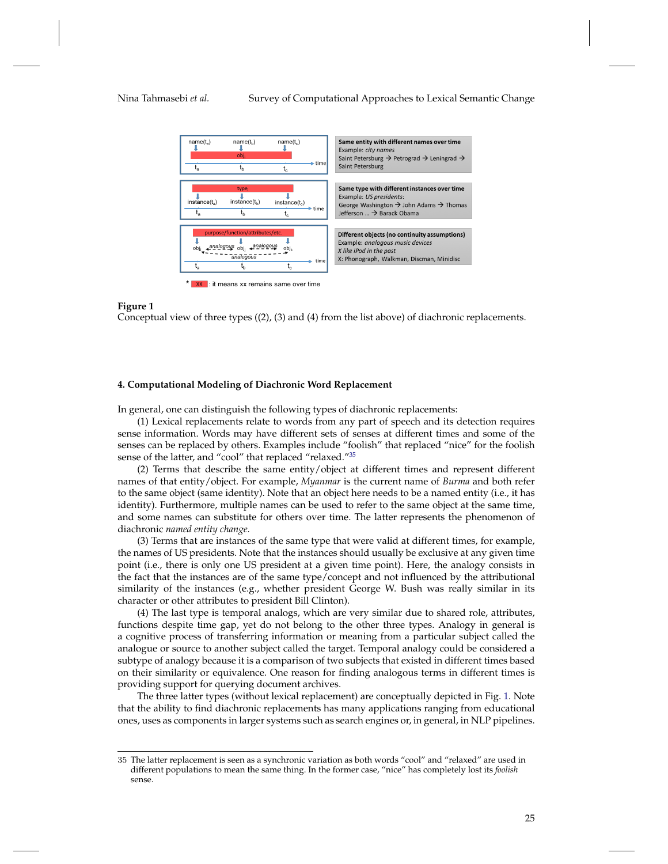### Nina Tahmasebi *et al.* Survey of Computational Approaches to Lexical Semantic Change



#### **Figure 1**

<span id="page-24-2"></span>Conceptual view of three types ((2), (3) and (4) from the list above) of diachronic replacements.

#### <span id="page-24-0"></span>**4. Computational Modeling of Diachronic Word Replacement**

In general, one can distinguish the following types of diachronic replacements:

(1) Lexical replacements relate to words from any part of speech and its detection requires sense information. Words may have different sets of senses at different times and some of the senses can be replaced by others. Examples include "foolish" that replaced "nice" for the foolish sense of the latter, and "cool" that replaced "relaxed."<sup>[35](#page-24-1)</sup>

(2) Terms that describe the same entity/object at different times and represent different names of that entity/object. For example, *Myanmar* is the current name of *Burma* and both refer to the same object (same identity). Note that an object here needs to be a named entity (i.e., it has identity). Furthermore, multiple names can be used to refer to the same object at the same time, and some names can substitute for others over time. The latter represents the phenomenon of diachronic *named entity change*.

(3) Terms that are instances of the same type that were valid at different times, for example, the names of US presidents. Note that the instances should usually be exclusive at any given time point (i.e., there is only one US president at a given time point). Here, the analogy consists in the fact that the instances are of the same type/concept and not influenced by the attributional similarity of the instances (e.g., whether president George W. Bush was really similar in its character or other attributes to president Bill Clinton).

(4) The last type is temporal analogs, which are very similar due to shared role, attributes, functions despite time gap, yet do not belong to the other three types. Analogy in general is a cognitive process of transferring information or meaning from a particular subject called the analogue or source to another subject called the target. Temporal analogy could be considered a subtype of analogy because it is a comparison of two subjects that existed in different times based on their similarity or equivalence. One reason for finding analogous terms in different times is providing support for querying document archives.

The three latter types (without lexical replacement) are conceptually depicted in Fig. [1.](#page-24-2) Note that the ability to find diachronic replacements has many applications ranging from educational ones, uses as components in larger systems such as search engines or, in general, in NLP pipelines.

<span id="page-24-1"></span><sup>35</sup> The latter replacement is seen as a synchronic variation as both words "cool" and "relaxed" are used in different populations to mean the same thing. In the former case, "nice" has completely lost its *foolish* sense.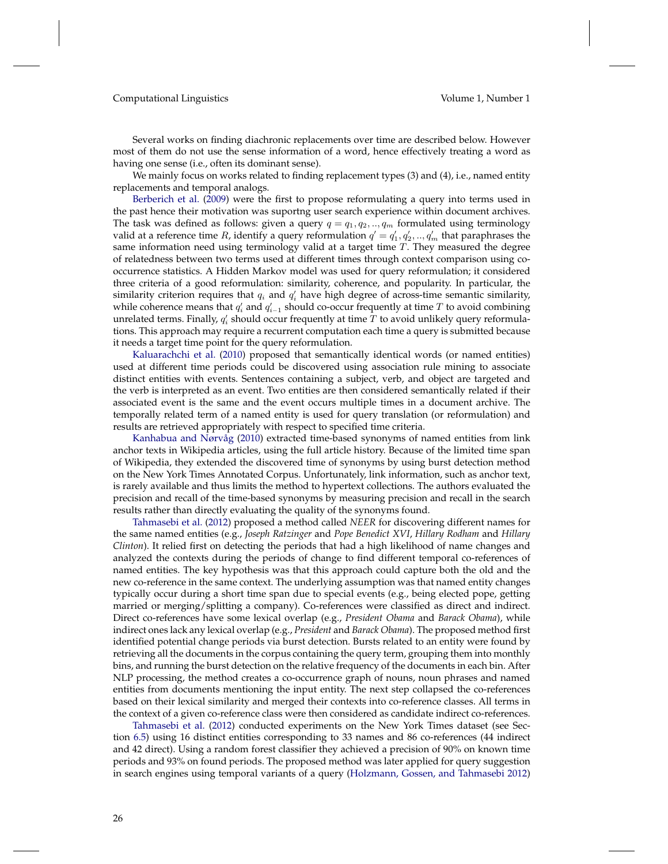Several works on finding diachronic replacements over time are described below. However most of them do not use the sense information of a word, hence effectively treating a word as having one sense (i.e., often its dominant sense).

We mainly focus on works related to finding replacement types (3) and (4), i.e., named entity replacements and temporal analogs.

[Berberich et al.](#page-48-9) [\(2009\)](#page-48-9) were the first to propose reformulating a query into terms used in the past hence their motivation was suportng user search experience within document archives. The task was defined as follows: given a query  $q = q_1, q_2, \ldots, q_m$  formulated using terminology valid at a reference time  $R$ , identify a query reformulation  $q' = q'_1, q'_2, ..., q'_m$  that paraphrases the same information need using terminology valid at a target time  $T$ . They measured the degree of relatedness between two terms used at different times through context comparison using cooccurrence statistics. A Hidden Markov model was used for query reformulation; it considered three criteria of a good reformulation: similarity, coherence, and popularity. In particular, the similarity criterion requires that  $q_i$  and  $q'_i$  have high degree of across-time semantic similarity, while coherence means that  $q_i'$  and  $q_{i-1}'$  should co-occur frequently at time  $T$  to avoid combining unrelated terms. Finally,  $q'_i$  should occur frequently at time  $T$  to avoid unlikely query reformulations. This approach may require a recurrent computation each time a query is submitted because it needs a target time point for the query reformulation.

[Kaluarachchi et al.](#page-51-13) [\(2010\)](#page-51-13) proposed that semantically identical words (or named entities) used at different time periods could be discovered using association rule mining to associate distinct entities with events. Sentences containing a subject, verb, and object are targeted and the verb is interpreted as an event. Two entities are then considered semantically related if their associated event is the same and the event occurs multiple times in a document archive. The temporally related term of a named entity is used for query translation (or reformulation) and results are retrieved appropriately with respect to specified time criteria.

[Kanhabua and Nørvåg](#page-51-14) [\(2010\)](#page-51-14) extracted time-based synonyms of named entities from link anchor texts in Wikipedia articles, using the full article history. Because of the limited time span of Wikipedia, they extended the discovered time of synonyms by using burst detection method on the New York Times Annotated Corpus. Unfortunately, link information, such as anchor text, is rarely available and thus limits the method to hypertext collections. The authors evaluated the precision and recall of the time-based synonyms by measuring precision and recall in the search results rather than directly evaluating the quality of the synonyms found.

[Tahmasebi et al.](#page-52-15) [\(2012\)](#page-52-15) proposed a method called *NEER* for discovering different names for the same named entities (e.g., *Joseph Ratzinger* and *Pope Benedict XVI*, *Hillary Rodham* and *Hillary Clinton*). It relied first on detecting the periods that had a high likelihood of name changes and analyzed the contexts during the periods of change to find different temporal co-references of named entities. The key hypothesis was that this approach could capture both the old and the new co-reference in the same context. The underlying assumption was that named entity changes typically occur during a short time span due to special events (e.g., being elected pope, getting married or merging/splitting a company). Co-references were classified as direct and indirect. Direct co-references have some lexical overlap (e.g., *President Obama* and *Barack Obama*), while indirect ones lack any lexical overlap (e.g., *President* and *Barack Obama*). The proposed method first identified potential change periods via burst detection. Bursts related to an entity were found by retrieving all the documents in the corpus containing the query term, grouping them into monthly bins, and running the burst detection on the relative frequency of the documents in each bin. After NLP processing, the method creates a co-occurrence graph of nouns, noun phrases and named entities from documents mentioning the input entity. The next step collapsed the co-references based on their lexical similarity and merged their contexts into co-reference classes. All terms in the context of a given co-reference class were then considered as candidate indirect co-references.

[Tahmasebi et al.](#page-52-15) [\(2012\)](#page-52-15) conducted experiments on the New York Times dataset (see Section [6.5\)](#page-37-0) using 16 distinct entities corresponding to 33 names and 86 co-references (44 indirect and 42 direct). Using a random forest classifier they achieved a precision of 90% on known time periods and 93% on found periods. The proposed method was later applied for query suggestion in search engines using temporal variants of a query [\(Holzmann, Gossen, and Tahmasebi](#page-50-11) [2012\)](#page-50-11)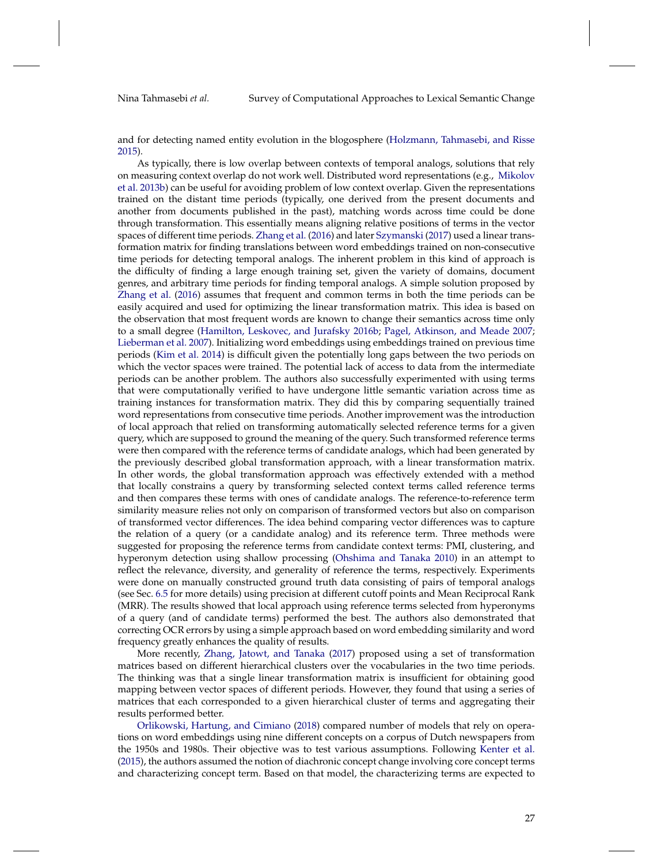and for detecting named entity evolution in the blogosphere [\(Holzmann, Tahmasebi, and Risse](#page-50-12) [2015\)](#page-50-12).

As typically, there is low overlap between contexts of temporal analogs, solutions that rely on measuring context overlap do not work well. Distributed word representations (e.g., [Mikolov](#page-52-8) [et al.](#page-52-8) [2013b\)](#page-52-8) can be useful for avoiding problem of low context overlap. Given the representations trained on the distant time periods (typically, one derived from the present documents and another from documents published in the past), matching words across time could be done through transformation. This essentially means aligning relative positions of terms in the vector spaces of different time periods. [Zhang et al.](#page-53-15) [\(2016\)](#page-53-15) and later [Szymanski](#page-52-16) [\(2017\)](#page-52-16) used a linear transformation matrix for finding translations between word embeddings trained on non-consecutive time periods for detecting temporal analogs. The inherent problem in this kind of approach is the difficulty of finding a large enough training set, given the variety of domains, document genres, and arbitrary time periods for finding temporal analogs. A simple solution proposed by [Zhang et al.](#page-53-15) [\(2016\)](#page-53-15) assumes that frequent and common terms in both the time periods can be easily acquired and used for optimizing the linear transformation matrix. This idea is based on the observation that most frequent words are known to change their semantics across time only to a small degree [\(Hamilton, Leskovec, and Jurafsky](#page-50-5) [2016b;](#page-50-5) [Pagel, Atkinson, and Meade](#page-52-7) [2007;](#page-52-7) [Lieberman et al.](#page-51-8) [2007\)](#page-51-8). Initializing word embeddings using embeddings trained on previous time periods [\(Kim et al.](#page-51-7) [2014\)](#page-51-7) is difficult given the potentially long gaps between the two periods on which the vector spaces were trained. The potential lack of access to data from the intermediate periods can be another problem. The authors also successfully experimented with using terms that were computationally verified to have undergone little semantic variation across time as training instances for transformation matrix. They did this by comparing sequentially trained word representations from consecutive time periods. Another improvement was the introduction of local approach that relied on transforming automatically selected reference terms for a given query, which are supposed to ground the meaning of the query. Such transformed reference terms were then compared with the reference terms of candidate analogs, which had been generated by the previously described global transformation approach, with a linear transformation matrix. In other words, the global transformation approach was effectively extended with a method that locally constrains a query by transforming selected context terms called reference terms and then compares these terms with ones of candidate analogs. The reference-to-reference term similarity measure relies not only on comparison of transformed vectors but also on comparison of transformed vector differences. The idea behind comparing vector differences was to capture the relation of a query (or a candidate analog) and its reference term. Three methods were suggested for proposing the reference terms from candidate context terms: PMI, clustering, and hyperonym detection using shallow processing [\(Ohshima and Tanaka](#page-52-17) [2010\)](#page-52-17) in an attempt to reflect the relevance, diversity, and generality of reference the terms, respectively. Experiments were done on manually constructed ground truth data consisting of pairs of temporal analogs (see Sec. [6.5](#page-37-0) for more details) using precision at different cutoff points and Mean Reciprocal Rank (MRR). The results showed that local approach using reference terms selected from hyperonyms of a query (and of candidate terms) performed the best. The authors also demonstrated that correcting OCR errors by using a simple approach based on word embedding similarity and word frequency greatly enhances the quality of results.

More recently, [Zhang, Jatowt, and Tanaka](#page-53-16) [\(2017\)](#page-53-16) proposed using a set of transformation matrices based on different hierarchical clusters over the vocabularies in the two time periods. The thinking was that a single linear transformation matrix is insufficient for obtaining good mapping between vector spaces of different periods. However, they found that using a series of matrices that each corresponded to a given hierarchical cluster of terms and aggregating their results performed better.

[Orlikowski, Hartung, and Cimiano](#page-52-18) [\(2018\)](#page-52-18) compared number of models that rely on operations on word embeddings using nine different concepts on a corpus of Dutch newspapers from the 1950s and 1980s. Their objective was to test various assumptions. Following [Kenter et al.](#page-51-15) [\(2015\)](#page-51-15), the authors assumed the notion of diachronic concept change involving core concept terms and characterizing concept term. Based on that model, the characterizing terms are expected to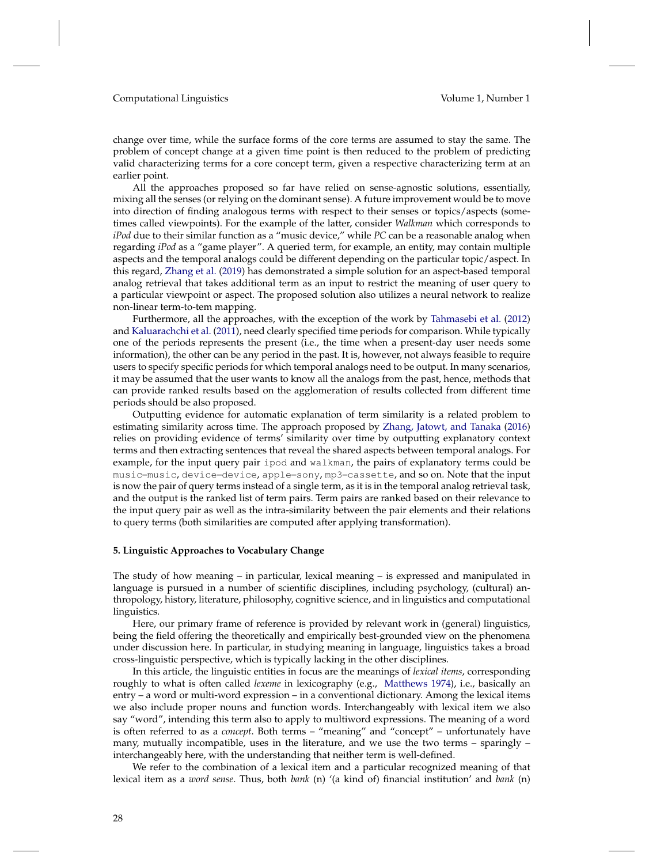change over time, while the surface forms of the core terms are assumed to stay the same. The problem of concept change at a given time point is then reduced to the problem of predicting valid characterizing terms for a core concept term, given a respective characterizing term at an earlier point.

All the approaches proposed so far have relied on sense-agnostic solutions, essentially, mixing all the senses (or relying on the dominant sense). A future improvement would be to move into direction of finding analogous terms with respect to their senses or topics/aspects (sometimes called viewpoints). For the example of the latter, consider *Walkman* which corresponds to *iPod* due to their similar function as a "music device," while *PC* can be a reasonable analog when regarding *iPod* as a "game player". A queried term, for example, an entity, may contain multiple aspects and the temporal analogs could be different depending on the particular topic/aspect. In this regard, [Zhang et al.](#page-53-17) [\(2019\)](#page-53-17) has demonstrated a simple solution for an aspect-based temporal analog retrieval that takes additional term as an input to restrict the meaning of user query to a particular viewpoint or aspect. The proposed solution also utilizes a neural network to realize non-linear term-to-tem mapping.

Furthermore, all the approaches, with the exception of the work by [Tahmasebi et al.](#page-52-15) [\(2012\)](#page-52-15) and [Kaluarachchi et al.](#page-50-13) [\(2011\)](#page-50-13), need clearly specified time periods for comparison. While typically one of the periods represents the present (i.e., the time when a present-day user needs some information), the other can be any period in the past. It is, however, not always feasible to require users to specify specific periods for which temporal analogs need to be output. In many scenarios, it may be assumed that the user wants to know all the analogs from the past, hence, methods that can provide ranked results based on the agglomeration of results collected from different time periods should be also proposed.

Outputting evidence for automatic explanation of term similarity is a related problem to estimating similarity across time. The approach proposed by [Zhang, Jatowt, and Tanaka](#page-53-18) [\(2016\)](#page-53-18) relies on providing evidence of terms' similarity over time by outputting explanatory context terms and then extracting sentences that reveal the shared aspects between temporal analogs. For example, for the input query pair ipod and walkman, the pairs of explanatory terms could be music–music, device–device, apple–sony, mp3–cassette, and so on. Note that the input is now the pair of query terms instead of a single term, as it is in the temporal analog retrieval task, and the output is the ranked list of term pairs. Term pairs are ranked based on their relevance to the input query pair as well as the intra-similarity between the pair elements and their relations to query terms (both similarities are computed after applying transformation).

#### <span id="page-27-0"></span>**5. Linguistic Approaches to Vocabulary Change**

The study of how meaning – in particular, lexical meaning – is expressed and manipulated in language is pursued in a number of scientific disciplines, including psychology, (cultural) anthropology, history, literature, philosophy, cognitive science, and in linguistics and computational linguistics.

Here, our primary frame of reference is provided by relevant work in (general) linguistics, being the field offering the theoretically and empirically best-grounded view on the phenomena under discussion here. In particular, in studying meaning in language, linguistics takes a broad cross-linguistic perspective, which is typically lacking in the other disciplines.

In this article, the linguistic entities in focus are the meanings of *lexical items*, corresponding roughly to what is often called *lexeme* in lexicography (e.g., [Matthews](#page-51-16) [1974\)](#page-51-16), i.e., basically an entry – a word or multi-word expression – in a conventional dictionary. Among the lexical items we also include proper nouns and function words. Interchangeably with lexical item we also say "word", intending this term also to apply to multiword expressions. The meaning of a word is often referred to as a *concept*. Both terms – "meaning" and "concept" – unfortunately have many, mutually incompatible, uses in the literature, and we use the two terms – sparingly – interchangeably here, with the understanding that neither term is well-defined.

We refer to the combination of a lexical item and a particular recognized meaning of that lexical item as a *word sense*. Thus, both *bank* (n) '(a kind of) financial institution' and *bank* (n)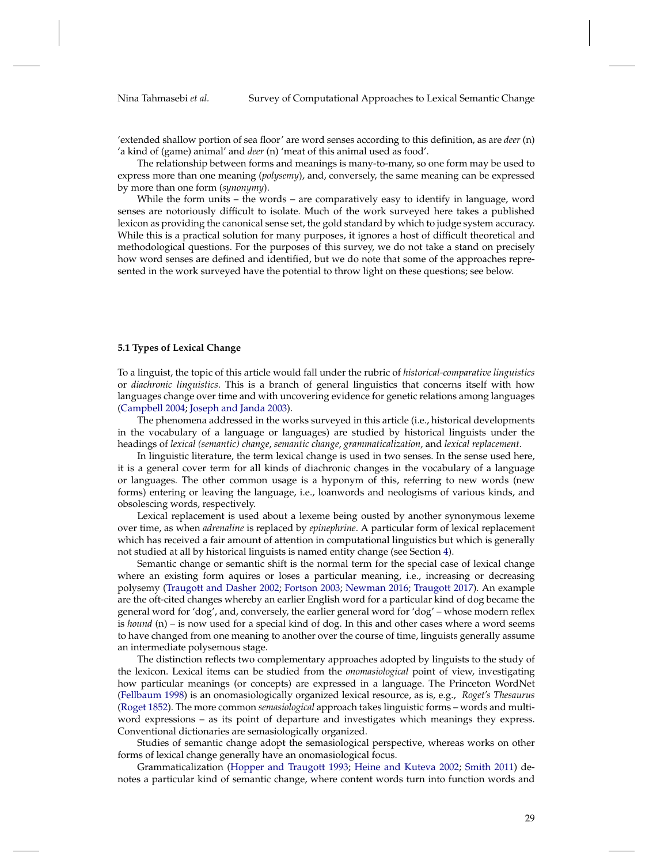'extended shallow portion of sea floor' are word senses according to this definition, as are *deer* (n) 'a kind of (game) animal' and *deer* (n) 'meat of this animal used as food'.

The relationship between forms and meanings is many-to-many, so one form may be used to express more than one meaning (*polysemy*), and, conversely, the same meaning can be expressed by more than one form (*synonymy*).

While the form units – the words – are comparatively easy to identify in language, word senses are notoriously difficult to isolate. Much of the work surveyed here takes a published lexicon as providing the canonical sense set, the gold standard by which to judge system accuracy. While this is a practical solution for many purposes, it ignores a host of difficult theoretical and methodological questions. For the purposes of this survey, we do not take a stand on precisely how word senses are defined and identified, but we do note that some of the approaches represented in the work surveyed have the potential to throw light on these questions; see below.

## **5.1 Types of Lexical Change**

To a linguist, the topic of this article would fall under the rubric of *historical-comparative linguistics* or *diachronic linguistics*. This is a branch of general linguistics that concerns itself with how languages change over time and with uncovering evidence for genetic relations among languages [\(Campbell](#page-49-14) [2004;](#page-49-14) [Joseph and Janda](#page-50-14) [2003\)](#page-50-14).

The phenomena addressed in the works surveyed in this article (i.e., historical developments in the vocabulary of a language or languages) are studied by historical linguists under the headings of *lexical (semantic) change*, *semantic change*, *grammaticalization*, and *lexical replacement*.

In linguistic literature, the term lexical change is used in two senses. In the sense used here, it is a general cover term for all kinds of diachronic changes in the vocabulary of a language or languages. The other common usage is a hyponym of this, referring to new words (new forms) entering or leaving the language, i.e., loanwords and neologisms of various kinds, and obsolescing words, respectively.

Lexical replacement is used about a lexeme being ousted by another synonymous lexeme over time, as when *adrenaline* is replaced by *epinephrine*. A particular form of lexical replacement which has received a fair amount of attention in computational linguistics but which is generally not studied at all by historical linguists is named entity change (see Section [4\)](#page-24-0).

Semantic change or semantic shift is the normal term for the special case of lexical change where an existing form aquires or loses a particular meaning, i.e., increasing or decreasing polysemy [\(Traugott and Dasher](#page-53-19) [2002;](#page-53-19) [Fortson](#page-50-15) [2003;](#page-50-15) [Newman](#page-52-19) [2016;](#page-52-19) [Traugott](#page-53-20) [2017\)](#page-53-20). An example are the oft-cited changes whereby an earlier English word for a particular kind of dog became the general word for 'dog', and, conversely, the earlier general word for 'dog' – whose modern reflex is *hound* (n) – is now used for a special kind of dog. In this and other cases where a word seems to have changed from one meaning to another over the course of time, linguists generally assume an intermediate polysemous stage.

The distinction reflects two complementary approaches adopted by linguists to the study of the lexicon. Lexical items can be studied from the *onomasiological* point of view, investigating how particular meanings (or concepts) are expressed in a language. The Princeton WordNet [\(Fellbaum](#page-49-15) [1998\)](#page-49-15) is an onomasiologically organized lexical resource, as is, e.g., *Roget's Thesaurus* [\(Roget](#page-52-20) [1852\)](#page-52-20). The more common *semasiological* approach takes linguistic forms – words and multiword expressions – as its point of departure and investigates which meanings they express. Conventional dictionaries are semasiologically organized.

Studies of semantic change adopt the semasiological perspective, whereas works on other forms of lexical change generally have an onomasiological focus.

Grammaticalization [\(Hopper and Traugott](#page-50-16) [1993;](#page-50-16) [Heine and Kuteva](#page-50-17) [2002;](#page-50-17) [Smith](#page-52-21) [2011\)](#page-52-21) denotes a particular kind of semantic change, where content words turn into function words and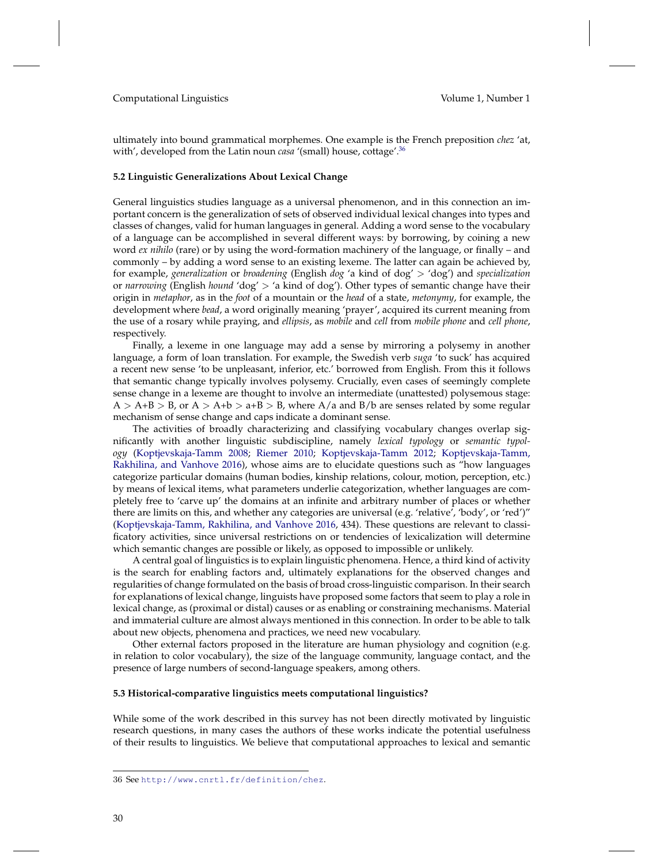ultimately into bound grammatical morphemes. One example is the French preposition *chez* 'at, with', developed from the Latin noun *casa* '(small) house, cottage'.<sup>[36](#page-29-0)</sup>

#### **5.2 Linguistic Generalizations About Lexical Change**

General linguistics studies language as a universal phenomenon, and in this connection an important concern is the generalization of sets of observed individual lexical changes into types and classes of changes, valid for human languages in general. Adding a word sense to the vocabulary of a language can be accomplished in several different ways: by borrowing, by coining a new word *ex nihilo* (rare) or by using the word-formation machinery of the language, or finally – and commonly – by adding a word sense to an existing lexeme. The latter can again be achieved by, for example, *generalization* or *broadening* (English *dog* 'a kind of dog' > 'dog') and *specialization* or *narrowing* (English *hound* 'dog' > 'a kind of dog'). Other types of semantic change have their origin in *metaphor*, as in the *foot* of a mountain or the *head* of a state, *metonymy*, for example, the development where *bead*, a word originally meaning 'prayer', acquired its current meaning from the use of a rosary while praying, and *ellipsis*, as *mobile* and *cell* from *mobile phone* and *cell phone*, respectively.

Finally, a lexeme in one language may add a sense by mirroring a polysemy in another language, a form of loan translation. For example, the Swedish verb *suga* 'to suck' has acquired a recent new sense 'to be unpleasant, inferior, etc.' borrowed from English. From this it follows that semantic change typically involves polysemy. Crucially, even cases of seemingly complete sense change in a lexeme are thought to involve an intermediate (unattested) polysemous stage:  $A > A+B > B$ , or  $A > A+b > a+B > B$ , where  $A/a$  and  $B/b$  are senses related by some regular mechanism of sense change and caps indicate a dominant sense.

The activities of broadly characterizing and classifying vocabulary changes overlap significantly with another linguistic subdiscipline, namely *lexical typology* or *semantic typology* [\(Koptjevskaja-Tamm](#page-51-17) [2008;](#page-51-17) [Riemer](#page-52-1) [2010;](#page-52-1) [Koptjevskaja-Tamm](#page-51-18) [2012;](#page-51-18) [Koptjevskaja-Tamm,](#page-51-19) [Rakhilina, and Vanhove](#page-51-19) [2016\)](#page-51-19), whose aims are to elucidate questions such as "how languages categorize particular domains (human bodies, kinship relations, colour, motion, perception, etc.) by means of lexical items, what parameters underlie categorization, whether languages are completely free to 'carve up' the domains at an infinite and arbitrary number of places or whether there are limits on this, and whether any categories are universal (e.g. 'relative', 'body', or 'red')" [\(Koptjevskaja-Tamm, Rakhilina, and Vanhove](#page-51-19) [2016,](#page-51-19) 434). These questions are relevant to classificatory activities, since universal restrictions on or tendencies of lexicalization will determine which semantic changes are possible or likely, as opposed to impossible or unlikely.

A central goal of linguistics is to explain linguistic phenomena. Hence, a third kind of activity is the search for enabling factors and, ultimately explanations for the observed changes and regularities of change formulated on the basis of broad cross-linguistic comparison. In their search for explanations of lexical change, linguists have proposed some factors that seem to play a role in lexical change, as (proximal or distal) causes or as enabling or constraining mechanisms. Material and immaterial culture are almost always mentioned in this connection. In order to be able to talk about new objects, phenomena and practices, we need new vocabulary.

Other external factors proposed in the literature are human physiology and cognition (e.g. in relation to color vocabulary), the size of the language community, language contact, and the presence of large numbers of second-language speakers, among others.

#### **5.3 Historical-comparative linguistics meets computational linguistics?**

While some of the work described in this survey has not been directly motivated by linguistic research questions, in many cases the authors of these works indicate the potential usefulness of their results to linguistics. We believe that computational approaches to lexical and semantic

<span id="page-29-0"></span><sup>36</sup> See <http://www.cnrtl.fr/definition/chez>.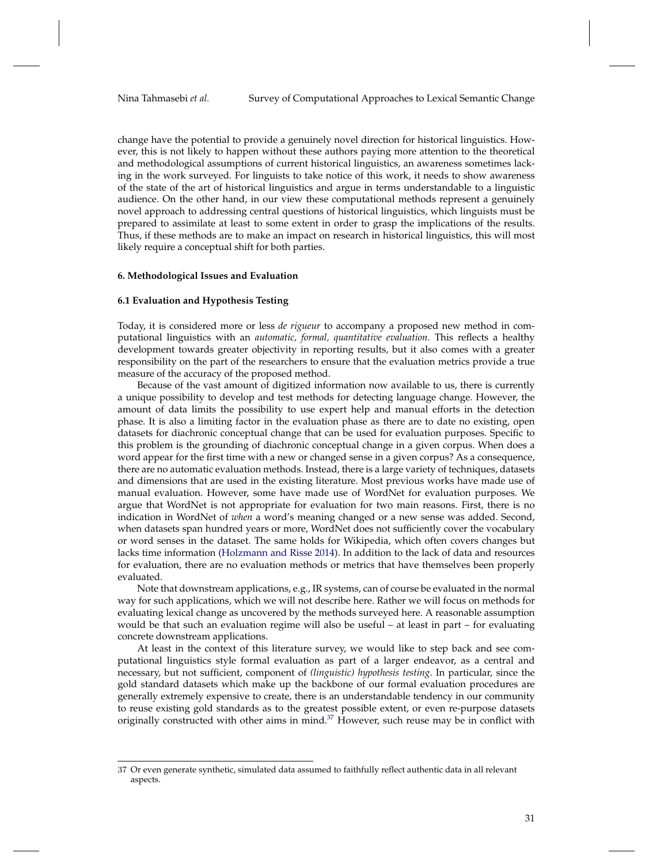change have the potential to provide a genuinely novel direction for historical linguistics. However, this is not likely to happen without these authors paying more attention to the theoretical and methodological assumptions of current historical linguistics, an awareness sometimes lacking in the work surveyed. For linguists to take notice of this work, it needs to show awareness of the state of the art of historical linguistics and argue in terms understandable to a linguistic audience. On the other hand, in our view these computational methods represent a genuinely novel approach to addressing central questions of historical linguistics, which linguists must be prepared to assimilate at least to some extent in order to grasp the implications of the results. Thus, if these methods are to make an impact on research in historical linguistics, this will most likely require a conceptual shift for both parties.

#### <span id="page-30-0"></span>**6. Methodological Issues and Evaluation**

#### **6.1 Evaluation and Hypothesis Testing**

Today, it is considered more or less *de rigueur* to accompany a proposed new method in computational linguistics with an *automatic, formal, quantitative evaluation*. This reflects a healthy development towards greater objectivity in reporting results, but it also comes with a greater responsibility on the part of the researchers to ensure that the evaluation metrics provide a true measure of the accuracy of the proposed method.

Because of the vast amount of digitized information now available to us, there is currently a unique possibility to develop and test methods for detecting language change. However, the amount of data limits the possibility to use expert help and manual efforts in the detection phase. It is also a limiting factor in the evaluation phase as there are to date no existing, open datasets for diachronic conceptual change that can be used for evaluation purposes. Specific to this problem is the grounding of diachronic conceptual change in a given corpus. When does a word appear for the first time with a new or changed sense in a given corpus? As a consequence, there are no automatic evaluation methods. Instead, there is a large variety of techniques, datasets and dimensions that are used in the existing literature. Most previous works have made use of manual evaluation. However, some have made use of WordNet for evaluation purposes. We argue that WordNet is not appropriate for evaluation for two main reasons. First, there is no indication in WordNet of *when* a word's meaning changed or a new sense was added. Second, when datasets span hundred years or more, WordNet does not sufficiently cover the vocabulary or word senses in the dataset. The same holds for Wikipedia, which often covers changes but lacks time information [\(Holzmann and Risse](#page-50-18) [2014\)](#page-50-18). In addition to the lack of data and resources for evaluation, there are no evaluation methods or metrics that have themselves been properly evaluated.

Note that downstream applications, e.g., IR systems, can of course be evaluated in the normal way for such applications, which we will not describe here. Rather we will focus on methods for evaluating lexical change as uncovered by the methods surveyed here. A reasonable assumption would be that such an evaluation regime will also be useful – at least in part – for evaluating concrete downstream applications.

At least in the context of this literature survey, we would like to step back and see computational linguistics style formal evaluation as part of a larger endeavor, as a central and necessary, but not sufficient, component of *(linguistic) hypothesis testing*. In particular, since the gold standard datasets which make up the backbone of our formal evaluation procedures are generally extremely expensive to create, there is an understandable tendency in our community to reuse existing gold standards as to the greatest possible extent, or even re-purpose datasets originally constructed with other aims in mind. $37$  However, such reuse may be in conflict with

<span id="page-30-1"></span><sup>37</sup> Or even generate synthetic, simulated data assumed to faithfully reflect authentic data in all relevant aspects.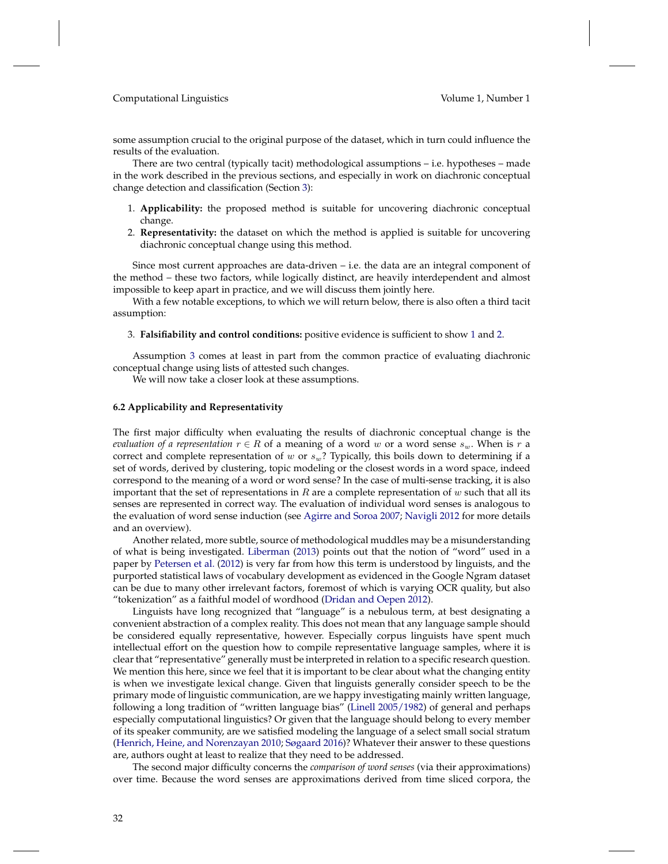some assumption crucial to the original purpose of the dataset, which in turn could influence the results of the evaluation.

There are two central (typically tacit) methodological assumptions – i.e. hypotheses – made in the work described in the previous sections, and especially in work on diachronic conceptual change detection and classification (Section [3\)](#page-4-0):

- <span id="page-31-0"></span>1. **Applicability:** the proposed method is suitable for uncovering diachronic conceptual change.
- <span id="page-31-1"></span>2. **Representativity:** the dataset on which the method is applied is suitable for uncovering diachronic conceptual change using this method.

Since most current approaches are data-driven – i.e. the data are an integral component of the method – these two factors, while logically distinct, are heavily interdependent and almost impossible to keep apart in practice, and we will discuss them jointly here.

With a few notable exceptions, to which we will return below, there is also often a third tacit assumption:

## <span id="page-31-2"></span>3. **Falsifiability and control conditions:** positive evidence is sufficient to show [1](#page-31-0) and [2.](#page-31-1)

Assumption [3](#page-31-2) comes at least in part from the common practice of evaluating diachronic conceptual change using lists of attested such changes.

We will now take a closer look at these assumptions.

### **6.2 Applicability and Representativity**

The first major difficulty when evaluating the results of diachronic conceptual change is the *evaluation of a representation*  $r \in R$  of a meaning of a word w or a word sense  $s_w$ . When is r a correct and complete representation of w or  $s_w$ ? Typically, this boils down to determining if a set of words, derived by clustering, topic modeling or the closest words in a word space, indeed correspond to the meaning of a word or word sense? In the case of multi-sense tracking, it is also important that the set of representations in R are a complete representation of w such that all its senses are represented in correct way. The evaluation of individual word senses is analogous to the evaluation of word sense induction (see [Agirre and Soroa](#page-48-10) [2007;](#page-48-10) [Navigli](#page-52-22) [2012](#page-52-22) for more details and an overview).

Another related, more subtle, source of methodological muddles may be a misunderstanding of what is being investigated. [Liberman](#page-51-20) [\(2013\)](#page-51-20) points out that the notion of "word" used in a paper by [Petersen et al.](#page-52-23) [\(2012\)](#page-52-23) is very far from how this term is understood by linguists, and the purported statistical laws of vocabulary development as evidenced in the Google Ngram dataset can be due to many other irrelevant factors, foremost of which is varying OCR quality, but also "tokenization" as a faithful model of wordhood [\(Dridan and Oepen](#page-49-0) [2012\)](#page-49-0).

Linguists have long recognized that "language" is a nebulous term, at best designating a convenient abstraction of a complex reality. This does not mean that any language sample should be considered equally representative, however. Especially corpus linguists have spent much intellectual effort on the question how to compile representative language samples, where it is clear that "representative" generally must be interpreted in relation to a specific research question. We mention this here, since we feel that it is important to be clear about what the changing entity is when we investigate lexical change. Given that linguists generally consider speech to be the primary mode of linguistic communication, are we happy investigating mainly written language, following a long tradition of "written language bias" [\(Linell](#page-51-21) [2005/1982\)](#page-51-21) of general and perhaps especially computational linguistics? Or given that the language should belong to every member of its speaker community, are we satisfied modeling the language of a select small social stratum [\(Henrich, Heine, and Norenzayan](#page-50-19) [2010;](#page-50-19) [Søgaard](#page-52-24) [2016\)](#page-52-24)? Whatever their answer to these questions are, authors ought at least to realize that they need to be addressed.

The second major difficulty concerns the *comparison of word senses* (via their approximations) over time. Because the word senses are approximations derived from time sliced corpora, the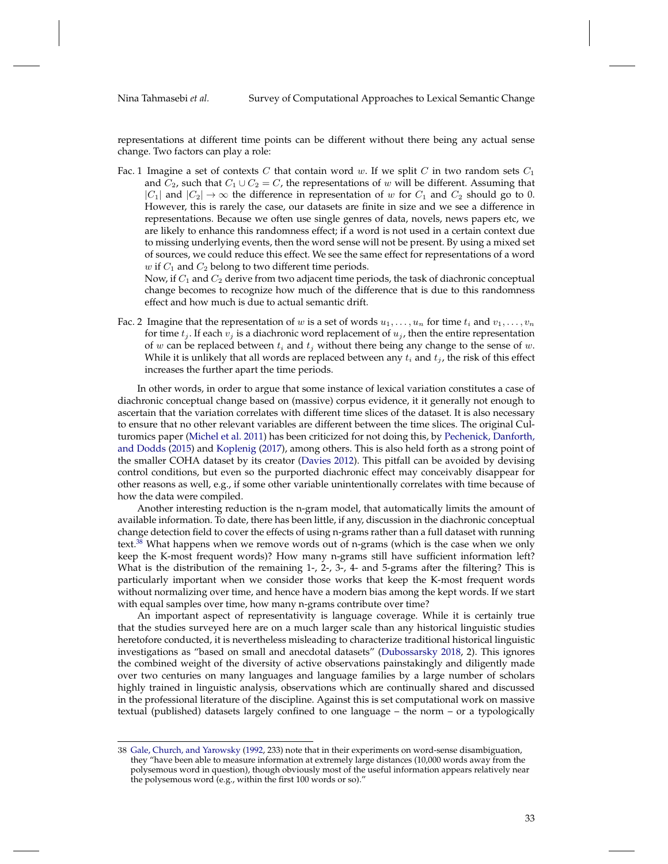representations at different time points can be different without there being any actual sense change. Two factors can play a role:

Fac. 1 Imagine a set of contexts C that contain word w. If we split C in two random sets  $C_1$ and  $C_2$ , such that  $C_1 \cup C_2 = C$ , the representations of w will be different. Assuming that  $|C_1|$  and  $|C_2| \to \infty$  the difference in representation of w for  $C_1$  and  $C_2$  should go to 0. However, this is rarely the case, our datasets are finite in size and we see a difference in representations. Because we often use single genres of data, novels, news papers etc, we are likely to enhance this randomness effect; if a word is not used in a certain context due to missing underlying events, then the word sense will not be present. By using a mixed set of sources, we could reduce this effect. We see the same effect for representations of a word  $w$  if  $C_1$  and  $C_2$  belong to two different time periods.

Now, if  $C_1$  and  $C_2$  derive from two adjacent time periods, the task of diachronic conceptual change becomes to recognize how much of the difference that is due to this randomness effect and how much is due to actual semantic drift.

Fac. 2 Imagine that the representation of w is a set of words  $u_1, \ldots, u_n$  for time  $t_i$  and  $v_1, \ldots, v_n$ for time  $t_i$ . If each  $v_i$  is a diachronic word replacement of  $u_i$ , then the entire representation of  $w$  can be replaced between  $t_i$  and  $t_j$  without there being any change to the sense of  $w$ . While it is unlikely that all words are replaced between any  $t_i$  and  $t_j$ , the risk of this effect increases the further apart the time periods.

In other words, in order to argue that some instance of lexical variation constitutes a case of diachronic conceptual change based on (massive) corpus evidence, it it generally not enough to ascertain that the variation correlates with different time slices of the dataset. It is also necessary to ensure that no other relevant variables are different between the time slices. The original Culturomics paper [\(Michel et al.](#page-51-22) [2011\)](#page-51-22) has been criticized for not doing this, by [Pechenick, Danforth,](#page-52-25) [and Dodds](#page-52-25) [\(2015\)](#page-52-25) and [Koplenig](#page-51-23) [\(2017\)](#page-51-23), among others. This is also held forth as a strong point of the smaller COHA dataset by its creator [\(Davies](#page-49-16) [2012\)](#page-49-16). This pitfall can be avoided by devising control conditions, but even so the purported diachronic effect may conceivably disappear for other reasons as well, e.g., if some other variable unintentionally correlates with time because of how the data were compiled.

Another interesting reduction is the n-gram model, that automatically limits the amount of available information. To date, there has been little, if any, discussion in the diachronic conceptual change detection field to cover the effects of using n-grams rather than a full dataset with running text.<sup>[38](#page-32-0)</sup> What happens when we remove words out of n-grams (which is the case when we only keep the K-most frequent words)? How many n-grams still have sufficient information left? What is the distribution of the remaining 1-, 2-, 3-, 4- and 5-grams after the filtering? This is particularly important when we consider those works that keep the K-most frequent words without normalizing over time, and hence have a modern bias among the kept words. If we start with equal samples over time, how many n-grams contribute over time?

An important aspect of representativity is language coverage. While it is certainly true that the studies surveyed here are on a much larger scale than any historical linguistic studies heretofore conducted, it is nevertheless misleading to characterize traditional historical linguistic investigations as "based on small and anecdotal datasets" [\(Dubossarsky](#page-49-17) [2018,](#page-49-17) 2). This ignores the combined weight of the diversity of active observations painstakingly and diligently made over two centuries on many languages and language families by a large number of scholars highly trained in linguistic analysis, observations which are continually shared and discussed in the professional literature of the discipline. Against this is set computational work on massive textual (published) datasets largely confined to one language – the norm – or a typologically

<span id="page-32-0"></span><sup>38</sup> [Gale, Church, and Yarowsky](#page-50-20) [\(1992,](#page-50-20) 233) note that in their experiments on word-sense disambiguation, they "have been able to measure information at extremely large distances (10,000 words away from the polysemous word in question), though obviously most of the useful information appears relatively near the polysemous word (e.g., within the first 100 words or so)."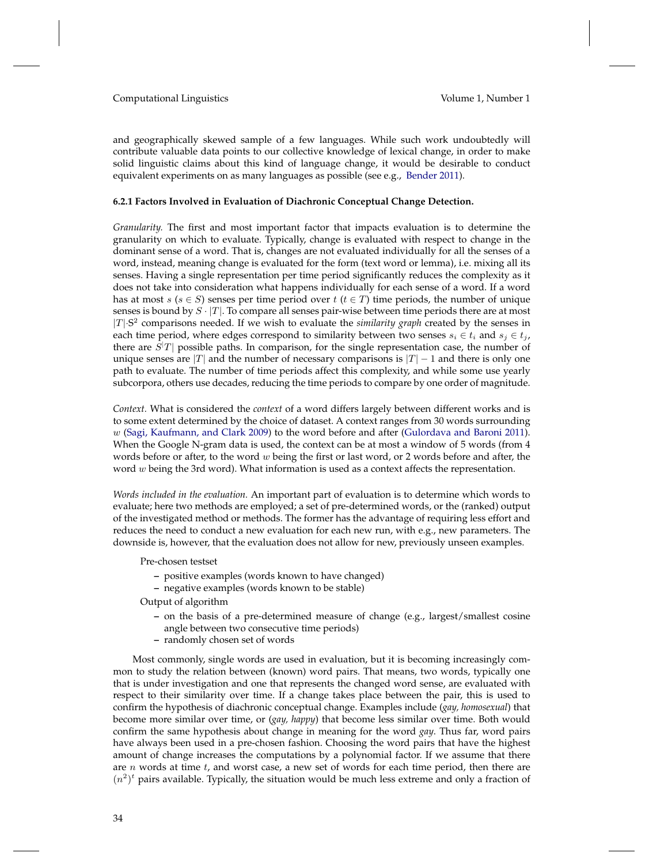and geographically skewed sample of a few languages. While such work undoubtedly will contribute valuable data points to our collective knowledge of lexical change, in order to make solid linguistic claims about this kind of language change, it would be desirable to conduct equivalent experiments on as many languages as possible (see e.g., [Bender](#page-48-11) [2011\)](#page-48-11).

#### <span id="page-33-0"></span>**6.2.1 Factors Involved in Evaluation of Diachronic Conceptual Change Detection.**

*Granularity.* The first and most important factor that impacts evaluation is to determine the granularity on which to evaluate. Typically, change is evaluated with respect to change in the dominant sense of a word. That is, changes are not evaluated individually for all the senses of a word, instead, meaning change is evaluated for the form (text word or lemma), i.e. mixing all its senses. Having a single representation per time period significantly reduces the complexity as it does not take into consideration what happens individually for each sense of a word. If a word has at most s ( $s \in S$ ) senses per time period over t ( $t \in T$ ) time periods, the number of unique senses is bound by  $S \cdot |T|$ . To compare all senses pair-wise between time periods there are at most  $|T|$ <sup>-S<sup>2</sup> comparisons needed. If we wish to evaluate the *similarity graph* created by the senses in</sup> each time period, where edges correspond to similarity between two senses  $s_i \in t_i$  and  $s_j \in t_j$ , there are  $S^{|T|}$  possible paths. In comparison, for the single representation case, the number of unique senses are |T| and the number of necessary comparisons is  $|T| - 1$  and there is only one path to evaluate. The number of time periods affect this complexity, and while some use yearly subcorpora, others use decades, reducing the time periods to compare by one order of magnitude.

*Context.* What is considered the *context* of a word differs largely between different works and is to some extent determined by the choice of dataset. A context ranges from 30 words surrounding w [\(Sagi, Kaufmann, and Clark](#page-52-3) [2009\)](#page-52-3) to the word before and after [\(Gulordava and Baroni](#page-50-3) [2011\)](#page-50-3). When the Google N-gram data is used, the context can be at most a window of 5 words (from 4 words before or after, to the word  $w$  being the first or last word, or 2 words before and after, the word  $w$  being the 3rd word). What information is used as a context affects the representation.

*Words included in the evaluation.* An important part of evaluation is to determine which words to evaluate; here two methods are employed; a set of pre-determined words, or the (ranked) output of the investigated method or methods. The former has the advantage of requiring less effort and reduces the need to conduct a new evaluation for each new run, with e.g., new parameters. The downside is, however, that the evaluation does not allow for new, previously unseen examples.

Pre-chosen testset

- **–** positive examples (words known to have changed)
- **–** negative examples (words known to be stable)

Output of algorithm

- **–** on the basis of a pre-determined measure of change (e.g., largest/smallest cosine angle between two consecutive time periods)
- **–** randomly chosen set of words

Most commonly, single words are used in evaluation, but it is becoming increasingly common to study the relation between (known) word pairs. That means, two words, typically one that is under investigation and one that represents the changed word sense, are evaluated with respect to their similarity over time. If a change takes place between the pair, this is used to confirm the hypothesis of diachronic conceptual change. Examples include (*gay, homosexual*) that become more similar over time, or (*gay, happy*) that become less similar over time. Both would confirm the same hypothesis about change in meaning for the word *gay*. Thus far, word pairs have always been used in a pre-chosen fashion. Choosing the word pairs that have the highest amount of change increases the computations by a polynomial factor. If we assume that there are  $n$  words at time  $t$ , and worst case, a new set of words for each time period, then there are  $(n^2)^t$  pairs available. Typically, the situation would be much less extreme and only a fraction of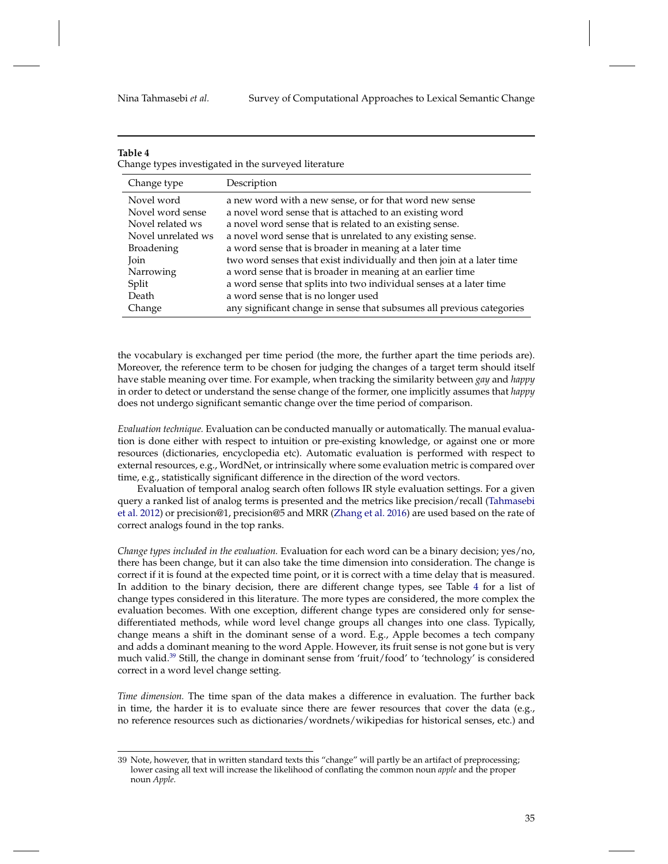# **Table 4**

<span id="page-34-0"></span>Change types investigated in the surveyed literature

| Change type        | Description                                                           |
|--------------------|-----------------------------------------------------------------------|
| Novel word         | a new word with a new sense, or for that word new sense               |
| Novel word sense   | a novel word sense that is attached to an existing word               |
| Novel related ws   | a novel word sense that is related to an existing sense.              |
| Novel unrelated ws | a novel word sense that is unrelated to any existing sense.           |
| <b>Broadening</b>  | a word sense that is broader in meaning at a later time               |
| Join               | two word senses that exist individually and then join at a later time |
| Narrowing          | a word sense that is broader in meaning at an earlier time            |
| Split              | a word sense that splits into two individual senses at a later time   |
| Death              | a word sense that is no longer used                                   |
| Change             | any significant change in sense that subsumes all previous categories |

the vocabulary is exchanged per time period (the more, the further apart the time periods are). Moreover, the reference term to be chosen for judging the changes of a target term should itself have stable meaning over time. For example, when tracking the similarity between *gay* and *happy* in order to detect or understand the sense change of the former, one implicitly assumes that *happy* does not undergo significant semantic change over the time period of comparison.

*Evaluation technique.* Evaluation can be conducted manually or automatically. The manual evaluation is done either with respect to intuition or pre-existing knowledge, or against one or more resources (dictionaries, encyclopedia etc). Automatic evaluation is performed with respect to external resources, e.g., WordNet, or intrinsically where some evaluation metric is compared over time, e.g., statistically significant difference in the direction of the word vectors.

Evaluation of temporal analog search often follows IR style evaluation settings. For a given query a ranked list of analog terms is presented and the metrics like precision/recall [\(Tahmasebi](#page-52-15) [et al.](#page-52-15) [2012\)](#page-52-15) or precision@1, precision@5 and MRR [\(Zhang et al.](#page-53-15) [2016\)](#page-53-15) are used based on the rate of correct analogs found in the top ranks.

*Change types included in the evaluation.* Evaluation for each word can be a binary decision; yes/no, there has been change, but it can also take the time dimension into consideration. The change is correct if it is found at the expected time point, or it is correct with a time delay that is measured. In addition to the binary decision, there are different change types, see Table [4](#page-34-0) for a list of change types considered in this literature. The more types are considered, the more complex the evaluation becomes. With one exception, different change types are considered only for sensedifferentiated methods, while word level change groups all changes into one class. Typically, change means a shift in the dominant sense of a word. E.g., Apple becomes a tech company and adds a dominant meaning to the word Apple. However, its fruit sense is not gone but is very much valid.<sup>[39](#page-34-1)</sup> Still, the change in dominant sense from 'fruit/food' to 'technology' is considered correct in a word level change setting.

*Time dimension.* The time span of the data makes a difference in evaluation. The further back in time, the harder it is to evaluate since there are fewer resources that cover the data (e.g., no reference resources such as dictionaries/wordnets/wikipedias for historical senses, etc.) and

<span id="page-34-1"></span><sup>39</sup> Note, however, that in written standard texts this "change" will partly be an artifact of preprocessing; lower casing all text will increase the likelihood of conflating the common noun *apple* and the proper noun *Apple*.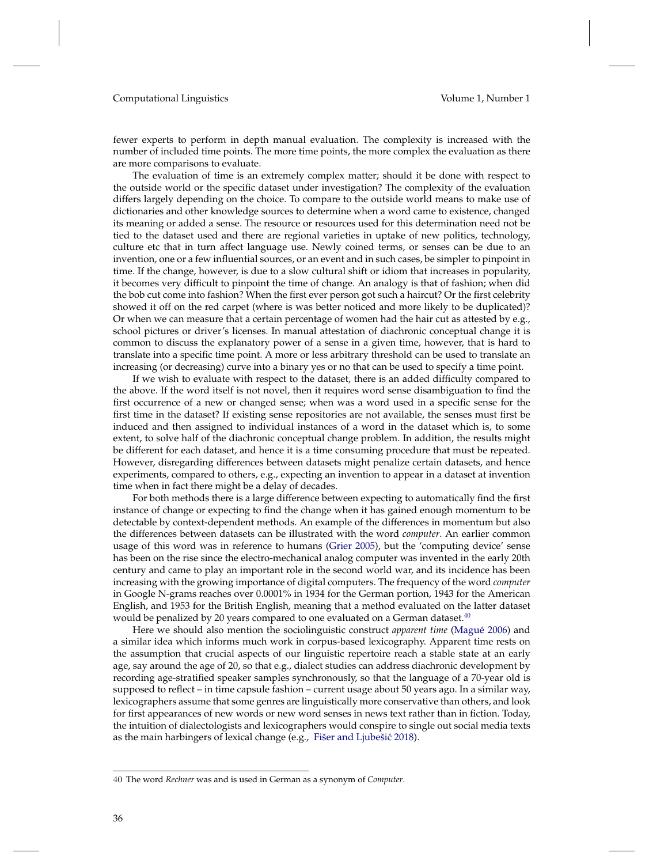fewer experts to perform in depth manual evaluation. The complexity is increased with the number of included time points. The more time points, the more complex the evaluation as there are more comparisons to evaluate.

The evaluation of time is an extremely complex matter; should it be done with respect to the outside world or the specific dataset under investigation? The complexity of the evaluation differs largely depending on the choice. To compare to the outside world means to make use of dictionaries and other knowledge sources to determine when a word came to existence, changed its meaning or added a sense. The resource or resources used for this determination need not be tied to the dataset used and there are regional varieties in uptake of new politics, technology, culture etc that in turn affect language use. Newly coined terms, or senses can be due to an invention, one or a few influential sources, or an event and in such cases, be simpler to pinpoint in time. If the change, however, is due to a slow cultural shift or idiom that increases in popularity, it becomes very difficult to pinpoint the time of change. An analogy is that of fashion; when did the bob cut come into fashion? When the first ever person got such a haircut? Or the first celebrity showed it off on the red carpet (where is was better noticed and more likely to be duplicated)? Or when we can measure that a certain percentage of women had the hair cut as attested by e.g., school pictures or driver's licenses. In manual attestation of diachronic conceptual change it is common to discuss the explanatory power of a sense in a given time, however, that is hard to translate into a specific time point. A more or less arbitrary threshold can be used to translate an increasing (or decreasing) curve into a binary yes or no that can be used to specify a time point.

If we wish to evaluate with respect to the dataset, there is an added difficulty compared to the above. If the word itself is not novel, then it requires word sense disambiguation to find the first occurrence of a new or changed sense; when was a word used in a specific sense for the first time in the dataset? If existing sense repositories are not available, the senses must first be induced and then assigned to individual instances of a word in the dataset which is, to some extent, to solve half of the diachronic conceptual change problem. In addition, the results might be different for each dataset, and hence it is a time consuming procedure that must be repeated. However, disregarding differences between datasets might penalize certain datasets, and hence experiments, compared to others, e.g., expecting an invention to appear in a dataset at invention time when in fact there might be a delay of decades.

For both methods there is a large difference between expecting to automatically find the first instance of change or expecting to find the change when it has gained enough momentum to be detectable by context-dependent methods. An example of the differences in momentum but also the differences between datasets can be illustrated with the word *computer*. An earlier common usage of this word was in reference to humans [\(Grier](#page-50-21) [2005\)](#page-50-21), but the 'computing device' sense has been on the rise since the electro-mechanical analog computer was invented in the early 20th century and came to play an important role in the second world war, and its incidence has been increasing with the growing importance of digital computers. The frequency of the word *computer* in Google N-grams reaches over 0.0001% in 1934 for the German portion, 1943 for the American English, and 1953 for the British English, meaning that a method evaluated on the latter dataset would be penalized by 20 years compared to one evaluated on a German dataset.<sup>[40](#page-35-0)</sup>

Here we should also mention the sociolinguistic construct *apparent time* [\(Magué](#page-51-24) [2006\)](#page-51-24) and a similar idea which informs much work in corpus-based lexicography. Apparent time rests on the assumption that crucial aspects of our linguistic repertoire reach a stable state at an early age, say around the age of 20, so that e.g., dialect studies can address diachronic development by recording age-stratified speaker samples synchronously, so that the language of a 70-year old is supposed to reflect – in time capsule fashion – current usage about 50 years ago. In a similar way, lexicographers assume that some genres are linguistically more conservative than others, and look for first appearances of new words or new word senses in news text rather than in fiction. Today, the intuition of dialectologists and lexicographers would conspire to single out social media texts as the main harbingers of lexical change (e.g., Fišer and Ljubešić [2018\)](#page-50-8).

<span id="page-35-0"></span><sup>40</sup> The word *Rechner* was and is used in German as a synonym of *Computer*.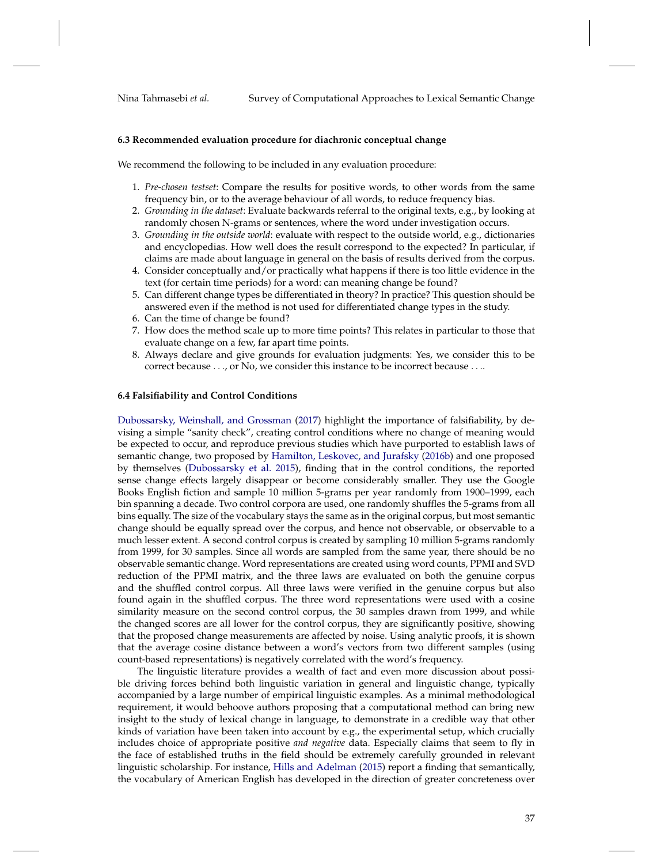#### **6.3 Recommended evaluation procedure for diachronic conceptual change**

We recommend the following to be included in any evaluation procedure:

- 1. *Pre-chosen testset*: Compare the results for positive words, to other words from the same frequency bin, or to the average behaviour of all words, to reduce frequency bias.
- 2. *Grounding in the dataset*: Evaluate backwards referral to the original texts, e.g., by looking at randomly chosen N-grams or sentences, where the word under investigation occurs.
- 3. *Grounding in the outside world*: evaluate with respect to the outside world, e.g., dictionaries and encyclopedias. How well does the result correspond to the expected? In particular, if claims are made about language in general on the basis of results derived from the corpus.
- 4. Consider conceptually and/or practically what happens if there is too little evidence in the text (for certain time periods) for a word: can meaning change be found?
- 5. Can different change types be differentiated in theory? In practice? This question should be answered even if the method is not used for differentiated change types in the study.
- 6. Can the time of change be found?
- 7. How does the method scale up to more time points? This relates in particular to those that evaluate change on a few, far apart time points.
- 8. Always declare and give grounds for evaluation judgments: Yes, we consider this to be correct because . . ., or No, we consider this instance to be incorrect because . . ..

# **6.4 Falsifiability and Control Conditions**

[Dubossarsky, Weinshall, and Grossman](#page-49-18) [\(2017\)](#page-49-18) highlight the importance of falsifiability, by devising a simple "sanity check", creating control conditions where no change of meaning would be expected to occur, and reproduce previous studies which have purported to establish laws of semantic change, two proposed by [Hamilton, Leskovec, and Jurafsky](#page-50-5) [\(2016b\)](#page-50-5) and one proposed by themselves [\(Dubossarsky et al.](#page-49-6) [2015\)](#page-49-6), finding that in the control conditions, the reported sense change effects largely disappear or become considerably smaller. They use the Google Books English fiction and sample 10 million 5-grams per year randomly from 1900–1999, each bin spanning a decade. Two control corpora are used, one randomly shuffles the 5-grams from all bins equally. The size of the vocabulary stays the same as in the original corpus, but most semantic change should be equally spread over the corpus, and hence not observable, or observable to a much lesser extent. A second control corpus is created by sampling 10 million 5-grams randomly from 1999, for 30 samples. Since all words are sampled from the same year, there should be no observable semantic change. Word representations are created using word counts, PPMI and SVD reduction of the PPMI matrix, and the three laws are evaluated on both the genuine corpus and the shuffled control corpus. All three laws were verified in the genuine corpus but also found again in the shuffled corpus. The three word representations were used with a cosine similarity measure on the second control corpus, the 30 samples drawn from 1999, and while the changed scores are all lower for the control corpus, they are significantly positive, showing that the proposed change measurements are affected by noise. Using analytic proofs, it is shown that the average cosine distance between a word's vectors from two different samples (using count-based representations) is negatively correlated with the word's frequency.

The linguistic literature provides a wealth of fact and even more discussion about possible driving forces behind both linguistic variation in general and linguistic change, typically accompanied by a large number of empirical linguistic examples. As a minimal methodological requirement, it would behoove authors proposing that a computational method can bring new insight to the study of lexical change in language, to demonstrate in a credible way that other kinds of variation have been taken into account by e.g., the experimental setup, which crucially includes choice of appropriate positive *and negative* data. Especially claims that seem to fly in the face of established truths in the field should be extremely carefully grounded in relevant linguistic scholarship. For instance, [Hills and Adelman](#page-50-22) [\(2015\)](#page-50-22) report a finding that semantically, the vocabulary of American English has developed in the direction of greater concreteness over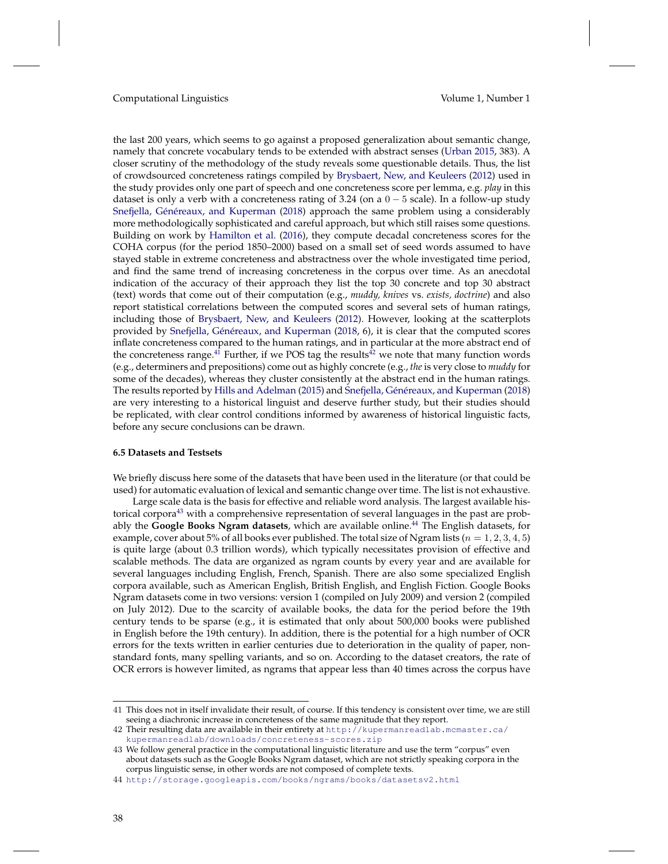the last 200 years, which seems to go against a proposed generalization about semantic change, namely that concrete vocabulary tends to be extended with abstract senses [\(Urban](#page-53-21) [2015,](#page-53-21) 383). A closer scrutiny of the methodology of the study reveals some questionable details. Thus, the list of crowdsourced concreteness ratings compiled by [Brysbaert, New, and Keuleers](#page-49-19) [\(2012\)](#page-49-19) used in the study provides only one part of speech and one concreteness score per lemma, e.g. *play* in this dataset is only a verb with a concreteness rating of 3.24 (on a  $0 - 5$  scale). In a follow-up study [Snefjella, Généreaux, and Kuperman](#page-52-26) [\(2018\)](#page-52-26) approach the same problem using a considerably more methodologically sophisticated and careful approach, but which still raises some questions. Building on work by [Hamilton et al.](#page-50-23) [\(2016\)](#page-50-23), they compute decadal concreteness scores for the COHA corpus (for the period 1850–2000) based on a small set of seed words assumed to have stayed stable in extreme concreteness and abstractness over the whole investigated time period, and find the same trend of increasing concreteness in the corpus over time. As an anecdotal indication of the accuracy of their approach they list the top 30 concrete and top 30 abstract (text) words that come out of their computation (e.g., *muddy, knives* vs. *exists, doctrine*) and also report statistical correlations between the computed scores and several sets of human ratings, including those of [Brysbaert, New, and Keuleers](#page-49-19) [\(2012\)](#page-49-19). However, looking at the scatterplots provided by [Snefjella, Généreaux, and Kuperman](#page-52-26) [\(2018,](#page-52-26) 6), it is clear that the computed scores inflate concreteness compared to the human ratings, and in particular at the more abstract end of the concreteness range.<sup>[41](#page-37-1)</sup> Further, if we POS tag the results<sup>[42](#page-37-2)</sup> we note that many function words (e.g., determiners and prepositions) come out as highly concrete (e.g., *the* is very close to *muddy* for some of the decades), whereas they cluster consistently at the abstract end in the human ratings. The results reported by [Hills and Adelman](#page-50-22) [\(2015\)](#page-50-22) and [Snefjella, Généreaux, and Kuperman](#page-52-26) [\(2018\)](#page-52-26) are very interesting to a historical linguist and deserve further study, but their studies should be replicated, with clear control conditions informed by awareness of historical linguistic facts, before any secure conclusions can be drawn.

#### <span id="page-37-0"></span>**6.5 Datasets and Testsets**

We briefly discuss here some of the datasets that have been used in the literature (or that could be used) for automatic evaluation of lexical and semantic change over time. The list is not exhaustive.

Large scale data is the basis for effective and reliable word analysis. The largest available his-torical corpora<sup>[43](#page-37-3)</sup> with a comprehensive representation of several languages in the past are probably the **Google Books Ngram datasets**, which are available online.[44](#page-37-4) The English datasets, for example, cover about 5% of all books ever published. The total size of Ngram lists ( $n = 1, 2, 3, 4, 5$ ) is quite large (about 0.3 trillion words), which typically necessitates provision of effective and scalable methods. The data are organized as ngram counts by every year and are available for several languages including English, French, Spanish. There are also some specialized English corpora available, such as American English, British English, and English Fiction. Google Books Ngram datasets come in two versions: version 1 (compiled on July 2009) and version 2 (compiled on July 2012). Due to the scarcity of available books, the data for the period before the 19th century tends to be sparse (e.g., it is estimated that only about 500,000 books were published in English before the 19th century). In addition, there is the potential for a high number of OCR errors for the texts written in earlier centuries due to deterioration in the quality of paper, nonstandard fonts, many spelling variants, and so on. According to the dataset creators, the rate of OCR errors is however limited, as ngrams that appear less than 40 times across the corpus have

<span id="page-37-1"></span><sup>41</sup> This does not in itself invalidate their result, of course. If this tendency is consistent over time, we are still seeing a diachronic increase in concreteness of the same magnitude that they report.

<span id="page-37-2"></span><sup>42</sup> Their resulting data are available in their entirety at [http://kupermanreadlab.mcmaster.ca/](http://kupermanreadlab.mcmaster.ca/kupermanreadlab/downloads/concreteness-scores.zip) [kupermanreadlab/downloads/concreteness-scores.zip](http://kupermanreadlab.mcmaster.ca/kupermanreadlab/downloads/concreteness-scores.zip)

<span id="page-37-3"></span><sup>43</sup> We follow general practice in the computational linguistic literature and use the term "corpus" even about datasets such as the Google Books Ngram dataset, which are not strictly speaking corpora in the corpus linguistic sense, in other words are not composed of complete texts.

<span id="page-37-4"></span><sup>44</sup> <http://storage.googleapis.com/books/ngrams/books/datasetsv2.html>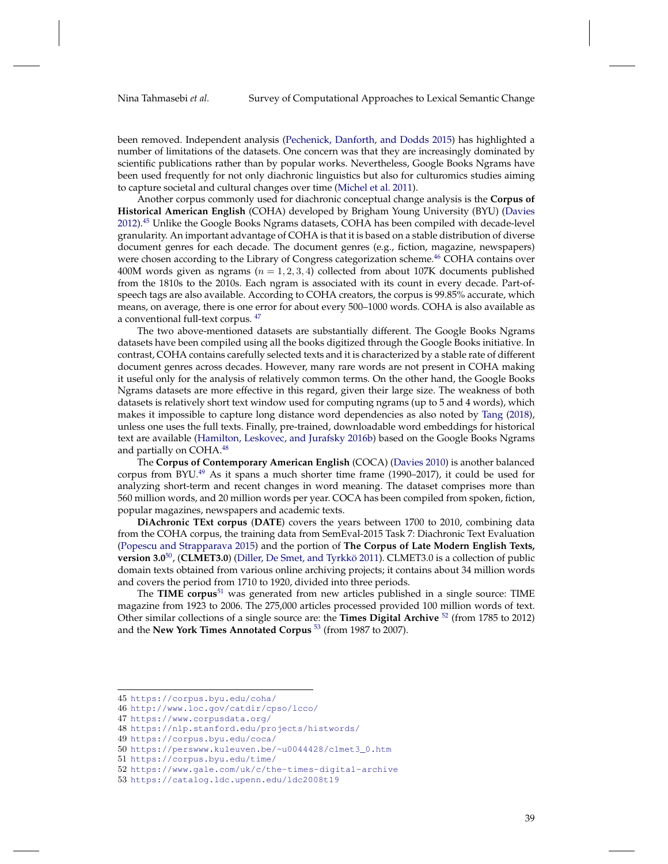been removed. Independent analysis [\(Pechenick, Danforth, and Dodds](#page-52-25) [2015\)](#page-52-25) has highlighted a number of limitations of the datasets. One concern was that they are increasingly dominated by scientific publications rather than by popular works. Nevertheless, Google Books Ngrams have been used frequently for not only diachronic linguistics but also for culturomics studies aiming to capture societal and cultural changes over time [\(Michel et al.](#page-51-22) [2011\)](#page-51-22).

Another corpus commonly used for diachronic conceptual change analysis is the **Corpus of Historical American English** (COHA) developed by Brigham Young University (BYU) [\(Davies](#page-49-16) [2012\)](#page-49-16).[45](#page-38-0) Unlike the Google Books Ngrams datasets, COHA has been compiled with decade-level granularity. An important advantage of COHA is that it is based on a stable distribution of diverse document genres for each decade. The document genres (e.g., fiction, magazine, newspapers) were chosen according to the Library of Congress categorization scheme.<sup>[46](#page-38-1)</sup> COHA contains over 400M words given as ngrams  $(n = 1, 2, 3, 4)$  collected from about 107K documents published from the 1810s to the 2010s. Each ngram is associated with its count in every decade. Part-ofspeech tags are also available. According to COHA creators, the corpus is 99.85% accurate, which means, on average, there is one error for about every 500–1000 words. COHA is also available as a conventional full-text corpus.  $47$ 

The two above-mentioned datasets are substantially different. The Google Books Ngrams datasets have been compiled using all the books digitized through the Google Books initiative. In contrast, COHA contains carefully selected texts and it is characterized by a stable rate of different document genres across decades. However, many rare words are not present in COHA making it useful only for the analysis of relatively common terms. On the other hand, the Google Books Ngrams datasets are more effective in this regard, given their large size. The weakness of both datasets is relatively short text window used for computing ngrams (up to 5 and 4 words), which makes it impossible to capture long distance word dependencies as also noted by [Tang](#page-53-0) [\(2018\)](#page-53-0), unless one uses the full texts. Finally, pre-trained, downloadable word embeddings for historical text are available [\(Hamilton, Leskovec, and Jurafsky](#page-50-5) [2016b\)](#page-50-5) based on the Google Books Ngrams and partially on COHA.<sup>[48](#page-38-3)</sup>

The **Corpus of Contemporary American English** (COCA) [\(Davies](#page-49-20) [2010\)](#page-49-20) is another balanced corpus from BYU. $^{49}$  $^{49}$  $^{49}$  As it spans a much shorter time frame (1990–2017), it could be used for analyzing short-term and recent changes in word meaning. The dataset comprises more than 560 million words, and 20 million words per year. COCA has been compiled from spoken, fiction, popular magazines, newspapers and academic texts.

**DiAchronic TExt corpus** (**DATE**) covers the years between 1700 to 2010, combining data from the COHA corpus, the training data from SemEval-2015 Task 7: Diachronic Text Evaluation [\(Popescu and Strapparava](#page-52-27) [2015\)](#page-52-27) and the portion of **The Corpus of Late Modern English Texts, version 3.0**[50](#page-38-5), (**CLMET3.0**) [\(Diller, De Smet, and Tyrkkö](#page-49-21) [2011\)](#page-49-21). CLMET3.0 is a collection of public domain texts obtained from various online archiving projects; it contains about 34 million words and covers the period from 1710 to 1920, divided into three periods.

The **TIME corpus**[51](#page-38-6) was generated from new articles published in a single source: TIME magazine from 1923 to 2006. The 275,000 articles processed provided 100 million words of text. Other similar collections of a single source are: the **Times Digital Archive** [52](#page-38-7) (from 1785 to 2012) and the **New York Times Annotated Corpus** [53](#page-38-8) (from 1987 to 2007).

<span id="page-38-0"></span><sup>45</sup> <https://corpus.byu.edu/coha/>

<span id="page-38-1"></span><sup>46</sup> <http://www.loc.gov/catdir/cpso/lcco/>

<span id="page-38-2"></span><sup>47</sup> <https://www.corpusdata.org/>

<span id="page-38-3"></span><sup>48</sup> <https://nlp.stanford.edu/projects/histwords/>

<span id="page-38-4"></span><sup>49</sup> <https://corpus.byu.edu/coca/>

<span id="page-38-5"></span><sup>50</sup> [https://perswww.kuleuven.be/~u0044428/clmet3\\_0.htm](https://perswww.kuleuven.be/~u0044428/clmet3_0.htm)

<span id="page-38-6"></span><sup>51</sup> <https://corpus.byu.edu/time/>

<span id="page-38-7"></span><sup>52</sup> [https://www.gale.com/uk/c/the-times-digital-archive](https://www.gale.com/uk/c/the-times-digital-archive )

<span id="page-38-8"></span><sup>53</sup> <https://catalog.ldc.upenn.edu/ldc2008t19>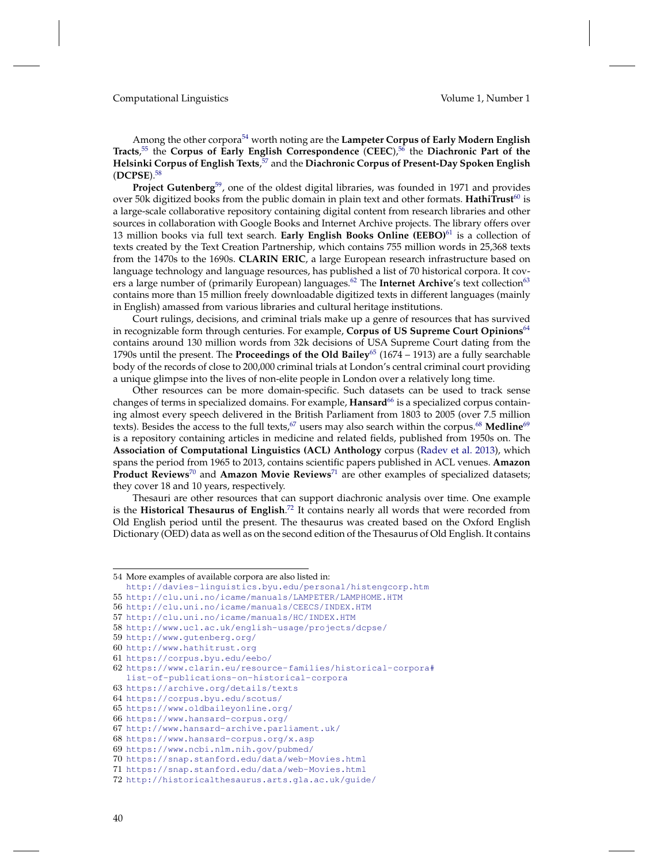Among the other corpora[54](#page-39-0) worth noting are the **Lampeter Corpus of Early Modern English Tracts**, [55](#page-39-1) the **Corpus of Early English Correspondence** (**CEEC**),[56](#page-39-2) the **Diachronic Part of the Helsinki Corpus of English Texts**, [57](#page-39-3) and the **Diachronic Corpus of Present-Day Spoken English** (**DCPSE**).[58](#page-39-4)

**Project Gutenberg**[59](#page-39-5), one of the oldest digital libraries, was founded in 1971 and provides over 50k digitized books from the public domain in plain text and other formats. HathiTrust<sup>[60](#page-39-6)</sup> is a large-scale collaborative repository containing digital content from research libraries and other sources in collaboration with Google Books and Internet Archive projects. The library offers over 13 million books via full text search. **Early English Books Online (EEBO)**[61](#page-39-7) is a collection of texts created by the Text Creation Partnership, which contains 755 million words in 25,368 texts from the 1470s to the 1690s. **CLARIN ERIC**, a large European research infrastructure based on language technology and language resources, has published a list of 70 historical corpora. It cov-ers a large number of (primarily European) languages.<sup>[62](#page-39-8)</sup> The **Internet Archive's** text collection<sup>[63](#page-39-9)</sup> contains more than 15 million freely downloadable digitized texts in different languages (mainly in English) amassed from various libraries and cultural heritage institutions.

Court rulings, decisions, and criminal trials make up a genre of resources that has survived in recognizable form through centuries. For example, **Corpus of US Supreme Court Opinions**[64](#page-39-10) contains around 130 million words from 32k decisions of USA Supreme Court dating from the 1790s until the present. The **Proceedings of the Old Bailey**[65](#page-39-11) (1674 – 1913) are a fully searchable body of the records of close to 200,000 criminal trials at London's central criminal court providing a unique glimpse into the lives of non-elite people in London over a relatively long time.

Other resources can be more domain-specific. Such datasets can be used to track sense changes of terms in specialized domains. For example, **Hansard**[66](#page-39-12) is a specialized corpus containing almost every speech delivered in the British Parliament from 1803 to 2005 (over 7.5 million texts). Besides the access to the full texts, $^{67}$  $^{67}$  $^{67}$  users may also search within the corpus. $^{68}$  $^{68}$  $^{68}$  **Medline** $^{69}$  $^{69}$  $^{69}$ is a repository containing articles in medicine and related fields, published from 1950s on. The **Association of Computational Linguistics (ACL) Anthology** corpus [\(Radev et al.](#page-52-28) [2013\)](#page-52-28), which spans the period from 1965 to 2013, contains scientific papers published in ACL venues. **Amazon Product Reviews**[70](#page-39-16) and **Amazon Movie Reviews**[71](#page-39-17) are other examples of specialized datasets; they cover 18 and 10 years, respectively.

Thesauri are other resources that can support diachronic analysis over time. One example is the **Historical Thesaurus of English**. [72](#page-39-18) It contains nearly all words that were recorded from Old English period until the present. The thesaurus was created based on the Oxford English Dictionary (OED) data as well as on the second edition of the Thesaurus of Old English. It contains

<span id="page-39-0"></span><sup>54</sup> More examples of available corpora are also listed in:

<span id="page-39-1"></span><http://davies-linguistics.byu.edu/personal/histengcorp.htm>

<sup>55</sup> <http://clu.uni.no/icame/manuals/LAMPETER/LAMPHOME.HTM>

<span id="page-39-2"></span><sup>56</sup> <http://clu.uni.no/icame/manuals/CEECS/INDEX.HTM>

<span id="page-39-3"></span><sup>57</sup> <http://clu.uni.no/icame/manuals/HC/INDEX.HTM>

<span id="page-39-5"></span><span id="page-39-4"></span><sup>58</sup> <http://www.ucl.ac.uk/english-usage/projects/dcpse/>

<sup>59</sup> <http://www.gutenberg.org/>

<span id="page-39-6"></span><sup>60</sup> <http://www.hathitrust.org>

<span id="page-39-7"></span><sup>61</sup> <https://corpus.byu.edu/eebo/>

<span id="page-39-8"></span><sup>62</sup> [https://www.clarin.eu/resource-families/historical-corpora#](https://www.clarin.eu/resource-families/historical-corpora#list-of-publications-on-historical-corpora) [list-of-publications-on-historical-corpora](https://www.clarin.eu/resource-families/historical-corpora#list-of-publications-on-historical-corpora)

<span id="page-39-9"></span><sup>63</sup> <https://archive.org/details/texts>

<span id="page-39-10"></span><sup>64</sup> <https://corpus.byu.edu/scotus/>

<span id="page-39-11"></span><sup>65</sup> <https://www.oldbaileyonline.org/>

<span id="page-39-12"></span><sup>66</sup> <https://www.hansard-corpus.org/>

<span id="page-39-13"></span><sup>67</sup> <http://www.hansard-archive.parliament.uk/>

<span id="page-39-14"></span><sup>68</sup> <https://www.hansard-corpus.org/x.asp>

<span id="page-39-15"></span><sup>69</sup> <https://www.ncbi.nlm.nih.gov/pubmed/>

<span id="page-39-16"></span><sup>70</sup> <https://snap.stanford.edu/data/web-Movies.html>

<span id="page-39-18"></span><span id="page-39-17"></span><sup>71</sup> <https://snap.stanford.edu/data/web-Movies.html>

<sup>72</sup> <http://historicalthesaurus.arts.gla.ac.uk/guide/>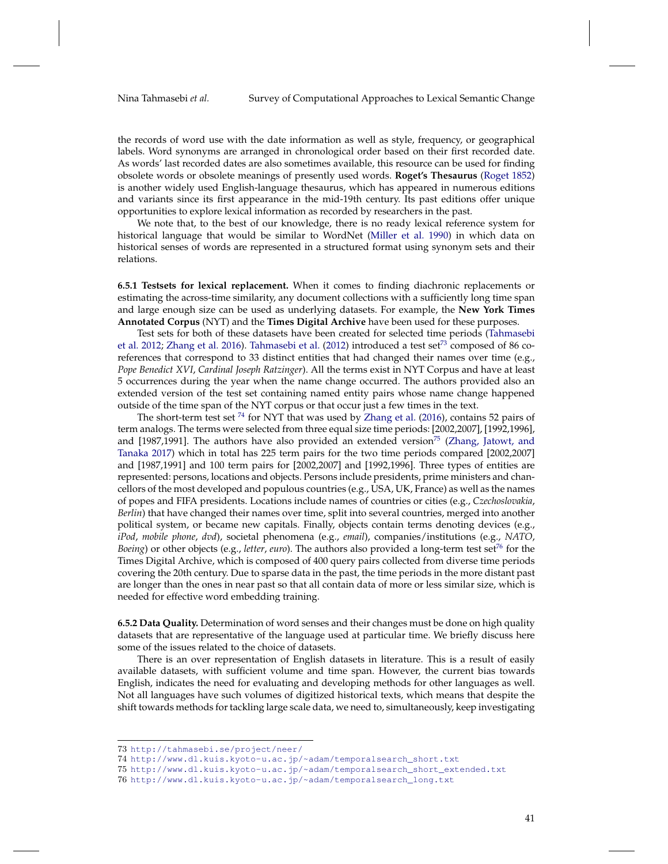the records of word use with the date information as well as style, frequency, or geographical labels. Word synonyms are arranged in chronological order based on their first recorded date. As words' last recorded dates are also sometimes available, this resource can be used for finding obsolete words or obsolete meanings of presently used words. **Roget's Thesaurus** [\(Roget](#page-52-20) [1852\)](#page-52-20) is another widely used English-language thesaurus, which has appeared in numerous editions and variants since its first appearance in the mid-19th century. Its past editions offer unique opportunities to explore lexical information as recorded by researchers in the past.

We note that, to the best of our knowledge, there is no ready lexical reference system for historical language that would be similar to WordNet [\(Miller et al.](#page-52-29) [1990\)](#page-52-29) in which data on historical senses of words are represented in a structured format using synonym sets and their relations.

**6.5.1 Testsets for lexical replacement.** When it comes to finding diachronic replacements or estimating the across-time similarity, any document collections with a sufficiently long time span and large enough size can be used as underlying datasets. For example, the **New York Times Annotated Corpus** (NYT) and the **Times Digital Archive** have been used for these purposes.

Test sets for both of these datasets have been created for selected time periods [\(Tahmasebi](#page-52-15) [et al.](#page-52-15) [2012;](#page-52-15) [Zhang et al.](#page-53-15) [2016\)](#page-53-15). [Tahmasebi et al.](#page-52-15) [\(2012\)](#page-52-15) introduced a test set<sup>[73](#page-40-0)</sup> composed of 86 coreferences that correspond to 33 distinct entities that had changed their names over time (e.g., *Pope Benedict XVI*, *Cardinal Joseph Ratzinger*). All the terms exist in NYT Corpus and have at least 5 occurrences during the year when the name change occurred. The authors provided also an extended version of the test set containing named entity pairs whose name change happened outside of the time span of the NYT corpus or that occur just a few times in the text.

The short-term test set  $^{74}$  $^{74}$  $^{74}$  for NYT that was used by [Zhang et al.](#page-53-15) [\(2016\)](#page-53-15), contains 52 pairs of term analogs. The terms were selected from three equal size time periods: [2002,2007], [1992,1996], and [1987,1991]. The authors have also provided an extended version<sup>[75](#page-40-2)</sup> [\(Zhang, Jatowt, and](#page-53-16) [Tanaka](#page-53-16) [2017\)](#page-53-16) which in total has 225 term pairs for the two time periods compared [2002,2007] and [1987,1991] and 100 term pairs for [2002,2007] and [1992,1996]. Three types of entities are represented: persons, locations and objects. Persons include presidents, prime ministers and chancellors of the most developed and populous countries (e.g., USA, UK, France) as well as the names of popes and FIFA presidents. Locations include names of countries or cities (e.g., *Czechoslovakia*, *Berlin*) that have changed their names over time, split into several countries, merged into another political system, or became new capitals. Finally, objects contain terms denoting devices (e.g., *iPod*, *mobile phone*, *dvd*), societal phenomena (e.g., *email*), companies/institutions (e.g., *NATO*, *Boeing*) or other objects (e.g., *letter*, *euro*). The authors also provided a long-term test set<sup>[76](#page-40-3)</sup> for the Times Digital Archive, which is composed of 400 query pairs collected from diverse time periods covering the 20th century. Due to sparse data in the past, the time periods in the more distant past are longer than the ones in near past so that all contain data of more or less similar size, which is needed for effective word embedding training.

**6.5.2 Data Quality.** Determination of word senses and their changes must be done on high quality datasets that are representative of the language used at particular time. We briefly discuss here some of the issues related to the choice of datasets.

There is an over representation of English datasets in literature. This is a result of easily available datasets, with sufficient volume and time span. However, the current bias towards English, indicates the need for evaluating and developing methods for other languages as well. Not all languages have such volumes of digitized historical texts, which means that despite the shift towards methods for tackling large scale data, we need to, simultaneously, keep investigating

<span id="page-40-0"></span><sup>73</sup> <http://tahmasebi.se/project/neer/>

<span id="page-40-1"></span><sup>74</sup> [http://www.dl.kuis.kyoto-u.ac.jp/~adam/temporalsearch\\_short.txt](http://www.dl.kuis.kyoto-u.ac.jp/~adam/temporalsearch_short.txt)

<span id="page-40-2"></span><sup>75</sup> [http://www.dl.kuis.kyoto-u.ac.jp/~adam/temporalsearch\\_short\\_extended.txt](http://www.dl.kuis.kyoto-u.ac.jp/~adam/temporalsearch_short_extended.txt)

<span id="page-40-3"></span><sup>76</sup> [http://www.dl.kuis.kyoto-u.ac.jp/~adam/temporalsearch\\_long.txt](http://www.dl.kuis.kyoto-u.ac.jp/~adam/temporalsearch_long.txt )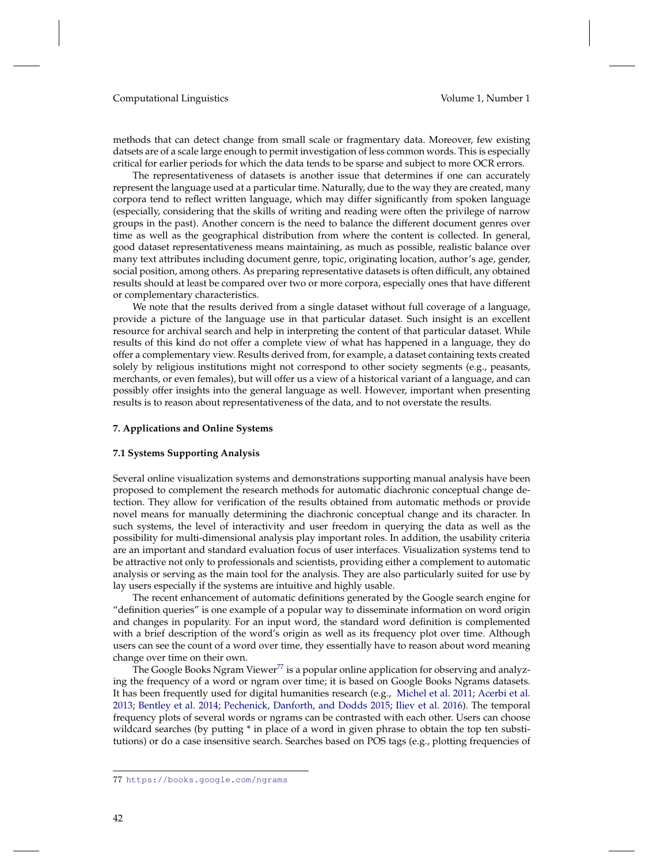methods that can detect change from small scale or fragmentary data. Moreover, few existing datsets are of a scale large enough to permit investigation of less common words. This is especially critical for earlier periods for which the data tends to be sparse and subject to more OCR errors.

The representativeness of datasets is another issue that determines if one can accurately represent the language used at a particular time. Naturally, due to the way they are created, many corpora tend to reflect written language, which may differ significantly from spoken language (especially, considering that the skills of writing and reading were often the privilege of narrow groups in the past). Another concern is the need to balance the different document genres over time as well as the geographical distribution from where the content is collected. In general, good dataset representativeness means maintaining, as much as possible, realistic balance over many text attributes including document genre, topic, originating location, author's age, gender, social position, among others. As preparing representative datasets is often difficult, any obtained results should at least be compared over two or more corpora, especially ones that have different or complementary characteristics.

We note that the results derived from a single dataset without full coverage of a language, provide a picture of the language use in that particular dataset. Such insight is an excellent resource for archival search and help in interpreting the content of that particular dataset. While results of this kind do not offer a complete view of what has happened in a language, they do offer a complementary view. Results derived from, for example, a dataset containing texts created solely by religious institutions might not correspond to other society segments (e.g., peasants, merchants, or even females), but will offer us a view of a historical variant of a language, and can possibly offer insights into the general language as well. However, important when presenting results is to reason about representativeness of the data, and to not overstate the results.

#### <span id="page-41-0"></span>**7. Applications and Online Systems**

### **7.1 Systems Supporting Analysis**

Several online visualization systems and demonstrations supporting manual analysis have been proposed to complement the research methods for automatic diachronic conceptual change detection. They allow for verification of the results obtained from automatic methods or provide novel means for manually determining the diachronic conceptual change and its character. In such systems, the level of interactivity and user freedom in querying the data as well as the possibility for multi-dimensional analysis play important roles. In addition, the usability criteria are an important and standard evaluation focus of user interfaces. Visualization systems tend to be attractive not only to professionals and scientists, providing either a complement to automatic analysis or serving as the main tool for the analysis. They are also particularly suited for use by lay users especially if the systems are intuitive and highly usable.

The recent enhancement of automatic definitions generated by the Google search engine for "definition queries" is one example of a popular way to disseminate information on word origin and changes in popularity. For an input word, the standard word definition is complemented with a brief description of the word's origin as well as its frequency plot over time. Although users can see the count of a word over time, they essentially have to reason about word meaning change over time on their own.

The Google Books Ngram Viewer<sup>[77](#page-41-1)</sup> is a popular online application for observing and analyzing the frequency of a word or ngram over time; it is based on Google Books Ngrams datasets. It has been frequently used for digital humanities research (e.g., [Michel et al.](#page-51-22) [2011;](#page-51-22) [Acerbi et al.](#page-48-12) [2013;](#page-48-12) [Bentley et al.](#page-48-13) [2014;](#page-48-13) [Pechenick, Danforth, and Dodds](#page-52-25) [2015;](#page-52-25) [Iliev et al.](#page-50-24) [2016\)](#page-50-24). The temporal frequency plots of several words or ngrams can be contrasted with each other. Users can choose wildcard searches (by putting \* in place of a word in given phrase to obtain the top ten substitutions) or do a case insensitive search. Searches based on POS tags (e.g., plotting frequencies of

<span id="page-41-1"></span><sup>77</sup> <https://books.google.com/ngrams>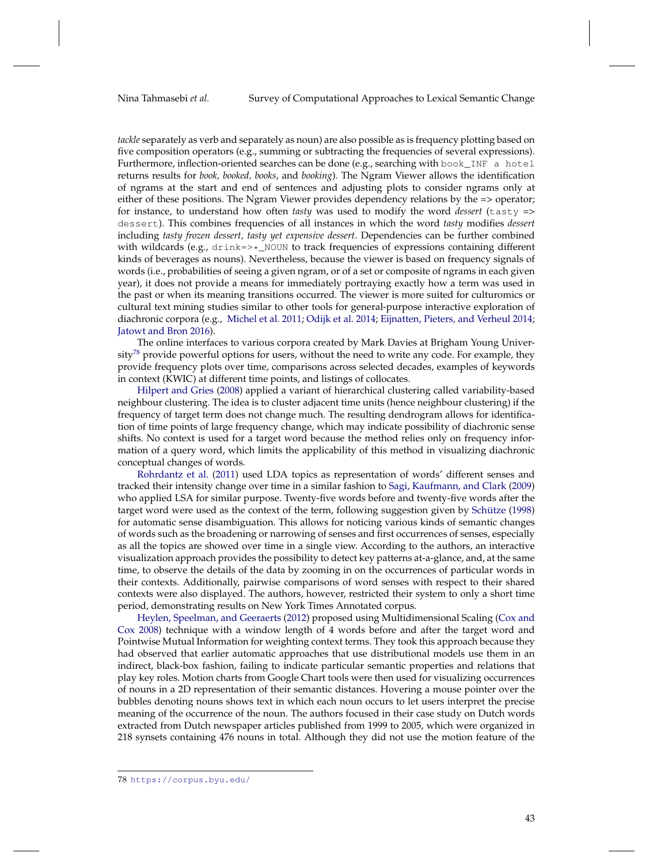*tackle* separately as verb and separately as noun) are also possible as is frequency plotting based on five composition operators (e.g., summing or subtracting the frequencies of several expressions). Furthermore, inflection-oriented searches can be done (e.g., searching with book\_INF a hotel returns results for *book, booked, books*, and *booking*). The Ngram Viewer allows the identification of ngrams at the start and end of sentences and adjusting plots to consider ngrams only at either of these positions. The Ngram Viewer provides dependency relations by the => operator; for instance, to understand how often *tasty* was used to modify the word *dessert* (tasty => dessert). This combines frequencies of all instances in which the word *tasty* modifies *dessert* including *tasty frozen dessert, tasty yet expensive dessert*. Dependencies can be further combined with wildcards (e.g.,  $drink=>=N$  NOUN to track frequencies of expressions containing different kinds of beverages as nouns). Nevertheless, because the viewer is based on frequency signals of words (i.e., probabilities of seeing a given ngram, or of a set or composite of ngrams in each given year), it does not provide a means for immediately portraying exactly how a term was used in the past or when its meaning transitions occurred. The viewer is more suited for culturomics or cultural text mining studies similar to other tools for general-purpose interactive exploration of diachronic corpora (e.g., [Michel et al.](#page-51-22) [2011;](#page-51-22) [Odijk et al.](#page-52-30) [2014;](#page-52-30) [Eijnatten, Pieters, and Verheul](#page-49-22) [2014;](#page-49-22) [Jatowt and Bron](#page-50-25) [2016\)](#page-50-25).

The online interfaces to various corpora created by Mark Davies at Brigham Young Univer-sity<sup>[78](#page-42-0)</sup> provide powerful options for users, without the need to write any code. For example, they provide frequency plots over time, comparisons across selected decades, examples of keywords in context (KWIC) at different time points, and listings of collocates.

[Hilpert and Gries](#page-50-26) [\(2008\)](#page-50-26) applied a variant of hierarchical clustering called variability-based neighbour clustering. The idea is to cluster adjacent time units (hence neighbour clustering) if the frequency of target term does not change much. The resulting dendrogram allows for identification of time points of large frequency change, which may indicate possibility of diachronic sense shifts. No context is used for a target word because the method relies only on frequency information of a query word, which limits the applicability of this method in visualizing diachronic conceptual changes of words.

[Rohrdantz et al.](#page-52-31) [\(2011\)](#page-52-31) used LDA topics as representation of words' different senses and tracked their intensity change over time in a similar fashion to [Sagi, Kaufmann, and Clark](#page-52-3) [\(2009\)](#page-52-3) who applied LSA for similar purpose. Twenty-five words before and twenty-five words after the target word were used as the context of the term, following suggestion given by [Schütze](#page-52-4) [\(1998\)](#page-52-4) for automatic sense disambiguation. This allows for noticing various kinds of semantic changes of words such as the broadening or narrowing of senses and first occurrences of senses, especially as all the topics are showed over time in a single view. According to the authors, an interactive visualization approach provides the possibility to detect key patterns at-a-glance, and, at the same time, to observe the details of the data by zooming in on the occurrences of particular words in their contexts. Additionally, pairwise comparisons of word senses with respect to their shared contexts were also displayed. The authors, however, restricted their system to only a short time period, demonstrating results on New York Times Annotated corpus.

[Heylen, Speelman, and Geeraerts](#page-50-27) [\(2012\)](#page-50-27) proposed using Multidimensional Scaling [\(Cox and](#page-49-23) [Cox](#page-49-23) [2008\)](#page-49-23) technique with a window length of 4 words before and after the target word and Pointwise Mutual Information for weighting context terms. They took this approach because they had observed that earlier automatic approaches that use distributional models use them in an indirect, black-box fashion, failing to indicate particular semantic properties and relations that play key roles. Motion charts from Google Chart tools were then used for visualizing occurrences of nouns in a 2D representation of their semantic distances. Hovering a mouse pointer over the bubbles denoting nouns shows text in which each noun occurs to let users interpret the precise meaning of the occurrence of the noun. The authors focused in their case study on Dutch words extracted from Dutch newspaper articles published from 1999 to 2005, which were organized in 218 synsets containing 476 nouns in total. Although they did not use the motion feature of the

<span id="page-42-0"></span><sup>78</sup> <https://corpus.byu.edu/>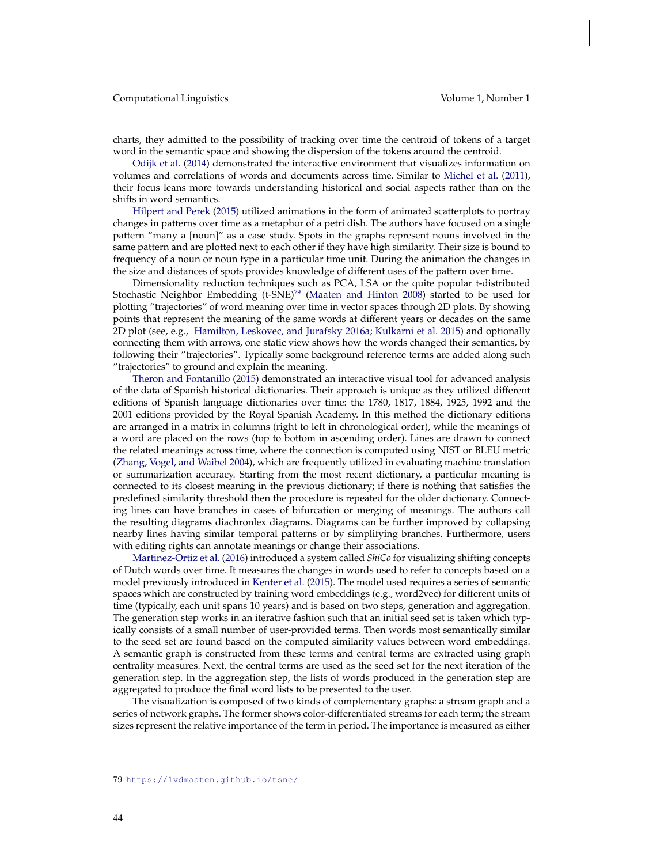charts, they admitted to the possibility of tracking over time the centroid of tokens of a target word in the semantic space and showing the dispersion of the tokens around the centroid.

[Odijk et al.](#page-52-30) [\(2014\)](#page-52-30) demonstrated the interactive environment that visualizes information on volumes and correlations of words and documents across time. Similar to [Michel et al.](#page-51-22) [\(2011\)](#page-51-22), their focus leans more towards understanding historical and social aspects rather than on the shifts in word semantics.

[Hilpert and Perek](#page-50-28) [\(2015\)](#page-50-28) utilized animations in the form of animated scatterplots to portray changes in patterns over time as a metaphor of a petri dish. The authors have focused on a single pattern "many a [noun]" as a case study. Spots in the graphs represent nouns involved in the same pattern and are plotted next to each other if they have high similarity. Their size is bound to frequency of a noun or noun type in a particular time unit. During the animation the changes in the size and distances of spots provides knowledge of different uses of the pattern over time.

Dimensionality reduction techniques such as PCA, LSA or the quite popular t-distributed Stochastic Neighbor Embedding  $(t\text{-SNE})^{79}$  $(t\text{-SNE})^{79}$  $(t\text{-SNE})^{79}$  [\(Maaten and Hinton](#page-51-25) [2008\)](#page-51-25) started to be used for plotting "trajectories" of word meaning over time in vector spaces through 2D plots. By showing points that represent the meaning of the same words at different years or decades on the same 2D plot (see, e.g., [Hamilton, Leskovec, and Jurafsky](#page-50-7) [2016a;](#page-50-7) [Kulkarni et al.](#page-51-5) [2015\)](#page-51-5) and optionally connecting them with arrows, one static view shows how the words changed their semantics, by following their "trajectories". Typically some background reference terms are added along such "trajectories" to ground and explain the meaning.

[Theron and Fontanillo](#page-53-22) [\(2015\)](#page-53-22) demonstrated an interactive visual tool for advanced analysis of the data of Spanish historical dictionaries. Their approach is unique as they utilized different editions of Spanish language dictionaries over time: the 1780, 1817, 1884, 1925, 1992 and the 2001 editions provided by the Royal Spanish Academy. In this method the dictionary editions are arranged in a matrix in columns (right to left in chronological order), while the meanings of a word are placed on the rows (top to bottom in ascending order). Lines are drawn to connect the related meanings across time, where the connection is computed using NIST or BLEU metric [\(Zhang, Vogel, and Waibel](#page-53-23) [2004\)](#page-53-23), which are frequently utilized in evaluating machine translation or summarization accuracy. Starting from the most recent dictionary, a particular meaning is connected to its closest meaning in the previous dictionary; if there is nothing that satisfies the predefined similarity threshold then the procedure is repeated for the older dictionary. Connecting lines can have branches in cases of bifurcation or merging of meanings. The authors call the resulting diagrams diachronlex diagrams. Diagrams can be further improved by collapsing nearby lines having similar temporal patterns or by simplifying branches. Furthermore, users with editing rights can annotate meanings or change their associations.

[Martinez-Ortiz et al.](#page-51-26) [\(2016\)](#page-51-26) introduced a system called *ShiCo* for visualizing shifting concepts of Dutch words over time. It measures the changes in words used to refer to concepts based on a model previously introduced in [Kenter et al.](#page-51-15) [\(2015\)](#page-51-15). The model used requires a series of semantic spaces which are constructed by training word embeddings (e.g., word2vec) for different units of time (typically, each unit spans 10 years) and is based on two steps, generation and aggregation. The generation step works in an iterative fashion such that an initial seed set is taken which typically consists of a small number of user-provided terms. Then words most semantically similar to the seed set are found based on the computed similarity values between word embeddings. A semantic graph is constructed from these terms and central terms are extracted using graph centrality measures. Next, the central terms are used as the seed set for the next iteration of the generation step. In the aggregation step, the lists of words produced in the generation step are aggregated to produce the final word lists to be presented to the user.

The visualization is composed of two kinds of complementary graphs: a stream graph and a series of network graphs. The former shows color-differentiated streams for each term; the stream sizes represent the relative importance of the term in period. The importance is measured as either

<span id="page-43-0"></span><sup>79</sup> <https://lvdmaaten.github.io/tsne/>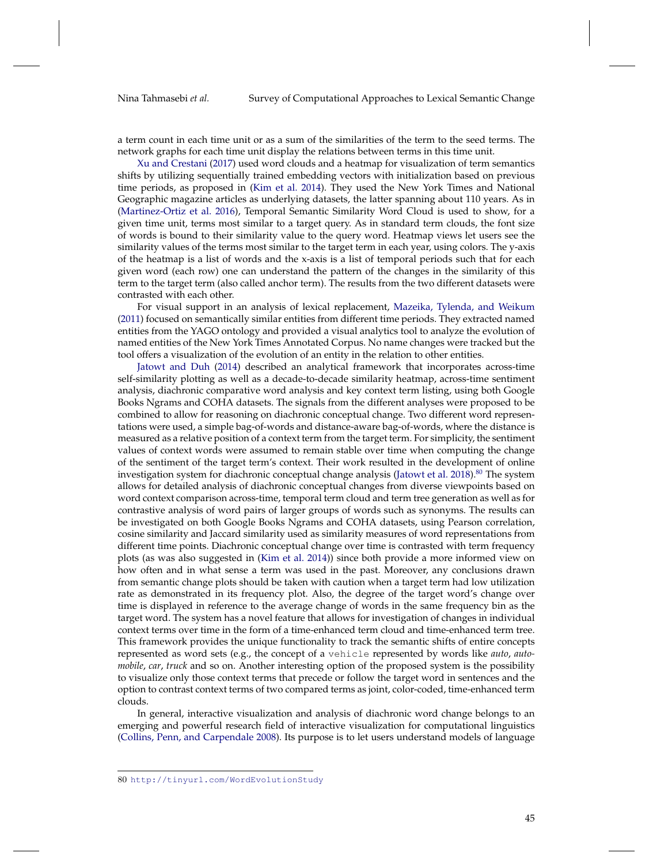a term count in each time unit or as a sum of the similarities of the term to the seed terms. The network graphs for each time unit display the relations between terms in this time unit.

[Xu and Crestani](#page-53-24) [\(2017\)](#page-53-24) used word clouds and a heatmap for visualization of term semantics shifts by utilizing sequentially trained embedding vectors with initialization based on previous time periods, as proposed in [\(Kim et al.](#page-51-7) [2014\)](#page-51-7). They used the New York Times and National Geographic magazine articles as underlying datasets, the latter spanning about 110 years. As in [\(Martinez-Ortiz et al.](#page-51-26) [2016\)](#page-51-26), Temporal Semantic Similarity Word Cloud is used to show, for a given time unit, terms most similar to a target query. As in standard term clouds, the font size of words is bound to their similarity value to the query word. Heatmap views let users see the similarity values of the terms most similar to the target term in each year, using colors. The y-axis of the heatmap is a list of words and the x-axis is a list of temporal periods such that for each given word (each row) one can understand the pattern of the changes in the similarity of this term to the target term (also called anchor term). The results from the two different datasets were contrasted with each other.

For visual support in an analysis of lexical replacement, [Mazeika, Tylenda, and Weikum](#page-51-27) [\(2011\)](#page-51-27) focused on semantically similar entities from different time periods. They extracted named entities from the YAGO ontology and provided a visual analytics tool to analyze the evolution of named entities of the New York Times Annotated Corpus. No name changes were tracked but the tool offers a visualization of the evolution of an entity in the relation to other entities.

[Jatowt and Duh](#page-50-29) [\(2014\)](#page-50-29) described an analytical framework that incorporates across-time self-similarity plotting as well as a decade-to-decade similarity heatmap, across-time sentiment analysis, diachronic comparative word analysis and key context term listing, using both Google Books Ngrams and COHA datasets. The signals from the different analyses were proposed to be combined to allow for reasoning on diachronic conceptual change. Two different word representations were used, a simple bag-of-words and distance-aware bag-of-words, where the distance is measured as a relative position of a context term from the target term. For simplicity, the sentiment values of context words were assumed to remain stable over time when computing the change of the sentiment of the target term's context. Their work resulted in the development of online investigation system for diachronic conceptual change analysis [\(Jatowt et al.](#page-50-6) [2018\)](#page-50-6).<sup>[80](#page-44-0)</sup> The system allows for detailed analysis of diachronic conceptual changes from diverse viewpoints based on word context comparison across-time, temporal term cloud and term tree generation as well as for contrastive analysis of word pairs of larger groups of words such as synonyms. The results can be investigated on both Google Books Ngrams and COHA datasets, using Pearson correlation, cosine similarity and Jaccard similarity used as similarity measures of word representations from different time points. Diachronic conceptual change over time is contrasted with term frequency plots (as was also suggested in [\(Kim et al.](#page-51-7) [2014\)](#page-51-7)) since both provide a more informed view on how often and in what sense a term was used in the past. Moreover, any conclusions drawn from semantic change plots should be taken with caution when a target term had low utilization rate as demonstrated in its frequency plot. Also, the degree of the target word's change over time is displayed in reference to the average change of words in the same frequency bin as the target word. The system has a novel feature that allows for investigation of changes in individual context terms over time in the form of a time-enhanced term cloud and time-enhanced term tree. This framework provides the unique functionality to track the semantic shifts of entire concepts represented as word sets (e.g., the concept of a vehicle represented by words like *auto*, *automobile*, *car*, *truck* and so on. Another interesting option of the proposed system is the possibility to visualize only those context terms that precede or follow the target word in sentences and the option to contrast context terms of two compared terms as joint, color-coded, time-enhanced term clouds.

In general, interactive visualization and analysis of diachronic word change belongs to an emerging and powerful research field of interactive visualization for computational linguistics [\(Collins, Penn, and Carpendale](#page-49-24) [2008\)](#page-49-24). Its purpose is to let users understand models of language

<span id="page-44-0"></span><sup>80</sup> <http://tinyurl.com/WordEvolutionStudy>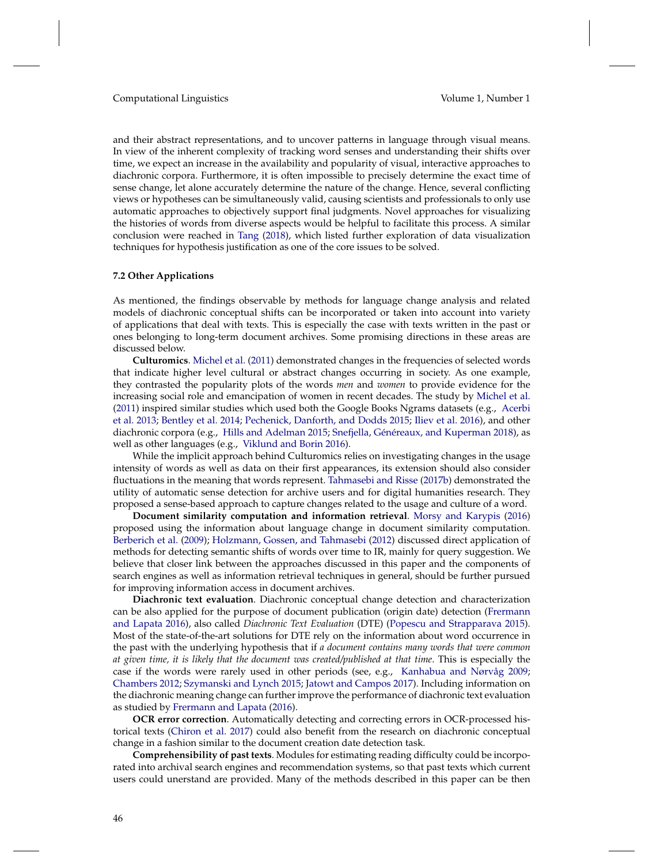and their abstract representations, and to uncover patterns in language through visual means. In view of the inherent complexity of tracking word senses and understanding their shifts over time, we expect an increase in the availability and popularity of visual, interactive approaches to diachronic corpora. Furthermore, it is often impossible to precisely determine the exact time of sense change, let alone accurately determine the nature of the change. Hence, several conflicting views or hypotheses can be simultaneously valid, causing scientists and professionals to only use automatic approaches to objectively support final judgments. Novel approaches for visualizing the histories of words from diverse aspects would be helpful to facilitate this process. A similar conclusion were reached in [Tang](#page-53-0) [\(2018\)](#page-53-0), which listed further exploration of data visualization techniques for hypothesis justification as one of the core issues to be solved.

#### **7.2 Other Applications**

As mentioned, the findings observable by methods for language change analysis and related models of diachronic conceptual shifts can be incorporated or taken into account into variety of applications that deal with texts. This is especially the case with texts written in the past or ones belonging to long-term document archives. Some promising directions in these areas are discussed below.

**Culturomics**. [Michel et al.](#page-51-22) [\(2011\)](#page-51-22) demonstrated changes in the frequencies of selected words that indicate higher level cultural or abstract changes occurring in society. As one example, they contrasted the popularity plots of the words *men* and *women* to provide evidence for the increasing social role and emancipation of women in recent decades. The study by [Michel et al.](#page-51-22) [\(2011\)](#page-51-22) inspired similar studies which used both the Google Books Ngrams datasets (e.g., [Acerbi](#page-48-12) [et al.](#page-48-12) [2013;](#page-48-12) [Bentley et al.](#page-48-13) [2014;](#page-48-13) [Pechenick, Danforth, and Dodds](#page-52-25) [2015;](#page-52-25) [Iliev et al.](#page-50-24) [2016\)](#page-50-24), and other diachronic corpora (e.g., [Hills and Adelman](#page-50-22) [2015;](#page-50-22) [Snefjella, Généreaux, and Kuperman](#page-52-26) [2018\)](#page-52-26), as well as other languages (e.g., [Viklund and Borin](#page-53-25) [2016\)](#page-53-25).

While the implicit approach behind Culturomics relies on investigating changes in the usage intensity of words as well as data on their first appearances, its extension should also consider fluctuations in the meaning that words represent. [Tahmasebi and Risse](#page-53-26) [\(2017b\)](#page-53-26) demonstrated the utility of automatic sense detection for archive users and for digital humanities research. They proposed a sense-based approach to capture changes related to the usage and culture of a word.

**Document similarity computation and information retrieval**. [Morsy and Karypis](#page-52-12) [\(2016\)](#page-52-12) proposed using the information about language change in document similarity computation. [Berberich et al.](#page-48-9) [\(2009\)](#page-48-9); [Holzmann, Gossen, and Tahmasebi](#page-50-11) [\(2012\)](#page-50-11) discussed direct application of methods for detecting semantic shifts of words over time to IR, mainly for query suggestion. We believe that closer link between the approaches discussed in this paper and the components of search engines as well as information retrieval techniques in general, should be further pursued for improving information access in document archives.

**Diachronic text evaluation**. Diachronic conceptual change detection and characterization can be also applied for the purpose of document publication (origin date) detection [\(Frermann](#page-50-10) [and Lapata](#page-50-10) [2016\)](#page-50-10), also called *Diachronic Text Evaluation* (DTE) [\(Popescu and Strapparava](#page-52-27) [2015\)](#page-52-27). Most of the state-of-the-art solutions for DTE rely on the information about word occurrence in the past with the underlying hypothesis that if *a document contains many words that were common at given time, it is likely that the document was created/published at that time*. This is especially the case if the words were rarely used in other periods (see, e.g., [Kanhabua and Nørvåg](#page-51-28) [2009;](#page-51-28) [Chambers](#page-49-25) [2012;](#page-49-25) [Szymanski and Lynch](#page-52-32) [2015;](#page-52-32) [Jatowt and Campos](#page-50-30) [2017\)](#page-50-30). Including information on the diachronic meaning change can further improve the performance of diachronic text evaluation as studied by [Frermann and Lapata](#page-50-10) [\(2016\)](#page-50-10).

**OCR error correction**. Automatically detecting and correcting errors in OCR-processed historical texts [\(Chiron et al.](#page-49-26) [2017\)](#page-49-26) could also benefit from the research on diachronic conceptual change in a fashion similar to the document creation date detection task.

**Comprehensibility of past texts**. Modules for estimating reading difficulty could be incorporated into archival search engines and recommendation systems, so that past texts which current users could unerstand are provided. Many of the methods described in this paper can be then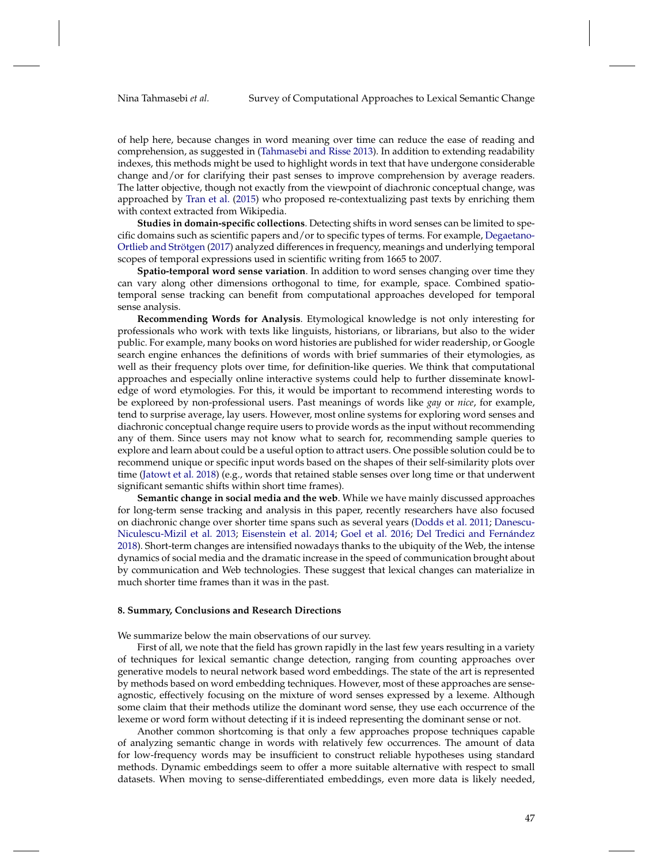of help here, because changes in word meaning over time can reduce the ease of reading and comprehension, as suggested in [\(Tahmasebi and Risse](#page-53-27) [2013\)](#page-53-27). In addition to extending readability indexes, this methods might be used to highlight words in text that have undergone considerable change and/or for clarifying their past senses to improve comprehension by average readers. The latter objective, though not exactly from the viewpoint of diachronic conceptual change, was approached by [Tran et al.](#page-53-28) [\(2015\)](#page-53-28) who proposed re-contextualizing past texts by enriching them with context extracted from Wikipedia.

**Studies in domain-specific collections**. Detecting shifts in word senses can be limited to specific domains such as scientific papers and/or to specific types of terms. For example, [Degaetano-](#page-49-27)[Ortlieb and Strötgen](#page-49-27) [\(2017\)](#page-49-27) analyzed differences in frequency, meanings and underlying temporal scopes of temporal expressions used in scientific writing from 1665 to 2007.

**Spatio-temporal word sense variation**. In addition to word senses changing over time they can vary along other dimensions orthogonal to time, for example, space. Combined spatiotemporal sense tracking can benefit from computational approaches developed for temporal sense analysis.

**Recommending Words for Analysis**. Etymological knowledge is not only interesting for professionals who work with texts like linguists, historians, or librarians, but also to the wider public. For example, many books on word histories are published for wider readership, or Google search engine enhances the definitions of words with brief summaries of their etymologies, as well as their frequency plots over time, for definition-like queries. We think that computational approaches and especially online interactive systems could help to further disseminate knowledge of word etymologies. For this, it would be important to recommend interesting words to be exploreed by non-professional users. Past meanings of words like *gay* or *nice*, for example, tend to surprise average, lay users. However, most online systems for exploring word senses and diachronic conceptual change require users to provide words as the input without recommending any of them. Since users may not know what to search for, recommending sample queries to explore and learn about could be a useful option to attract users. One possible solution could be to recommend unique or specific input words based on the shapes of their self-similarity plots over time [\(Jatowt et al.](#page-50-6) [2018\)](#page-50-6) (e.g., words that retained stable senses over long time or that underwent significant semantic shifts within short time frames).

**Semantic change in social media and the web**. While we have mainly discussed approaches for long-term sense tracking and analysis in this paper, recently researchers have also focused on diachronic change over shorter time spans such as several years [\(Dodds et al.](#page-49-28) [2011;](#page-49-28) [Danescu-](#page-49-29)[Niculescu-Mizil et al.](#page-49-29) [2013;](#page-49-29) [Eisenstein et al.](#page-49-30) [2014;](#page-49-30) [Goel et al.](#page-50-31) [2016;](#page-50-31) [Del Tredici and Fernández](#page-49-31) [2018\)](#page-49-31). Short-term changes are intensified nowadays thanks to the ubiquity of the Web, the intense dynamics of social media and the dramatic increase in the speed of communication brought about by communication and Web technologies. These suggest that lexical changes can materialize in much shorter time frames than it was in the past.

### <span id="page-46-0"></span>**8. Summary, Conclusions and Research Directions**

We summarize below the main observations of our survey.

First of all, we note that the field has grown rapidly in the last few years resulting in a variety of techniques for lexical semantic change detection, ranging from counting approaches over generative models to neural network based word embeddings. The state of the art is represented by methods based on word embedding techniques. However, most of these approaches are senseagnostic, effectively focusing on the mixture of word senses expressed by a lexeme. Although some claim that their methods utilize the dominant word sense, they use each occurrence of the lexeme or word form without detecting if it is indeed representing the dominant sense or not.

Another common shortcoming is that only a few approaches propose techniques capable of analyzing semantic change in words with relatively few occurrences. The amount of data for low-frequency words may be insufficient to construct reliable hypotheses using standard methods. Dynamic embeddings seem to offer a more suitable alternative with respect to small datasets. When moving to sense-differentiated embeddings, even more data is likely needed,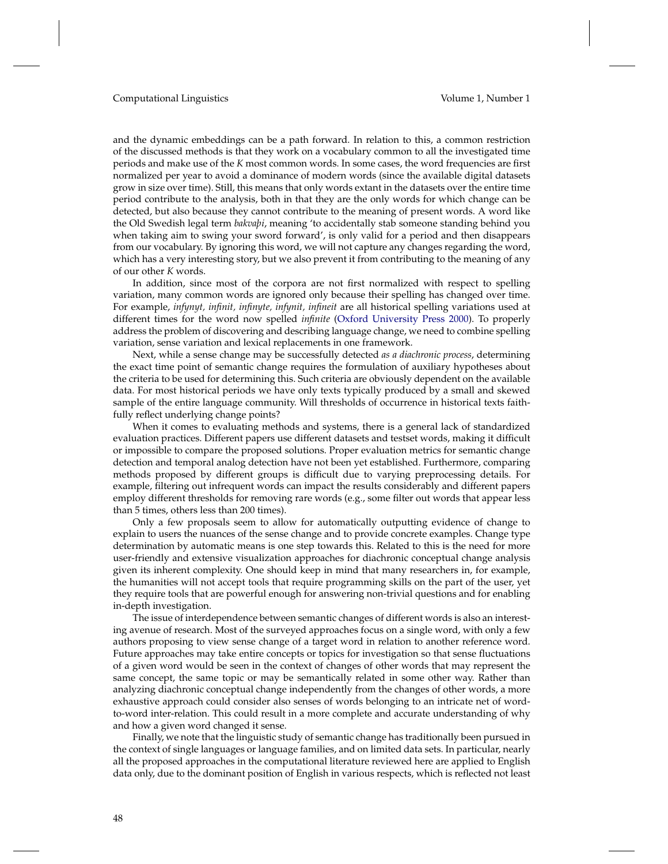and the dynamic embeddings can be a path forward. In relation to this, a common restriction of the discussed methods is that they work on a vocabulary common to all the investigated time periods and make use of the *K* most common words. In some cases, the word frequencies are first normalized per year to avoid a dominance of modern words (since the available digital datasets grow in size over time). Still, this means that only words extant in the datasets over the entire time period contribute to the analysis, both in that they are the only words for which change can be detected, but also because they cannot contribute to the meaning of present words. A word like the Old Swedish legal term *bakvaþi*, meaning 'to accidentally stab someone standing behind you when taking aim to swing your sword forward', is only valid for a period and then disappears from our vocabulary. By ignoring this word, we will not capture any changes regarding the word, which has a very interesting story, but we also prevent it from contributing to the meaning of any of our other *K* words.

In addition, since most of the corpora are not first normalized with respect to spelling variation, many common words are ignored only because their spelling has changed over time. For example, *infynyt, infinit, infinyte, infynit, infineit* are all historical spelling variations used at different times for the word now spelled *infinite* [\(Oxford University Press](#page-52-33) [2000\)](#page-52-33). To properly address the problem of discovering and describing language change, we need to combine spelling variation, sense variation and lexical replacements in one framework.

Next, while a sense change may be successfully detected *as a diachronic process*, determining the exact time point of semantic change requires the formulation of auxiliary hypotheses about the criteria to be used for determining this. Such criteria are obviously dependent on the available data. For most historical periods we have only texts typically produced by a small and skewed sample of the entire language community. Will thresholds of occurrence in historical texts faithfully reflect underlying change points?

When it comes to evaluating methods and systems, there is a general lack of standardized evaluation practices. Different papers use different datasets and testset words, making it difficult or impossible to compare the proposed solutions. Proper evaluation metrics for semantic change detection and temporal analog detection have not been yet established. Furthermore, comparing methods proposed by different groups is difficult due to varying preprocessing details. For example, filtering out infrequent words can impact the results considerably and different papers employ different thresholds for removing rare words (e.g., some filter out words that appear less than 5 times, others less than 200 times).

Only a few proposals seem to allow for automatically outputting evidence of change to explain to users the nuances of the sense change and to provide concrete examples. Change type determination by automatic means is one step towards this. Related to this is the need for more user-friendly and extensive visualization approaches for diachronic conceptual change analysis given its inherent complexity. One should keep in mind that many researchers in, for example, the humanities will not accept tools that require programming skills on the part of the user, yet they require tools that are powerful enough for answering non-trivial questions and for enabling in-depth investigation.

The issue of interdependence between semantic changes of different words is also an interesting avenue of research. Most of the surveyed approaches focus on a single word, with only a few authors proposing to view sense change of a target word in relation to another reference word. Future approaches may take entire concepts or topics for investigation so that sense fluctuations of a given word would be seen in the context of changes of other words that may represent the same concept, the same topic or may be semantically related in some other way. Rather than analyzing diachronic conceptual change independently from the changes of other words, a more exhaustive approach could consider also senses of words belonging to an intricate net of wordto-word inter-relation. This could result in a more complete and accurate understanding of why and how a given word changed it sense.

Finally, we note that the linguistic study of semantic change has traditionally been pursued in the context of single languages or language families, and on limited data sets. In particular, nearly all the proposed approaches in the computational literature reviewed here are applied to English data only, due to the dominant position of English in various respects, which is reflected not least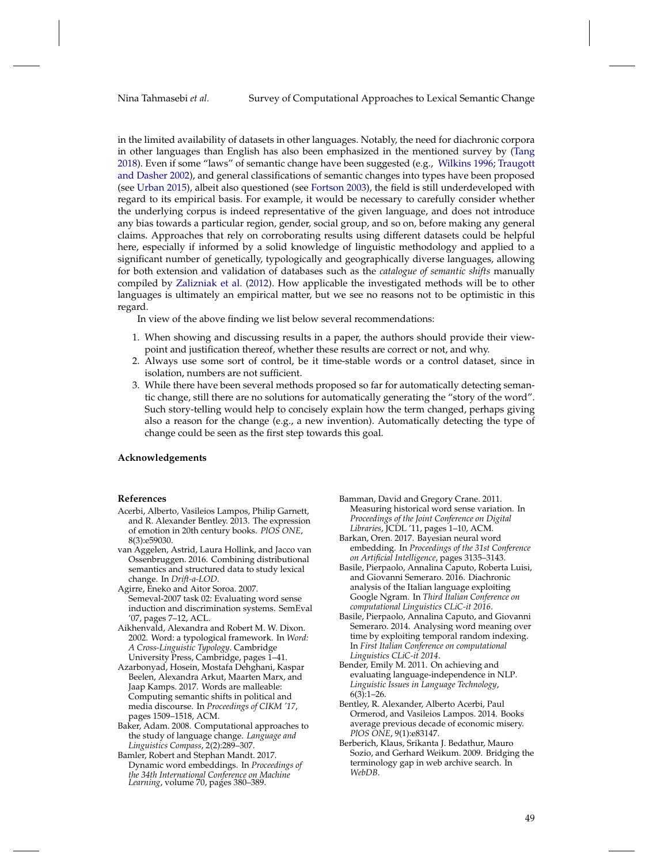in the limited availability of datasets in other languages. Notably, the need for diachronic corpora in other languages than English has also been emphasized in the mentioned survey by [\(Tang](#page-53-0) [2018\)](#page-53-0). Even if some "laws" of semantic change have been suggested (e.g., [Wilkins](#page-53-29) [1996;](#page-53-29) [Traugott](#page-53-19) [and Dasher](#page-53-19) [2002\)](#page-53-19), and general classifications of semantic changes into types have been proposed (see [Urban](#page-53-21) [2015\)](#page-53-21), albeit also questioned (see [Fortson](#page-50-15) [2003\)](#page-50-15), the field is still underdeveloped with regard to its empirical basis. For example, it would be necessary to carefully consider whether the underlying corpus is indeed representative of the given language, and does not introduce any bias towards a particular region, gender, social group, and so on, before making any general claims. Approaches that rely on corroborating results using different datasets could be helpful here, especially if informed by a solid knowledge of linguistic methodology and applied to a significant number of genetically, typologically and geographically diverse languages, allowing for both extension and validation of databases such as the *catalogue of semantic shifts* manually compiled by [Zalizniak et al.](#page-53-30) [\(2012\)](#page-53-30). How applicable the investigated methods will be to other languages is ultimately an empirical matter, but we see no reasons not to be optimistic in this regard.

In view of the above finding we list below several recommendations:

- 1. When showing and discussing results in a paper, the authors should provide their viewpoint and justification thereof, whether these results are correct or not, and why.
- 2. Always use some sort of control, be it time-stable words or a control dataset, since in isolation, numbers are not sufficient.
- 3. While there have been several methods proposed so far for automatically detecting semantic change, still there are no solutions for automatically generating the "story of the word". Such story-telling would help to concisely explain how the term changed, perhaps giving also a reason for the change (e.g., a new invention). Automatically detecting the type of change could be seen as the first step towards this goal.

#### **Acknowledgements**

#### **References**

- <span id="page-48-12"></span>Acerbi, Alberto, Vasileios Lampos, Philip Garnett, and R. Alexander Bentley. 2013. The expression of emotion in 20th century books. *PlOS ONE*, 8(3):e59030.
- <span id="page-48-6"></span>van Aggelen, Astrid, Laura Hollink, and Jacco van Ossenbruggen. 2016. Combining distributional semantics and structured data to study lexical change. In *Drift-a-LOD*.
- <span id="page-48-10"></span>Agirre, Eneko and Aitor Soroa. 2007. Semeval-2007 task 02: Evaluating word sense induction and discrimination systems. SemEval '07, pages 7–12, ACL.
- <span id="page-48-1"></span>Aikhenvald, Alexandra and Robert M. W. Dixon. 2002. Word: a typological framework. In *Word: A Cross-Linguistic Typology*. Cambridge University Press, Cambridge, pages 1–41.
- <span id="page-48-7"></span>Azarbonyad, Hosein, Mostafa Dehghani, Kaspar Beelen, Alexandra Arkut, Maarten Marx, and Jaap Kamps. 2017. Words are malleable: Computing semantic shifts in political and media discourse. In *Proceedings of CIKM '17*, pages 1509–1518, ACM.
- <span id="page-48-0"></span>Baker, Adam. 2008. Computational approaches to the study of language change. *Language and Linguistics Compass*, 2(2):289–307.
- <span id="page-48-4"></span>Bamler, Robert and Stephan Mandt. 2017. Dynamic word embeddings. In *Proceedings of the 34th International Conference on Machine Learning*, volume 70, pages 380–389.
- <span id="page-48-8"></span>Bamman, David and Gregory Crane. 2011. Measuring historical word sense variation. In *Proceedings of the Joint Conference on Digital Libraries*, JCDL '11, pages 1–10, ACM.
- <span id="page-48-5"></span>Barkan, Oren. 2017. Bayesian neural word embedding. In *Proceedings of the 31st Conference on Artificial Intelligence*, pages 3135–3143.
- <span id="page-48-2"></span>Basile, Pierpaolo, Annalina Caputo, Roberta Luisi, and Giovanni Semeraro. 2016. Diachronic analysis of the Italian language exploiting Google Ngram. In *Third Italian Conference on computational Linguistics CLiC-it 2016*.
- <span id="page-48-3"></span>Basile, Pierpaolo, Annalina Caputo, and Giovanni Semeraro. 2014. Analysing word meaning over time by exploiting temporal random indexing. In *First Italian Conference on computational Linguistics CLiC-it 2014*.
- <span id="page-48-11"></span>Bender, Emily M. 2011. On achieving and evaluating language-independence in NLP. *Linguistic Issues in Language Technology*,  $6(3):1-26.$
- <span id="page-48-13"></span>Bentley, R. Alexander, Alberto Acerbi, Paul Ormerod, and Vasileios Lampos. 2014. Books average previous decade of economic misery. *PlOS ONE*, 9(1):e83147.
- <span id="page-48-9"></span>Berberich, Klaus, Srikanta J. Bedathur, Mauro Sozio, and Gerhard Weikum. 2009. Bridging the terminology gap in web archive search. In *WebDB*.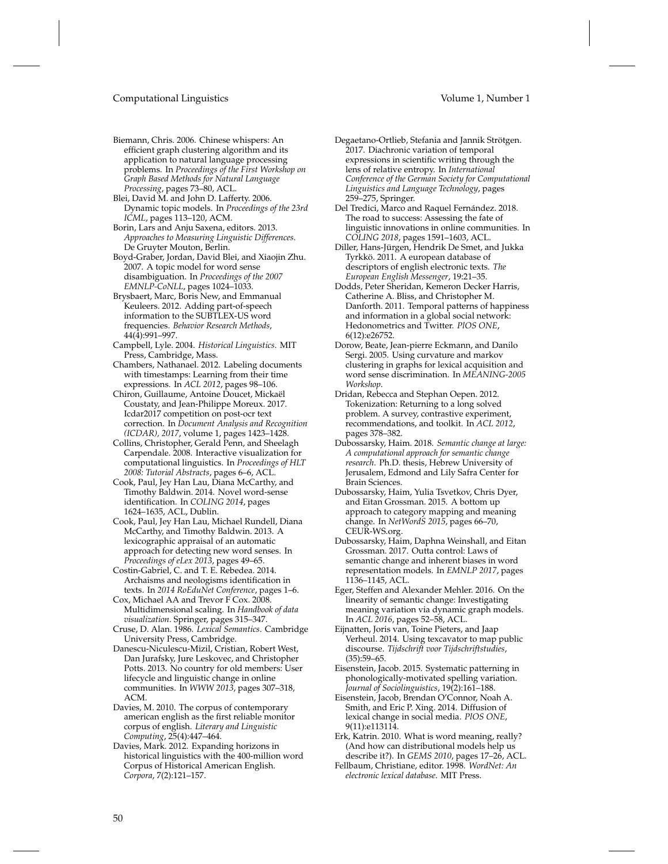- <span id="page-49-12"></span>Biemann, Chris. 2006. Chinese whispers: An efficient graph clustering algorithm and its application to natural language processing problems. In *Proceedings of the First Workshop on Graph Based Methods for Natural Language Processing*, pages 73–80, ACL.
- <span id="page-49-8"></span>Blei, David M. and John D. Lafferty. 2006. Dynamic topic models. In *Proceedings of the 23rd ICML*, pages 113–120, ACM.
- <span id="page-49-2"></span>Borin, Lars and Anju Saxena, editors. 2013. *Approaches to Measuring Linguistic Differences*. De Gruyter Mouton, Berlin.
- <span id="page-49-11"></span>Boyd-Graber, Jordan, David Blei, and Xiaojin Zhu. 2007. A topic model for word sense disambiguation. In *Proceedings of the 2007 EMNLP-CoNLL*, pages 1024–1033.
- <span id="page-49-19"></span>Brysbaert, Marc, Boris New, and Emmanual Keuleers. 2012. Adding part-of-speech information to the SUBTLEX-US word frequencies. *Behavior Research Methods*, 44(4):991–997.
- <span id="page-49-14"></span>Campbell, Lyle. 2004. *Historical Linguistics*. MIT Press, Cambridge, Mass.
- <span id="page-49-25"></span>Chambers, Nathanael. 2012. Labeling documents with timestamps: Learning from their time expressions. In *ACL 2012*, pages 98–106.
- <span id="page-49-26"></span>Chiron, Guillaume, Antoine Doucet, Mickaël Coustaty, and Jean-Philippe Moreux. 2017. Icdar2017 competition on post-ocr text correction. In *Document Analysis and Recognition (ICDAR), 2017*, volume 1, pages 1423–1428.
- <span id="page-49-24"></span>Collins, Christopher, Gerald Penn, and Sheelagh Carpendale. 2008. Interactive visualization for computational linguistics. In *Proceedings of HLT 2008: Tutorial Abstracts*, pages 6–6, ACL.
- <span id="page-49-10"></span>Cook, Paul, Jey Han Lau, Diana McCarthy, and Timothy Baldwin. 2014. Novel word-sense identification. In *COLING 2014*, pages 1624–1635, ACL, Dublin.
- <span id="page-49-9"></span>Cook, Paul, Jey Han Lau, Michael Rundell, Diana McCarthy, and Timothy Baldwin. 2013. A lexicographic appraisal of an automatic approach for detecting new word senses. In *Proceedings of eLex 2013*, pages 49–65.
- <span id="page-49-7"></span>Costin-Gabriel, C. and T. E. Rebedea. 2014. Archaisms and neologisms identification in texts. In *2014 RoEduNet Conference*, pages 1–6.
- <span id="page-49-23"></span>Cox, Michael AA and Trevor F Cox. 2008. Multidimensional scaling. In *Handbook of data visualization*. Springer, pages 315–347.
- <span id="page-49-4"></span>Cruse, D. Alan. 1986. *Lexical Semantics*. Cambridge University Press, Cambridge.
- <span id="page-49-29"></span>Danescu-Niculescu-Mizil, Cristian, Robert West, Dan Jurafsky, Jure Leskovec, and Christopher Potts. 2013. No country for old members: User lifecycle and linguistic change in online communities. In *WWW 2013*, pages 307–318, ACM.
- <span id="page-49-20"></span>Davies, M. 2010. The corpus of contemporary american english as the first reliable monitor corpus of english. *Literary and Linguistic Computing*, 25(4):447–464.
- <span id="page-49-16"></span>Davies, Mark. 2012. Expanding horizons in historical linguistics with the 400-million word Corpus of Historical American English. *Corpora*, 7(2):121–157.
- <span id="page-49-27"></span>Degaetano-Ortlieb, Stefania and Jannik Strötgen. 2017. Diachronic variation of temporal expressions in scientific writing through the lens of relative entropy. In *International Conference of the German Society for Computational*
- <span id="page-49-31"></span>259–275, Springer. Del Tredici, Marco and Raquel Fernández. 2018. The road to success: Assessing the fate of linguistic innovations in online communities. In *COLING 2018*, pages 1591–1603, ACL.

*Linguistics and Language Technology*, pages

- <span id="page-49-21"></span>Diller, Hans-Jürgen, Hendrik De Smet, and Jukka Tyrkkö. 2011. A european database of descriptors of english electronic texts. *The European English Messenger*, 19:21–35.
- <span id="page-49-28"></span>Dodds, Peter Sheridan, Kemeron Decker Harris, Catherine A. Bliss, and Christopher M. Danforth. 2011. Temporal patterns of happiness and information in a global social network: Hedonometrics and Twitter. *PlOS ONE*, 6(12):e26752.
- <span id="page-49-13"></span>Dorow, Beate, Jean-pierre Eckmann, and Danilo Sergi. 2005. Using curvature and markov clustering in graphs for lexical acquisition and word sense discrimination. In *MEANING-2005 Workshop*.
- <span id="page-49-0"></span>Dridan, Rebecca and Stephan Oepen. 2012. Tokenization: Returning to a long solved problem. A survey, contrastive experiment, recommendations, and toolkit. In *ACL 2012*, pages 378–382.
- <span id="page-49-17"></span>Dubossarsky, Haim. 2018. *Semantic change at large: A computational approach for semantic change research*. Ph.D. thesis, Hebrew University of Jerusalem, Edmond and Lily Safra Center for Brain Sciences.
- <span id="page-49-6"></span>Dubossarsky, Haim, Yulia Tsvetkov, Chris Dyer, and Eitan Grossman. 2015. A bottom up approach to category mapping and meaning change. In *NetWordS 2015*, pages 66–70, CEUR-WS.org.
- <span id="page-49-18"></span>Dubossarsky, Haim, Daphna Weinshall, and Eitan Grossman. 2017. Outta control: Laws of semantic change and inherent biases in word representation models. In *EMNLP 2017*, pages 1136–1145, ACL.
- <span id="page-49-5"></span>Eger, Steffen and Alexander Mehler. 2016. On the linearity of semantic change: Investigating meaning variation via dynamic graph models. In *ACL 2016*, pages 52–58, ACL.
- <span id="page-49-22"></span>Eijnatten, Joris van, Toine Pieters, and Jaap Verheul. 2014. Using texcavator to map public discourse. *Tijdschrift voor Tijdschriftstudies*, (35):59–65.
- <span id="page-49-1"></span>Eisenstein, Jacob. 2015. Systematic patterning in phonologically-motivated spelling variation. *Journal of Sociolinguistics*, 19(2):161–188.
- <span id="page-49-30"></span>Eisenstein, Jacob, Brendan O'Connor, Noah A. Smith, and Eric P. Xing. 2014. Diffusion of lexical change in social media. *PlOS ONE*, 9(11):e113114.
- <span id="page-49-3"></span>Erk, Katrin. 2010. What is word meaning, really? (And how can distributional models help us describe it?). In *GEMS 2010*, pages 17–26, ACL.
- <span id="page-49-15"></span>Fellbaum, Christiane, editor. 1998. *WordNet: An electronic lexical database*. MIT Press.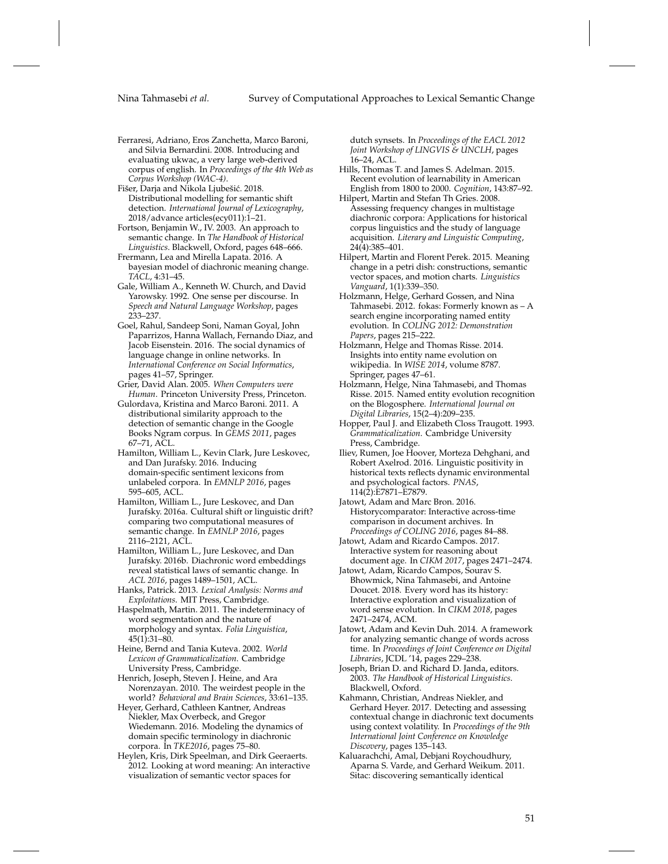- <span id="page-50-9"></span>Ferraresi, Adriano, Eros Zanchetta, Marco Baroni, and Silvia Bernardini. 2008. Introducing and evaluating ukwac, a very large web-derived corpus of english. In *Proceedings of the 4th Web as Corpus Workshop (WAC-4)*.
- <span id="page-50-8"></span>Fišer, Darja and Nikola Ljubešić. 2018. Distributional modelling for semantic shift detection. *International Journal of Lexicography*, 2018/advance articles(ecy011):1–21.
- <span id="page-50-15"></span>Fortson, Benjamin W., IV. 2003. An approach to semantic change. In *The Handbook of Historical Linguistics*. Blackwell, Oxford, pages 648–666.

<span id="page-50-10"></span>Frermann, Lea and Mirella Lapata. 2016. A bayesian model of diachronic meaning change. *TACL*, 4:31–45.

- <span id="page-50-20"></span>Gale, William A., Kenneth W. Church, and David Yarowsky. 1992. One sense per discourse. In *Speech and Natural Language Workshop*, pages 233–237.
- <span id="page-50-31"></span>Goel, Rahul, Sandeep Soni, Naman Goyal, John Paparrizos, Hanna Wallach, Fernando Diaz, and Jacob Eisenstein. 2016. The social dynamics of language change in online networks. In *International Conference on Social Informatics*, pages 41–57, Springer.
- <span id="page-50-21"></span>Grier, David Alan. 2005. *When Computers were Human*. Princeton University Press, Princeton.
- <span id="page-50-3"></span>Gulordava, Kristina and Marco Baroni. 2011. A distributional similarity approach to the detection of semantic change in the Google Books Ngram corpus. In *GEMS 2011*, pages 67–71, ACL.
- <span id="page-50-23"></span>Hamilton, William L., Kevin Clark, Jure Leskovec, and Dan Jurafsky. 2016. Inducing domain-specific sentiment lexicons from unlabeled corpora. In *EMNLP 2016*, pages 595–605, ACL.
- <span id="page-50-7"></span>Hamilton, William L., Jure Leskovec, and Dan Jurafsky. 2016a. Cultural shift or linguistic drift? comparing two computational measures of semantic change. In *EMNLP 2016*, pages 2116–2121, ACL.
- <span id="page-50-5"></span>Hamilton, William L., Jure Leskovec, and Dan Jurafsky. 2016b. Diachronic word embeddings reveal statistical laws of semantic change. In *ACL 2016*, pages 1489–1501, ACL.
- <span id="page-50-1"></span>Hanks, Patrick. 2013. *Lexical Analysis: Norms and Exploitations*. MIT Press, Cambridge.
- <span id="page-50-0"></span>Haspelmath, Martin. 2011. The indeterminacy of word segmentation and the nature of morphology and syntax. *Folia Linguistica*, 45(1):31–80.
- <span id="page-50-17"></span>Heine, Bernd and Tania Kuteva. 2002. *World Lexicon of Grammaticalization*. Cambridge University Press, Cambridge.
- <span id="page-50-19"></span>Henrich, Joseph, Steven J. Heine, and Ara Norenzayan. 2010. The weirdest people in the world? *Behavioral and Brain Sciences*, 33:61–135.
- <span id="page-50-4"></span>Heyer, Gerhard, Cathleen Kantner, Andreas Niekler, Max Overbeck, and Gregor Wiedemann. 2016. Modeling the dynamics of domain specific terminology in diachronic corpora. In *TKE2016*, pages 75–80.
- <span id="page-50-27"></span>Heylen, Kris, Dirk Speelman, and Dirk Geeraerts. 2012. Looking at word meaning: An interactive visualization of semantic vector spaces for

dutch synsets. In *Proceedings of the EACL 2012 Joint Workshop of LINGVIS & UNCLH*, pages 16–24, ACL.

- <span id="page-50-22"></span>Hills, Thomas T. and James S. Adelman. 2015. Recent evolution of learnability in American English from 1800 to 2000. *Cognition*, 143:87–92.
- <span id="page-50-26"></span>Hilpert, Martin and Stefan Th Gries. 2008. Assessing frequency changes in multistage diachronic corpora: Applications for historical corpus linguistics and the study of language acquisition. *Literary and Linguistic Computing*, 24(4):385–401.
- <span id="page-50-28"></span>Hilpert, Martin and Florent Perek. 2015. Meaning change in a petri dish: constructions, semantic vector spaces, and motion charts. *Linguistics Vanguard*, 1(1):339–350.
- <span id="page-50-11"></span>Holzmann, Helge, Gerhard Gossen, and Nina Tahmasebi. 2012. fokas: Formerly known as – A search engine incorporating named entity evolution. In *COLING 2012: Demonstration Papers*, pages 215–222.
- <span id="page-50-18"></span>Holzmann, Helge and Thomas Risse. 2014. Insights into entity name evolution on wikipedia. In *WISE 2014*, volume 8787. Springer, pages 47–61.
- <span id="page-50-12"></span>Holzmann, Helge, Nina Tahmasebi, and Thomas Risse. 2015. Named entity evolution recognition on the Blogosphere. *International Journal on Digital Libraries*, 15(2–4):209–235.
- <span id="page-50-16"></span>Hopper, Paul J. and Elizabeth Closs Traugott. 1993. *Grammaticalization*. Cambridge University Press, Cambridge.
- <span id="page-50-24"></span>Iliev, Rumen, Joe Hoover, Morteza Dehghani, and Robert Axelrod. 2016. Linguistic positivity in historical texts reflects dynamic environmental and psychological factors. *PNAS*, 114(2):E7871–E7879.
- <span id="page-50-25"></span>Jatowt, Adam and Marc Bron. 2016. Historycomparator: Interactive across-time comparison in document archives. In *Proceedings of COLING 2016*, pages 84–88.
- <span id="page-50-30"></span>Jatowt, Adam and Ricardo Campos. 2017. Interactive system for reasoning about document age. In *CIKM 2017*, pages 2471–2474.
- <span id="page-50-6"></span>Jatowt, Adam, Ricardo Campos, Sourav S. Bhowmick, Nina Tahmasebi, and Antoine Doucet. 2018. Every word has its history: Interactive exploration and visualization of word sense evolution. In *CIKM 2018*, pages 2471–2474, ACM.
- <span id="page-50-29"></span>Jatowt, Adam and Kevin Duh. 2014. A framework for analyzing semantic change of words across time. In *Proceedings of Joint Conference on Digital Libraries*, JCDL '14, pages 229–238.
- <span id="page-50-14"></span>Joseph, Brian D. and Richard D. Janda, editors. 2003. *The Handbook of Historical Linguistics*. Blackwell, Oxford.
- <span id="page-50-2"></span>Kahmann, Christian, Andreas Niekler, and Gerhard Heyer. 2017. Detecting and assessing contextual change in diachronic text documents using context volatility. In *Proceedings of the 9th International Joint Conference on Knowledge Discovery*, pages 135–143.
- <span id="page-50-13"></span>Kaluarachchi, Amal, Debjani Roychoudhury, Aparna S. Varde, and Gerhard Weikum. 2011. Sitac: discovering semantically identical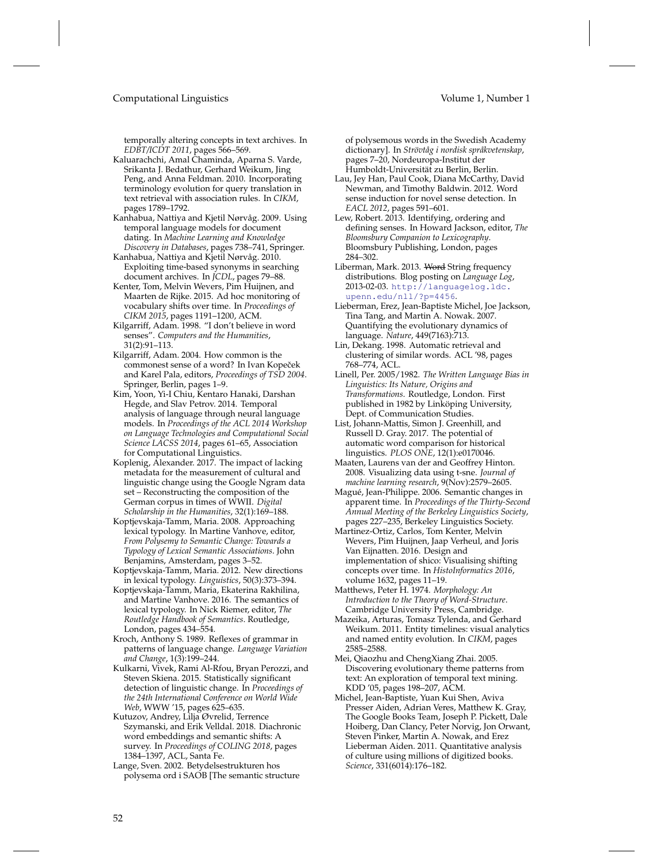temporally altering concepts in text archives. In *EDBT/ICDT 2011*, pages 566–569.

- <span id="page-51-13"></span>Kaluarachchi, Amal Chaminda, Aparna S. Varde, Srikanta J. Bedathur, Gerhard Weikum, Jing Peng, and Anna Feldman. 2010. Incorporating terminology evolution for query translation in text retrieval with association rules. In *CIKM*, pages 1789–1792.
- <span id="page-51-28"></span>Kanhabua, Nattiya and Kjetil Nørvåg. 2009. Using temporal language models for document dating. In *Machine Learning and Knowledge Discovery in Databases*, pages 738–741, Springer.
- <span id="page-51-14"></span>Kanhabua, Nattiya and Kjetil Nørvåg. 2010. Exploiting time-based synonyms in searching document archives. In *JCDL*, pages 79–88.
- <span id="page-51-15"></span>Kenter, Tom, Melvin Wevers, Pim Huijnen, and Maarten de Rijke. 2015. Ad hoc monitoring of vocabulary shifts over time. In *Proceedings of CIKM 2015*, pages 1191–1200, ACM.
- <span id="page-51-2"></span>Kilgarriff, Adam. 1998. "I don't believe in word senses". *Computers and the Humanities*, 31(2):91–113.
- <span id="page-51-3"></span>Kilgarriff, Adam. 2004. How common is the commonest sense of a word? In Ivan Kopeček and Karel Pala, editors, *Proceedings of TSD 2004*. Springer, Berlin, pages 1–9.
- <span id="page-51-7"></span>Kim, Yoon, Yi-I Chiu, Kentaro Hanaki, Darshan Hegde, and Slav Petrov. 2014. Temporal analysis of language through neural language models. In *Proceedings of the ACL 2014 Workshop on Language Technologies and Computational Social Science LACSS 2014*, pages 61–65, Association for Computational Linguistics.
- <span id="page-51-23"></span>Koplenig, Alexander. 2017. The impact of lacking metadata for the measurement of cultural and linguistic change using the Google Ngram data set – Reconstructing the composition of the German corpus in times of WWII. *Digital Scholarship in the Humanities*, 32(1):169–188.
- <span id="page-51-17"></span>Koptjevskaja-Tamm, Maria. 2008. Approaching lexical typology. In Martine Vanhove, editor, *From Polysemy to Semantic Change: Towards a Typology of Lexical Semantic Associations*. John Benjamins, Amsterdam, pages 3–52.
- <span id="page-51-18"></span>Koptjevskaja-Tamm, Maria. 2012. New directions in lexical typology. *Linguistics*, 50(3):373–394.
- <span id="page-51-19"></span>Koptjevskaja-Tamm, Maria, Ekaterina Rakhilina, and Martine Vanhove. 2016. The semantics of lexical typology. In Nick Riemer, editor, *The Routledge Handbook of Semantics*. Routledge, London, pages 434–554.
- <span id="page-51-6"></span>Kroch, Anthony S. 1989. Reflexes of grammar in patterns of language change. *Language Variation and Change*, 1(3):199–244.
- <span id="page-51-5"></span>Kulkarni, Vivek, Rami Al-Rfou, Bryan Perozzi, and Steven Skiena. 2015. Statistically significant detection of linguistic change. In *Proceedings of the 24th International Conference on World Wide Web*, WWW '15, pages 625–635.
- <span id="page-51-0"></span>Kutuzov, Andrey, Lilja Øvrelid, Terrence Szymanski, and Erik Velldal. 2018. Diachronic word embeddings and semantic shifts: A survey. In *Proceedings of COLING 2018*, pages 1384–1397, ACL, Santa Fe.
- <span id="page-51-4"></span>Lange, Sven. 2002. Betydelsestrukturen hos polysema ord i SAOB [The semantic structure

- of polysemous words in the Swedish Academy dictionary]. In *Strövtåg i nordisk språkvetenskap*, pages 7–20, Nordeuropa-Institut der Humboldt-Universität zu Berlin, Berlin.
- <span id="page-51-10"></span>Lau, Jey Han, Paul Cook, Diana McCarthy, David Newman, and Timothy Baldwin. 2012. Word sense induction for novel sense detection. In *EACL 2012*, pages 591–601.
- <span id="page-51-9"></span>Lew, Robert. 2013. Identifying, ordering and defining senses. In Howard Jackson, editor, *The Bloomsbury Companion to Lexicography*. Bloomsbury Publishing, London, pages 284–302.
- <span id="page-51-20"></span>Liberman, Mark. 2013. Word String frequency distributions. Blog posting on *Language Log*, 2013-02-03. [http://languagelog.ldc.](http://languagelog.ldc.upenn.edu/nll/?p=4456) [upenn.edu/nll/?p=4456](http://languagelog.ldc.upenn.edu/nll/?p=4456).
- <span id="page-51-8"></span>Lieberman, Erez, Jean-Baptiste Michel, Joe Jackson, Tina Tang, and Martin A. Nowak. 2007. Quantifying the evolutionary dynamics of language. *Nature*, 449(7163):713.
- <span id="page-51-12"></span>Lin, Dekang. 1998. Automatic retrieval and clustering of similar words. ACL '98, pages 768–774, ACL.
- <span id="page-51-21"></span>Linell, Per. 2005/1982. *The Written Language Bias in Linguistics: Its Nature, Origins and Transformations*. Routledge, London. First published in 1982 by Linköping University, Dept. of Communication Studies.
- <span id="page-51-1"></span>List, Johann-Mattis, Simon J. Greenhill, and Russell D. Gray. 2017. The potential of automatic word comparison for historical linguistics. *PLOS ONE*, 12(1):e0170046.
- <span id="page-51-25"></span>Maaten, Laurens van der and Geoffrey Hinton. 2008. Visualizing data using t-sne. *Journal of machine learning research*, 9(Nov):2579–2605.
- <span id="page-51-24"></span>Magué, Jean-Philippe. 2006. Semantic changes in apparent time. In *Proceedings of the Thirty-Second Annual Meeting of the Berkeley Linguistics Society*, pages 227–235, Berkeley Linguistics Society.
- <span id="page-51-26"></span>Martinez-Ortiz, Carlos, Tom Kenter, Melvin Wevers, Pim Huijnen, Jaap Verheul, and Joris Van Eijnatten. 2016. Design and implementation of shico: Visualising shifting concepts over time. In *HistoInformatics 2016*, volume 1632, pages 11–19.
- <span id="page-51-16"></span>Matthews, Peter H. 1974. *Morphology: An Introduction to the Theory of Word-Structure*. Cambridge University Press, Cambridge.
- <span id="page-51-27"></span>Mazeika, Arturas, Tomasz Tylenda, and Gerhard Weikum. 2011. Entity timelines: visual analytics and named entity evolution. In *CIKM*, pages 2585–2588.
- <span id="page-51-11"></span>Mei, Qiaozhu and ChengXiang Zhai. 2005. Discovering evolutionary theme patterns from text: An exploration of temporal text mining. KDD '05, pages 198–207, ACM.
- <span id="page-51-22"></span>Michel, Jean-Baptiste, Yuan Kui Shen, Aviva Presser Aiden, Adrian Veres, Matthew K. Gray, The Google Books Team, Joseph P. Pickett, Dale Hoiberg, Dan Clancy, Peter Norvig, Jon Orwant, Steven Pinker, Martin A. Nowak, and Erez Lieberman Aiden. 2011. Quantitative analysis of culture using millions of digitized books. *Science*, 331(6014):176–182.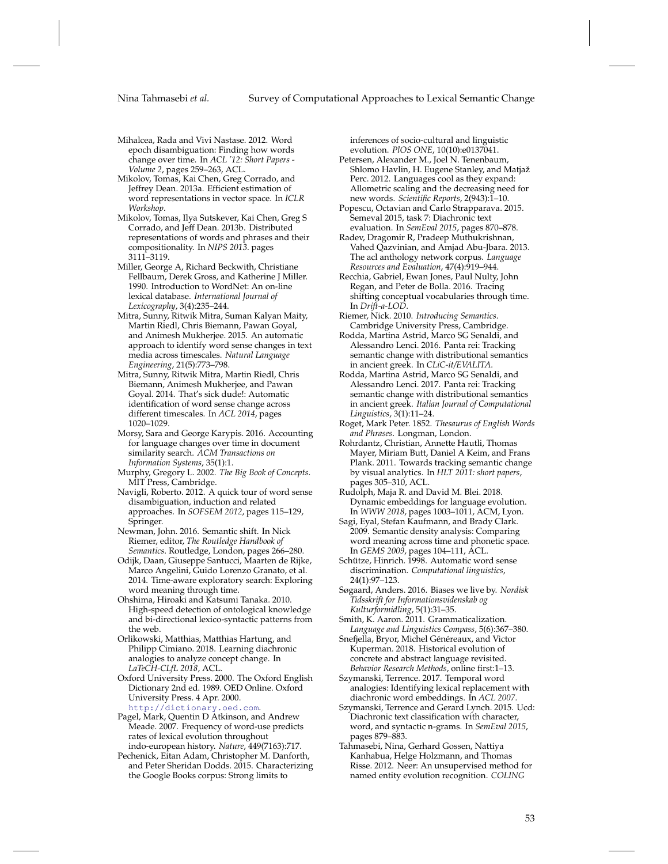- <span id="page-52-11"></span>Mihalcea, Rada and Vivi Nastase. 2012. Word epoch disambiguation: Finding how words change over time. In *ACL '12: Short Papers - Volume 2*, pages 259–263, ACL.
- <span id="page-52-6"></span>Mikolov, Tomas, Kai Chen, Greg Corrado, and Jeffrey Dean. 2013a. Efficient estimation of word representations in vector space. In *ICLR Workshop*.
- <span id="page-52-8"></span>Mikolov, Tomas, Ilya Sutskever, Kai Chen, Greg S Corrado, and Jeff Dean. 2013b. Distributed representations of words and phrases and their compositionality. In *NIPS 2013*. pages 3111–3119.
- <span id="page-52-29"></span>Miller, George A, Richard Beckwith, Christiane Fellbaum, Derek Gross, and Katherine J Miller. 1990. Introduction to WordNet: An on-line lexical database. *International Journal of Lexicography*, 3(4):235–244.
- <span id="page-52-13"></span>Mitra, Sunny, Ritwik Mitra, Suman Kalyan Maity, Martin Riedl, Chris Biemann, Pawan Goyal, and Animesh Mukherjee. 2015. An automatic approach to identify word sense changes in text media across timescales. *Natural Language Engineering*, 21(5):773–798.
- <span id="page-52-14"></span>Mitra, Sunny, Ritwik Mitra, Martin Riedl, Chris Biemann, Animesh Mukherjee, and Pawan Goyal. 2014. That's sick dude!: Automatic identification of word sense change across different timescales. In *ACL 2014*, pages 1020–1029.
- <span id="page-52-12"></span>Morsy, Sara and George Karypis. 2016. Accounting for language changes over time in document similarity search. *ACM Transactions on Information Systems*, 35(1):1.
- <span id="page-52-0"></span>Murphy, Gregory L. 2002. *The Big Book of Concepts*. MIT Press, Cambridge.
- <span id="page-52-22"></span>Navigli, Roberto. 2012. A quick tour of word sense disambiguation, induction and related approaches. In *SOFSEM 2012*, pages 115–129, Springer.
- <span id="page-52-19"></span>Newman, John. 2016. Semantic shift. In Nick Riemer, editor, *The Routledge Handbook of Semantics*. Routledge, London, pages 266–280.
- <span id="page-52-30"></span>Odijk, Daan, Giuseppe Santucci, Maarten de Rijke, Marco Angelini, Guido Lorenzo Granato, et al. 2014. Time-aware exploratory search: Exploring word meaning through time.
- <span id="page-52-17"></span>Ohshima, Hiroaki and Katsumi Tanaka. 2010. High-speed detection of ontological knowledge and bi-directional lexico-syntactic patterns from the web.
- <span id="page-52-18"></span>Orlikowski, Matthias, Matthias Hartung, and Philipp Cimiano. 2018. Learning diachronic analogies to analyze concept change. In *LaTeCH-CLfL 2018*, ACL.
- <span id="page-52-33"></span>Oxford University Press. 2000. The Oxford English Dictionary 2nd ed. 1989. OED Online. Oxford University Press. 4 Apr. 2000. <http://dictionary.oed.com>.
- <span id="page-52-7"></span>Pagel, Mark, Quentin D Atkinson, and Andrew Meade. 2007. Frequency of word-use predicts rates of lexical evolution throughout indo-european history. *Nature*, 449(7163):717.
- <span id="page-52-25"></span>Pechenick, Eitan Adam, Christopher M. Danforth, and Peter Sheridan Dodds. 2015. Characterizing the Google Books corpus: Strong limits to

inferences of socio-cultural and linguistic evolution. *PlOS ONE*, 10(10):e0137041.

- <span id="page-52-23"></span>Petersen, Alexander M., Joel N. Tenenbaum, Shlomo Havlin, H. Eugene Stanley, and Matjaž Perc. 2012. Languages cool as they expand: Allometric scaling and the decreasing need for new words. *Scientific Reports*, 2(943):1–10.
- <span id="page-52-27"></span>Popescu, Octavian and Carlo Strapparava. 2015. Semeval 2015, task 7: Diachronic text evaluation. In *SemEval 2015*, pages 870–878.
- <span id="page-52-28"></span>Radev, Dragomir R, Pradeep Muthukrishnan, Vahed Qazvinian, and Amjad Abu-Jbara. 2013. The acl anthology network corpus. *Language Resources and Evaluation*, 47(4):919–944.
- <span id="page-52-9"></span>Recchia, Gabriel, Ewan Jones, Paul Nulty, John Regan, and Peter de Bolla. 2016. Tracing shifting conceptual vocabularies through time. In *Drift-a-LOD*.
- <span id="page-52-1"></span>Riemer, Nick. 2010. *Introducing Semantics*. Cambridge University Press, Cambridge.
- <span id="page-52-5"></span>Rodda, Martina Astrid, Marco SG Senaldi, and Alessandro Lenci. 2016. Panta rei: Tracking semantic change with distributional semantics in ancient greek. In *CLiC-it/EVALITA*.
- <span id="page-52-2"></span>Rodda, Martina Astrid, Marco SG Senaldi, and Alessandro Lenci. 2017. Panta rei: Tracking semantic change with distributional semantics in ancient greek. *Italian Journal of Computational Linguistics*, 3(1):11–24.
- <span id="page-52-20"></span>Roget, Mark Peter. 1852. *Thesaurus of English Words and Phrases*. Longman, London.
- <span id="page-52-31"></span>Rohrdantz, Christian, Annette Hautli, Thomas Mayer, Miriam Butt, Daniel A Keim, and Frans Plank. 2011. Towards tracking semantic change by visual analytics. In *HLT 2011: short papers*, pages 305–310, ACL.
- <span id="page-52-10"></span>Rudolph, Maja R. and David M. Blei. 2018. Dynamic embeddings for language evolution. In *WWW 2018*, pages 1003–1011, ACM, Lyon.
- <span id="page-52-3"></span>Sagi, Eyal, Stefan Kaufmann, and Brady Clark. 2009. Semantic density analysis: Comparing word meaning across time and phonetic space. In *GEMS 2009*, pages 104–111, ACL.
- <span id="page-52-4"></span>Schütze, Hinrich. 1998. Automatic word sense discrimination. *Computational linguistics*, 24(1):97–123.
- <span id="page-52-24"></span>Søgaard, Anders. 2016. Biases we live by. *Nordisk Tidsskrift for Informationsvidenskab og Kulturformidling*, 5(1):31–35.
- <span id="page-52-21"></span>Smith, K. Aaron. 2011. Grammaticalization. *Language and Linguistics Compass*, 5(6):367–380.
- <span id="page-52-26"></span>Snefjella, Bryor, Michel Généreaux, and Victor Kuperman. 2018. Historical evolution of concrete and abstract language revisited. *Behavior Research Methods*, online first:1–13.
- <span id="page-52-16"></span>Szymanski, Terrence. 2017. Temporal word analogies: Identifying lexical replacement with diachronic word embeddings. In *ACL 2007*.
- <span id="page-52-32"></span>Szymanski, Terrence and Gerard Lynch. 2015. Ucd: Diachronic text classification with character, word, and syntactic n-grams. In *SemEval 2015*, pages 879–883.
- <span id="page-52-15"></span>Tahmasebi, Nina, Gerhard Gossen, Nattiya Kanhabua, Helge Holzmann, and Thomas Risse. 2012. Neer: An unsupervised method for named entity evolution recognition. *COLING*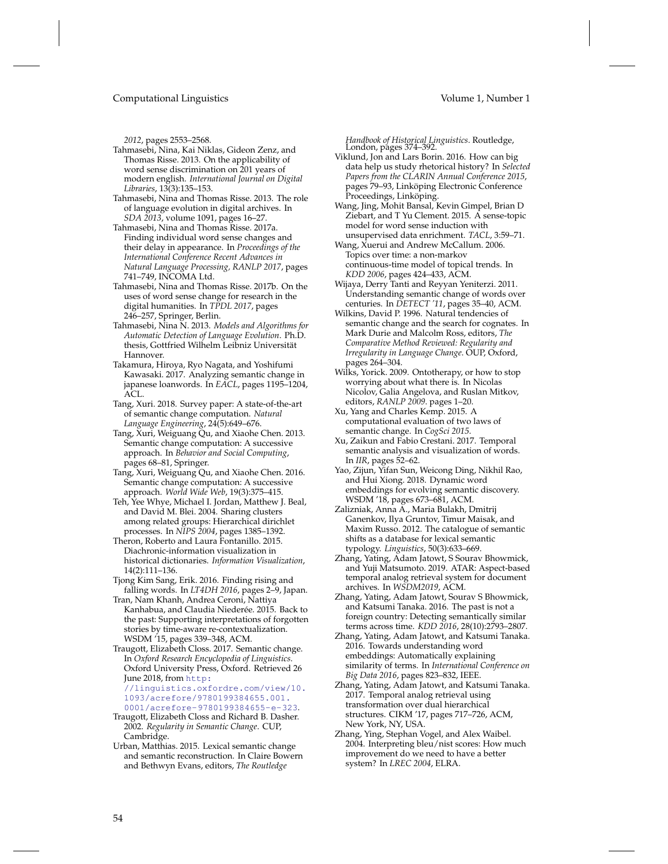*2012*, pages 2553–2568.

- <span id="page-53-14"></span>Tahmasebi, Nina, Kai Niklas, Gideon Zenz, and Thomas Risse. 2013. On the applicability of word sense discrimination on 201 years of modern english. *International Journal on Digital Libraries*, 13(3):135–153.
- <span id="page-53-27"></span>Tahmasebi, Nina and Thomas Risse. 2013. The role of language evolution in digital archives. In *SDA 2013*, volume 1091, pages 16–27.
- <span id="page-53-13"></span>Tahmasebi, Nina and Thomas Risse. 2017a. Finding individual word sense changes and their delay in appearance. In *Proceedings of the International Conference Recent Advances in Natural Language Processing, RANLP 2017*, pages 741–749, INCOMA Ltd.
- <span id="page-53-26"></span>Tahmasebi, Nina and Thomas Risse. 2017b. On the uses of word sense change for research in the digital humanities. In *TPDL 2017*, pages 246–257, Springer, Berlin.
- <span id="page-53-12"></span>Tahmasebi, Nina N. 2013. *Models and Algorithms for Automatic Detection of Language Evolution*. Ph.D. thesis, Gottfried Wilhelm Leibniz Universität Hannover.
- <span id="page-53-6"></span>Takamura, Hiroya, Ryo Nagata, and Yoshifumi Kawasaki. 2017. Analyzing semantic change in japanese loanwords. In *EACL*, pages 1195–1204, ACL.
- <span id="page-53-0"></span>Tang, Xuri. 2018. Survey paper: A state-of-the-art of semantic change computation. *Natural Language Engineering*, 24(5):649–676.
- <span id="page-53-2"></span>Tang, Xuri, Weiguang Qu, and Xiaohe Chen. 2013. Semantic change computation: A successive approach. In *Behavior and Social Computing*, pages 68–81, Springer.
- <span id="page-53-3"></span>Tang, Xuri, Weiguang Qu, and Xiaohe Chen. 2016. Semantic change computation: A successive approach. *World Wide Web*, 19(3):375–415.
- <span id="page-53-11"></span>Teh, Yee Whye, Michael I. Jordan, Matthew J. Beal, and David M. Blei. 2004. Sharing clusters among related groups: Hierarchical dirichlet processes. In *NIPS 2004*, pages 1385–1392.
- <span id="page-53-22"></span>Theron, Roberto and Laura Fontanillo. 2015. Diachronic-information visualization in historical dictionaries. *Information Visualization*, 14(2):111–136.
- <span id="page-53-7"></span>Tjong Kim Sang, Erik. 2016. Finding rising and falling words. In *LT4DH 2016*, pages 2–9, Japan.
- <span id="page-53-28"></span>Tran, Nam Khanh, Andrea Ceroni, Nattiya Kanhabua, and Claudia Niederée. 2015. Back to the past: Supporting interpretations of forgotten stories by time-aware re-contextualization. WSDM '15, pages 339–348, ACM.
- <span id="page-53-20"></span>Traugott, Elizabeth Closs. 2017. Semantic change. In *Oxford Research Encyclopedia of Linguistics*. Oxford University Press, Oxford. Retrieved 26 June 2018, from [http:](http://linguistics.oxfordre.com/view/10.1093/acrefore/9780199384655.001.0001/acrefore-9780199384655-e-323)
	- [//linguistics.oxfordre.com/view/10.](http://linguistics.oxfordre.com/view/10.1093/acrefore/9780199384655.001.0001/acrefore-9780199384655-e-323) [1093/acrefore/9780199384655.001.](http://linguistics.oxfordre.com/view/10.1093/acrefore/9780199384655.001.0001/acrefore-9780199384655-e-323) [0001/acrefore-9780199384655-e-323](http://linguistics.oxfordre.com/view/10.1093/acrefore/9780199384655.001.0001/acrefore-9780199384655-e-323).
- <span id="page-53-19"></span>Traugott, Elizabeth Closs and Richard B. Dasher. 2002. *Regularity in Semantic Change*. CUP, Cambridge.
- <span id="page-53-21"></span>Urban, Matthias. 2015. Lexical semantic change and semantic reconstruction. In Claire Bowern and Bethwyn Evans, editors, *The Routledge*

*Handbook of Historical Linguistics*. Routledge, London, pages 374–392.

- <span id="page-53-25"></span>Viklund, Jon and Lars Borin. 2016. How can big data help us study rhetorical history? In *Selected Papers from the CLARIN Annual Conference 2015*, pages 79–93, Linköping Electronic Conference Proceedings, Linköping.
- <span id="page-53-10"></span>Wang, Jing, Mohit Bansal, Kevin Gimpel, Brian D Ziebart, and T Yu Clement. 2015. A sense-topic model for word sense induction with unsupervised data enrichment. *TACL*, 3:59–71.
- <span id="page-53-9"></span>Wang, Xuerui and Andrew McCallum. 2006. Topics over time: a non-markov continuous-time model of topical trends. In *KDD 2006*, pages 424–433, ACM.
- <span id="page-53-8"></span>Wijaya, Derry Tanti and Reyyan Yeniterzi. 2011. Understanding semantic change of words over centuries. In *DETECT '11*, pages 35–40, ACM.
- <span id="page-53-29"></span>Wilkins, David P. 1996. Natural tendencies of semantic change and the search for cognates. In Mark Durie and Malcolm Ross, editors, *The Comparative Method Reviewed: Regularity and Irregularity in Language Change*. OUP, Oxford, pages 264–304.
- <span id="page-53-1"></span>Wilks, Yorick. 2009. Ontotherapy, or how to stop worrying about what there is. In Nicolas Nicolov, Galia Angelova, and Ruslan Mitkov, editors, *RANLP 2009*. pages 1–20.
- <span id="page-53-5"></span>Xu, Yang and Charles Kemp. 2015. A computational evaluation of two laws of semantic change. In *CogSci 2015*.
- <span id="page-53-24"></span>Xu, Zaikun and Fabio Crestani. 2017. Temporal semantic analysis and visualization of words. In *IIR*, pages 52–62.
- <span id="page-53-4"></span>Yao, Zijun, Yifan Sun, Weicong Ding, Nikhil Rao, and Hui Xiong. 2018. Dynamic word embeddings for evolving semantic discovery. WSDM '18, pages 673–681, ACM.
- <span id="page-53-30"></span>Zalizniak, Anna A., Maria Bulakh, Dmitrij Ganenkov, Ilya Gruntov, Timur Maisak, and Maxim Russo. 2012. The catalogue of semantic shifts as a database for lexical semantic typology. *Linguistics*, 50(3):633–669.
- <span id="page-53-17"></span>Zhang, Yating, Adam Jatowt, S Sourav Bhowmick, and Yuji Matsumoto. 2019. ATAR: Aspect-based temporal analog retrieval system for document archives. In *WSDM2019*, ACM.
- <span id="page-53-15"></span>Zhang, Yating, Adam Jatowt, Sourav S Bhowmick, and Katsumi Tanaka. 2016. The past is not a foreign country: Detecting semantically similar terms across time. *KDD 2016*, 28(10):2793–2807.
- <span id="page-53-18"></span>Zhang, Yating, Adam Jatowt, and Katsumi Tanaka. 2016. Towards understanding word embeddings: Automatically explaining similarity of terms. In *International Conference on Big Data 2016*, pages 823–832, IEEE.
- <span id="page-53-16"></span>Zhang, Yating, Adam Jatowt, and Katsumi Tanaka. 2017. Temporal analog retrieval using transformation over dual hierarchical structures. CIKM '17, pages 717–726, ACM, New York, NY, USA.
- <span id="page-53-23"></span>Zhang, Ying, Stephan Vogel, and Alex Waibel. 2004. Interpreting bleu/nist scores: How much improvement do we need to have a better system? In *LREC 2004*, ELRA.